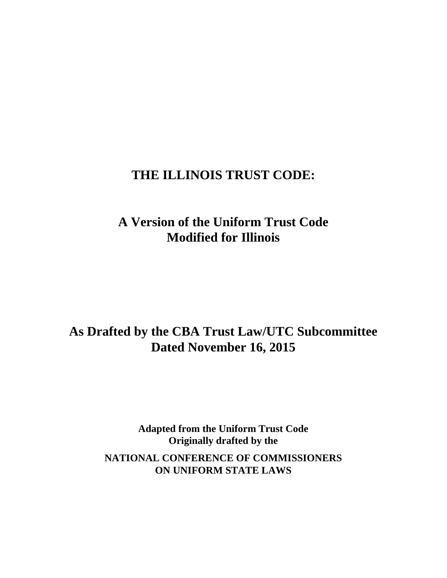# **THE ILLINOIS TRUST CODE:**

# **A Version of the Uniform Trust Code Modified for Illinois**

# **As Drafted by the CBA Trust Law/UTC Subcommittee Dated November 16, 2015**

**Adapted from the Uniform Trust Code Originally drafted by the** 

**NATIONAL CONFERENCE OF COMMISSIONERS ON UNIFORM STATE LAWS**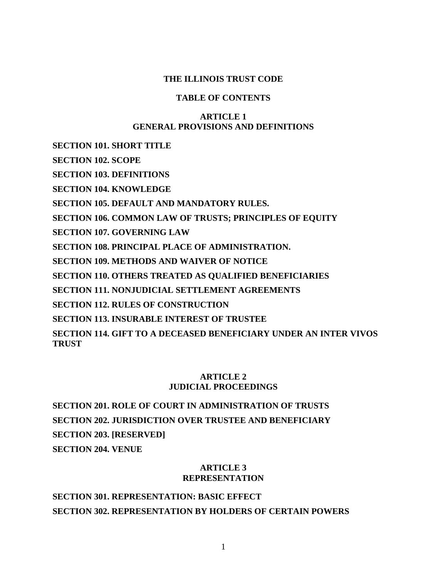## **THE ILLINOIS TRUST CODE**

# **TABLE OF CONTENTS**

# **ARTICLE 1 GENERAL PROVISIONS AND DEFINITIONS**

**SECTION 101. SHORT TITLE** 

**SECTION 102. SCOPE** 

**SECTION 103. DEFINITIONS** 

**SECTION 104. KNOWLEDGE** 

**SECTION 105. DEFAULT AND MANDATORY RULES.** 

**SECTION 106. COMMON LAW OF TRUSTS; PRINCIPLES OF EQUITY** 

**SECTION 107. GOVERNING LAW** 

**SECTION 108. PRINCIPAL PLACE OF ADMINISTRATION.** 

**SECTION 109. METHODS AND WAIVER OF NOTICE** 

**SECTION 110. OTHERS TREATED AS QUALIFIED BENEFICIARIES** 

**SECTION 111. NONJUDICIAL SETTLEMENT AGREEMENTS** 

**SECTION 112. RULES OF CONSTRUCTION** 

**SECTION 113. INSURABLE INTEREST OF TRUSTEE** 

**SECTION 114. GIFT TO A DECEASED BENEFICIARY UNDER AN INTER VIVOS TRUST** 

# **ARTICLE 2 JUDICIAL PROCEEDINGS**

**SECTION 201. ROLE OF COURT IN ADMINISTRATION OF TRUSTS SECTION 202. JURISDICTION OVER TRUSTEE AND BENEFICIARY SECTION 203. [RESERVED] SECTION 204. VENUE** 

# **ARTICLE 3 REPRESENTATION**

**SECTION 301. REPRESENTATION: BASIC EFFECT SECTION 302. REPRESENTATION BY HOLDERS OF CERTAIN POWERS**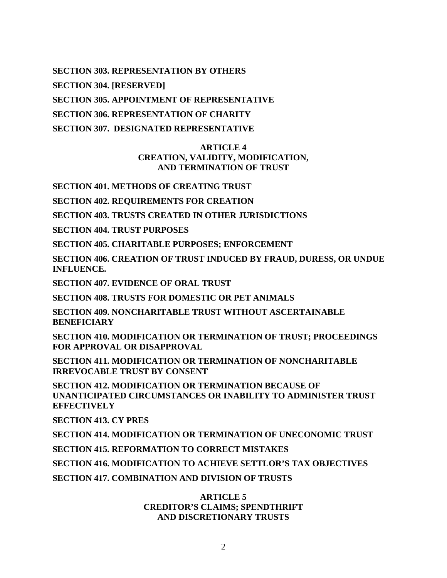**SECTION 303. REPRESENTATION BY OTHERS** 

**SECTION 304. [RESERVED]** 

**SECTION 305. APPOINTMENT OF REPRESENTATIVE** 

**SECTION 306. REPRESENTATION OF CHARITY** 

**SECTION 307. DESIGNATED REPRESENTATIVE** 

# **ARTICLE 4 CREATION, VALIDITY, MODIFICATION, AND TERMINATION OF TRUST**

**SECTION 401. METHODS OF CREATING TRUST** 

**SECTION 402. REQUIREMENTS FOR CREATION** 

**SECTION 403. TRUSTS CREATED IN OTHER JURISDICTIONS** 

**SECTION 404. TRUST PURPOSES** 

**SECTION 405. CHARITABLE PURPOSES; ENFORCEMENT** 

**SECTION 406. CREATION OF TRUST INDUCED BY FRAUD, DURESS, OR UNDUE INFLUENCE.** 

**SECTION 407. EVIDENCE OF ORAL TRUST** 

**SECTION 408. TRUSTS FOR DOMESTIC OR PET ANIMALS** 

**SECTION 409. NONCHARITABLE TRUST WITHOUT ASCERTAINABLE BENEFICIARY** 

**SECTION 410. MODIFICATION OR TERMINATION OF TRUST; PROCEEDINGS FOR APPROVAL OR DISAPPROVAL** 

**SECTION 411. MODIFICATION OR TERMINATION OF NONCHARITABLE IRREVOCABLE TRUST BY CONSENT** 

**SECTION 412. MODIFICATION OR TERMINATION BECAUSE OF UNANTICIPATED CIRCUMSTANCES OR INABILITY TO ADMINISTER TRUST EFFECTIVELY** 

**SECTION 413. CY PRES** 

**SECTION 414. MODIFICATION OR TERMINATION OF UNECONOMIC TRUST** 

**SECTION 415. REFORMATION TO CORRECT MISTAKES** 

**SECTION 416. MODIFICATION TO ACHIEVE SETTLOR'S TAX OBJECTIVES** 

**SECTION 417. COMBINATION AND DIVISION OF TRUSTS** 

# **ARTICLE 5 CREDITOR'S CLAIMS; SPENDTHRIFT AND DISCRETIONARY TRUSTS**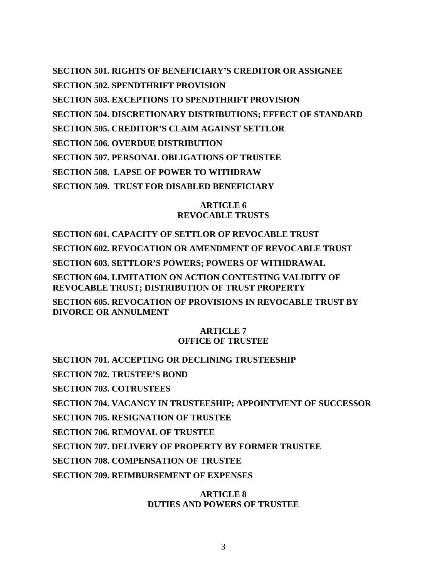**SECTION 501. RIGHTS OF BENEFICIARY'S CREDITOR OR ASSIGNEE SECTION 502. SPENDTHRIFT PROVISION SECTION 503. EXCEPTIONS TO SPENDTHRIFT PROVISION SECTION 504. DISCRETIONARY DISTRIBUTIONS; EFFECT OF STANDARD SECTION 505. CREDITOR'S CLAIM AGAINST SETTLOR SECTION 506. OVERDUE DISTRIBUTION SECTION 507. PERSONAL OBLIGATIONS OF TRUSTEE SECTION 508. LAPSE OF POWER TO WITHDRAW SECTION 509. TRUST FOR DISABLED BENEFICIARY** 

## **ARTICLE 6 REVOCABLE TRUSTS**

**SECTION 601. CAPACITY OF SETTLOR OF REVOCABLE TRUST SECTION 602. REVOCATION OR AMENDMENT OF REVOCABLE TRUST SECTION 603. SETTLOR'S POWERS; POWERS OF WITHDRAWAL SECTION 604. LIMITATION ON ACTION CONTESTING VALIDITY OF REVOCABLE TRUST; DISTRIBUTION OF TRUST PROPERTY SECTION 605. REVOCATION OF PROVISIONS IN REVOCABLE TRUST BY** 

**DIVORCE OR ANNULMENT** 

## **ARTICLE 7 OFFICE OF TRUSTEE**

**SECTION 701. ACCEPTING OR DECLINING TRUSTEESHIP SECTION 702. TRUSTEE'S BOND SECTION 703. COTRUSTEES SECTION 704. VACANCY IN TRUSTEESHIP; APPOINTMENT OF SUCCESSOR SECTION 705. RESIGNATION OF TRUSTEE SECTION 706. REMOVAL OF TRUSTEE SECTION 707. DELIVERY OF PROPERTY BY FORMER TRUSTEE SECTION 708. COMPENSATION OF TRUSTEE SECTION 709. REIMBURSEMENT OF EXPENSES** 

# **ARTICLE 8 DUTIES AND POWERS OF TRUSTEE**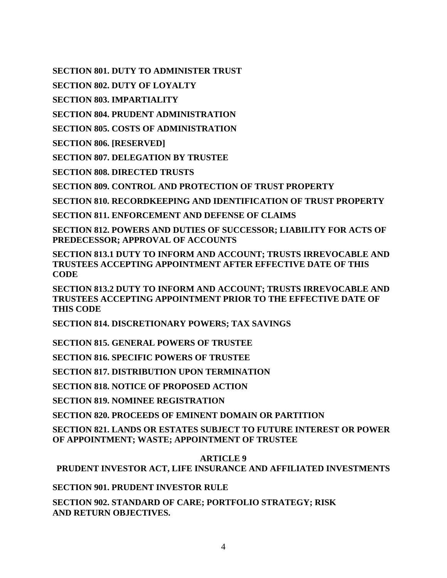**SECTION 801. DUTY TO ADMINISTER TRUST** 

**SECTION 802. DUTY OF LOYALTY** 

**SECTION 803. IMPARTIALITY** 

**SECTION 804. PRUDENT ADMINISTRATION** 

**SECTION 805. COSTS OF ADMINISTRATION** 

**SECTION 806. [RESERVED]** 

**SECTION 807. DELEGATION BY TRUSTEE** 

**SECTION 808. DIRECTED TRUSTS** 

**SECTION 809. CONTROL AND PROTECTION OF TRUST PROPERTY** 

**SECTION 810. RECORDKEEPING AND IDENTIFICATION OF TRUST PROPERTY** 

**SECTION 811. ENFORCEMENT AND DEFENSE OF CLAIMS** 

**SECTION 812. POWERS AND DUTIES OF SUCCESSOR; LIABILITY FOR ACTS OF PREDECESSOR; APPROVAL OF ACCOUNTS** 

**SECTION 813.1 DUTY TO INFORM AND ACCOUNT; TRUSTS IRREVOCABLE AND TRUSTEES ACCEPTING APPOINTMENT AFTER EFFECTIVE DATE OF THIS CODE** 

**SECTION 813.2 DUTY TO INFORM AND ACCOUNT; TRUSTS IRREVOCABLE AND TRUSTEES ACCEPTING APPOINTMENT PRIOR TO THE EFFECTIVE DATE OF THIS CODE** 

**SECTION 814. DISCRETIONARY POWERS; TAX SAVINGS** 

**SECTION 815. GENERAL POWERS OF TRUSTEE** 

**SECTION 816. SPECIFIC POWERS OF TRUSTEE** 

**SECTION 817. DISTRIBUTION UPON TERMINATION** 

**SECTION 818. NOTICE OF PROPOSED ACTION** 

**SECTION 819. NOMINEE REGISTRATION** 

**SECTION 820. PROCEEDS OF EMINENT DOMAIN OR PARTITION** 

**SECTION 821. LANDS OR ESTATES SUBJECT TO FUTURE INTEREST OR POWER OF APPOINTMENT; WASTE; APPOINTMENT OF TRUSTEE** 

**ARTICLE 9** 

**PRUDENT INVESTOR ACT, LIFE INSURANCE AND AFFILIATED INVESTMENTS** 

**SECTION 901. PRUDENT INVESTOR RULE** 

**SECTION 902. STANDARD OF CARE; PORTFOLIO STRATEGY; RISK AND RETURN OBJECTIVES.**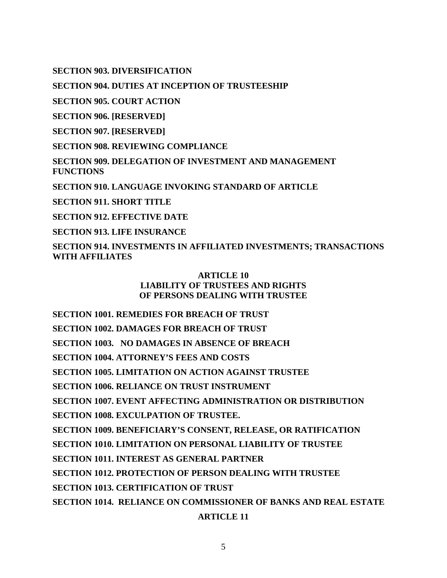**SECTION 903. DIVERSIFICATION** 

**SECTION 904. DUTIES AT INCEPTION OF TRUSTEESHIP** 

**SECTION 905. COURT ACTION** 

**SECTION 906. [RESERVED]** 

**SECTION 907. [RESERVED]** 

**SECTION 908. REVIEWING COMPLIANCE** 

**SECTION 909. DELEGATION OF INVESTMENT AND MANAGEMENT FUNCTIONS** 

**SECTION 910. LANGUAGE INVOKING STANDARD OF ARTICLE** 

**SECTION 911. SHORT TITLE** 

**SECTION 912. EFFECTIVE DATE** 

**SECTION 913. LIFE INSURANCE** 

**SECTION 914. INVESTMENTS IN AFFILIATED INVESTMENTS; TRANSACTIONS WITH AFFILIATES** 

# **ARTICLE 10 LIABILITY OF TRUSTEES AND RIGHTS OF PERSONS DEALING WITH TRUSTEE**

**SECTION 1001. REMEDIES FOR BREACH OF TRUST SECTION 1002. DAMAGES FOR BREACH OF TRUST SECTION 1003. NO DAMAGES IN ABSENCE OF BREACH SECTION 1004. ATTORNEY'S FEES AND COSTS SECTION 1005. LIMITATION ON ACTION AGAINST TRUSTEE SECTION 1006. RELIANCE ON TRUST INSTRUMENT SECTION 1007. EVENT AFFECTING ADMINISTRATION OR DISTRIBUTION SECTION 1008. EXCULPATION OF TRUSTEE. SECTION 1009. BENEFICIARY'S CONSENT, RELEASE, OR RATIFICATION SECTION 1010. LIMITATION ON PERSONAL LIABILITY OF TRUSTEE SECTION 1011. INTEREST AS GENERAL PARTNER SECTION 1012. PROTECTION OF PERSON DEALING WITH TRUSTEE SECTION 1013. CERTIFICATION OF TRUST SECTION 1014. RELIANCE ON COMMISSIONER OF BANKS AND REAL ESTATE ARTICLE 11**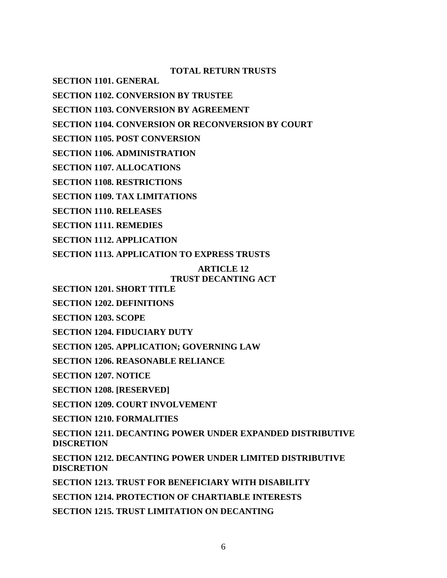**TOTAL RETURN TRUSTS** 

**SECTION 1101. GENERAL** 

**SECTION 1102. CONVERSION BY TRUSTEE** 

**SECTION 1103. CONVERSION BY AGREEMENT** 

**SECTION 1104. CONVERSION OR RECONVERSION BY COURT** 

**SECTION 1105. POST CONVERSION** 

**SECTION 1106. ADMINISTRATION** 

**SECTION 1107. ALLOCATIONS** 

**SECTION 1108. RESTRICTIONS** 

**SECTION 1109. TAX LIMITATIONS** 

**SECTION 1110. RELEASES** 

**SECTION 1111. REMEDIES** 

**SECTION 1112. APPLICATION** 

**SECTION 1113. APPLICATION TO EXPRESS TRUSTS** 

#### **ARTICLE 12 TRUST DECANTING ACT**

**SECTION 1201. SHORT TITLE** 

**SECTION 1202. DEFINITIONS** 

**SECTION 1203. SCOPE** 

**SECTION 1204. FIDUCIARY DUTY** 

**SECTION 1205. APPLICATION; GOVERNING LAW** 

**SECTION 1206. REASONABLE RELIANCE** 

**SECTION 1207. NOTICE** 

**SECTION 1208. [RESERVED]** 

**SECTION 1209. COURT INVOLVEMENT** 

**SECTION 1210. FORMALITIES** 

**SECTION 1211. DECANTING POWER UNDER EXPANDED DISTRIBUTIVE DISCRETION** 

**SECTION 1212. DECANTING POWER UNDER LIMITED DISTRIBUTIVE DISCRETION** 

**SECTION 1213. TRUST FOR BENEFICIARY WITH DISABILITY** 

**SECTION 1214. PROTECTION OF CHARTIABLE INTERESTS** 

**SECTION 1215. TRUST LIMITATION ON DECANTING**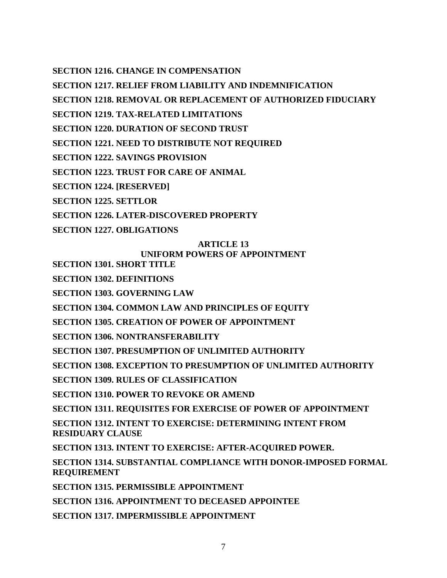**SECTION 1216. CHANGE IN COMPENSATION** 

**SECTION 1217. RELIEF FROM LIABILITY AND INDEMNIFICATION** 

**SECTION 1218. REMOVAL OR REPLACEMENT OF AUTHORIZED FIDUCIARY** 

**SECTION 1219. TAX-RELATED LIMITATIONS** 

**SECTION 1220. DURATION OF SECOND TRUST** 

**SECTION 1221. NEED TO DISTRIBUTE NOT REQUIRED** 

**SECTION 1222. SAVINGS PROVISION** 

**SECTION 1223. TRUST FOR CARE OF ANIMAL** 

**SECTION 1224. [RESERVED]**

**SECTION 1225. SETTLOR** 

**SECTION 1226. LATER-DISCOVERED PROPERTY** 

**SECTION 1227. OBLIGATIONS** 

# **ARTICLE 13**

# **UNIFORM POWERS OF APPOINTMENT**

**SECTION 1301. SHORT TITLE** 

**SECTION 1302. DEFINITIONS** 

**SECTION 1303. GOVERNING LAW** 

**SECTION 1304. COMMON LAW AND PRINCIPLES OF EQUITY** 

**SECTION 1305. CREATION OF POWER OF APPOINTMENT** 

**SECTION 1306. NONTRANSFERABILITY** 

**SECTION 1307. PRESUMPTION OF UNLIMITED AUTHORITY** 

**SECTION 1308. EXCEPTION TO PRESUMPTION OF UNLIMITED AUTHORITY** 

**SECTION 1309. RULES OF CLASSIFICATION** 

**SECTION 1310. POWER TO REVOKE OR AMEND** 

**SECTION 1311. REQUISITES FOR EXERCISE OF POWER OF APPOINTMENT** 

**SECTION 1312. INTENT TO EXERCISE: DETERMINING INTENT FROM RESIDUARY CLAUSE** 

**SECTION 1313. INTENT TO EXERCISE: AFTER-ACQUIRED POWER.** 

**SECTION 1314. SUBSTANTIAL COMPLIANCE WITH DONOR-IMPOSED FORMAL REQUIREMENT** 

**SECTION 1315. PERMISSIBLE APPOINTMENT** 

**SECTION 1316. APPOINTMENT TO DECEASED APPOINTEE** 

**SECTION 1317. IMPERMISSIBLE APPOINTMENT**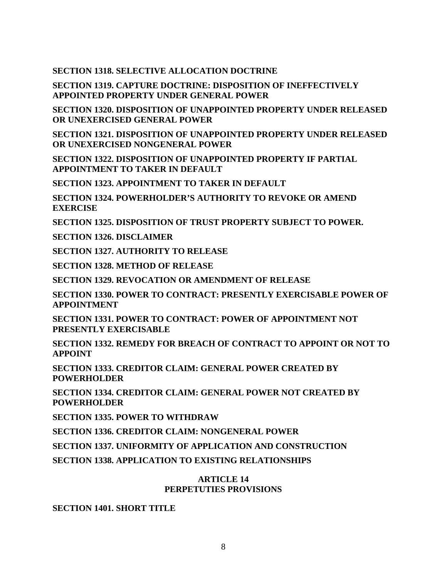**SECTION 1318. SELECTIVE ALLOCATION DOCTRINE** 

**SECTION 1319. CAPTURE DOCTRINE: DISPOSITION OF INEFFECTIVELY APPOINTED PROPERTY UNDER GENERAL POWER** 

**SECTION 1320. DISPOSITION OF UNAPPOINTED PROPERTY UNDER RELEASED OR UNEXERCISED GENERAL POWER** 

**SECTION 1321. DISPOSITION OF UNAPPOINTED PROPERTY UNDER RELEASED OR UNEXERCISED NONGENERAL POWER** 

**SECTION 1322. DISPOSITION OF UNAPPOINTED PROPERTY IF PARTIAL APPOINTMENT TO TAKER IN DEFAULT** 

**SECTION 1323. APPOINTMENT TO TAKER IN DEFAULT** 

**SECTION 1324. POWERHOLDER'S AUTHORITY TO REVOKE OR AMEND EXERCISE**

**SECTION 1325. DISPOSITION OF TRUST PROPERTY SUBJECT TO POWER.** 

**SECTION 1326. DISCLAIMER** 

**SECTION 1327. AUTHORITY TO RELEASE** 

**SECTION 1328. METHOD OF RELEASE** 

**SECTION 1329. REVOCATION OR AMENDMENT OF RELEASE** 

**SECTION 1330. POWER TO CONTRACT: PRESENTLY EXERCISABLE POWER OF APPOINTMENT** 

**SECTION 1331. POWER TO CONTRACT: POWER OF APPOINTMENT NOT PRESENTLY EXERCISABLE** 

**SECTION 1332. REMEDY FOR BREACH OF CONTRACT TO APPOINT OR NOT TO APPOINT** 

**SECTION 1333. CREDITOR CLAIM: GENERAL POWER CREATED BY POWERHOLDER** 

**SECTION 1334. CREDITOR CLAIM: GENERAL POWER NOT CREATED BY POWERHOLDER** 

**SECTION 1335. POWER TO WITHDRAW** 

**SECTION 1336. CREDITOR CLAIM: NONGENERAL POWER** 

**SECTION 1337. UNIFORMITY OF APPLICATION AND CONSTRUCTION** 

**SECTION 1338. APPLICATION TO EXISTING RELATIONSHIPS** 

# **ARTICLE 14 PERPETUTIES PROVISIONS**

**SECTION 1401. SHORT TITLE**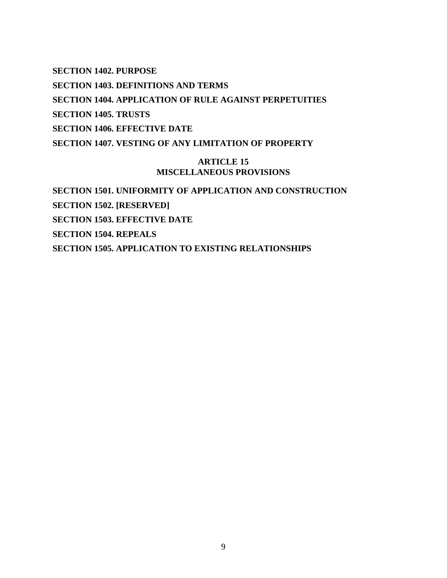**SECTION 1402. PURPOSE SECTION 1403. DEFINITIONS AND TERMS SECTION 1404. APPLICATION OF RULE AGAINST PERPETUITIES SECTION 1405. TRUSTS SECTION 1406. EFFECTIVE DATE SECTION 1407. VESTING OF ANY LIMITATION OF PROPERTY** 

# **ARTICLE 15 MISCELLANEOUS PROVISIONS**

**SECTION 1501. UNIFORMITY OF APPLICATION AND CONSTRUCTION SECTION 1502. [RESERVED] SECTION 1503. EFFECTIVE DATE SECTION 1504. REPEALS SECTION 1505. APPLICATION TO EXISTING RELATIONSHIPS**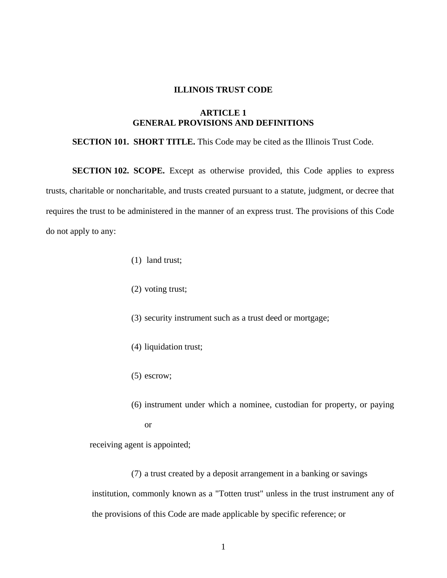### **ILLINOIS TRUST CODE**

# **ARTICLE 1 GENERAL PROVISIONS AND DEFINITIONS**

### **SECTION 101. SHORT TITLE.** This Code may be cited as the Illinois Trust Code.

**SECTION 102. SCOPE.** Except as otherwise provided, this Code applies to express trusts, charitable or noncharitable, and trusts created pursuant to a statute, judgment, or decree that requires the trust to be administered in the manner of an express trust. The provisions of this Code do not apply to any:

- (1) land trust;
- (2) voting trust;
- (3) security instrument such as a trust deed or mortgage;
- (4) liquidation trust;
- (5) escrow;
- (6) instrument under which a nominee, custodian for property, or paying or

receiving agent is appointed;

(7) a trust created by a deposit arrangement in a banking or savings institution, commonly known as a "Totten trust" unless in the trust instrument any of the provisions of this Code are made applicable by specific reference; or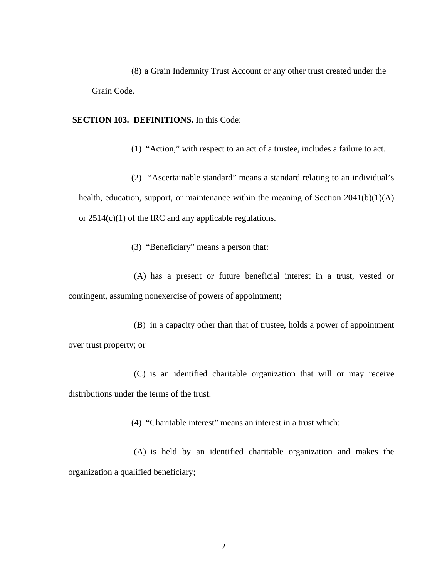(8) a Grain Indemnity Trust Account or any other trust created under the Grain Code.

**SECTION 103. DEFINITIONS.** In this Code:

(1) "Action," with respect to an act of a trustee, includes a failure to act.

(2) "Ascertainable standard" means a standard relating to an individual's health, education, support, or maintenance within the meaning of Section  $2041(b)(1)(A)$ or 2514(c)(1) of the IRC and any applicable regulations.

(3) "Beneficiary" means a person that:

(A) has a present or future beneficial interest in a trust, vested or contingent, assuming nonexercise of powers of appointment;

(B) in a capacity other than that of trustee, holds a power of appointment over trust property; or

(C) is an identified charitable organization that will or may receive distributions under the terms of the trust.

(4) "Charitable interest" means an interest in a trust which:

(A) is held by an identified charitable organization and makes the organization a qualified beneficiary;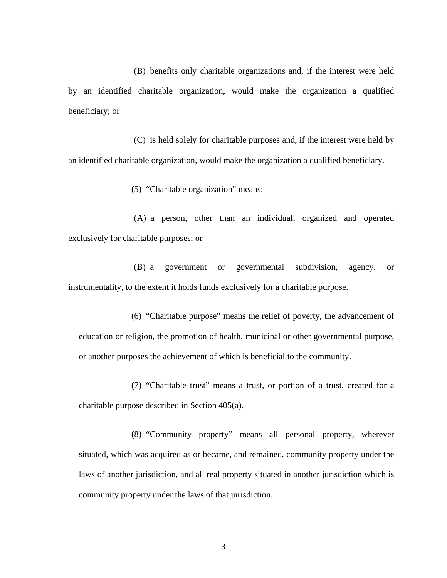(B) benefits only charitable organizations and, if the interest were held by an identified charitable organization, would make the organization a qualified beneficiary; or

(C) is held solely for charitable purposes and, if the interest were held by an identified charitable organization, would make the organization a qualified beneficiary.

(5) "Charitable organization" means:

(A) a person, other than an individual, organized and operated exclusively for charitable purposes; or

(B) a government or governmental subdivision, agency, or instrumentality, to the extent it holds funds exclusively for a charitable purpose.

(6) "Charitable purpose" means the relief of poverty, the advancement of education or religion, the promotion of health, municipal or other governmental purpose, or another purposes the achievement of which is beneficial to the community.

(7) "Charitable trust" means a trust, or portion of a trust, created for a charitable purpose described in Section 405(a).

(8) "Community property" means all personal property, wherever situated, which was acquired as or became, and remained, community property under the laws of another jurisdiction, and all real property situated in another jurisdiction which is community property under the laws of that jurisdiction.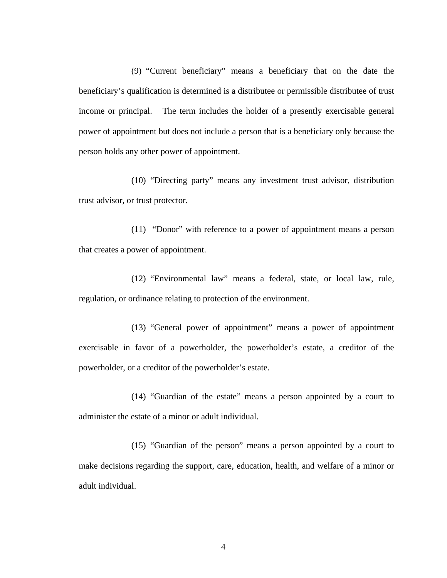(9) "Current beneficiary" means a beneficiary that on the date the beneficiary's qualification is determined is a distributee or permissible distributee of trust income or principal. The term includes the holder of a presently exercisable general power of appointment but does not include a person that is a beneficiary only because the person holds any other power of appointment.

(10) "Directing party" means any investment trust advisor, distribution trust advisor, or trust protector.

(11) "Donor" with reference to a power of appointment means a person that creates a power of appointment.

(12) "Environmental law" means a federal, state, or local law, rule, regulation, or ordinance relating to protection of the environment.

(13) "General power of appointment" means a power of appointment exercisable in favor of a powerholder, the powerholder's estate, a creditor of the powerholder, or a creditor of the powerholder's estate.

(14) "Guardian of the estate" means a person appointed by a court to administer the estate of a minor or adult individual.

(15) "Guardian of the person" means a person appointed by a court to make decisions regarding the support, care, education, health, and welfare of a minor or adult individual.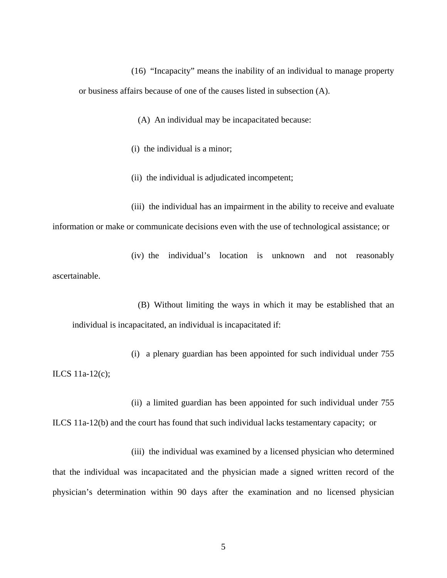(16) "Incapacity" means the inability of an individual to manage property or business affairs because of one of the causes listed in subsection (A).

(A) An individual may be incapacitated because:

(i) the individual is a minor;

(ii) the individual is adjudicated incompetent;

(iii) the individual has an impairment in the ability to receive and evaluate information or make or communicate decisions even with the use of technological assistance; or

(iv) the individual's location is unknown and not reasonably ascertainable.

(B) Without limiting the ways in which it may be established that an individual is incapacitated, an individual is incapacitated if:

(i) a plenary guardian has been appointed for such individual under 755 ILCS 11a-12(c);

(ii) a limited guardian has been appointed for such individual under 755 ILCS 11a-12(b) and the court has found that such individual lacks testamentary capacity; or

(iii) the individual was examined by a licensed physician who determined that the individual was incapacitated and the physician made a signed written record of the physician's determination within 90 days after the examination and no licensed physician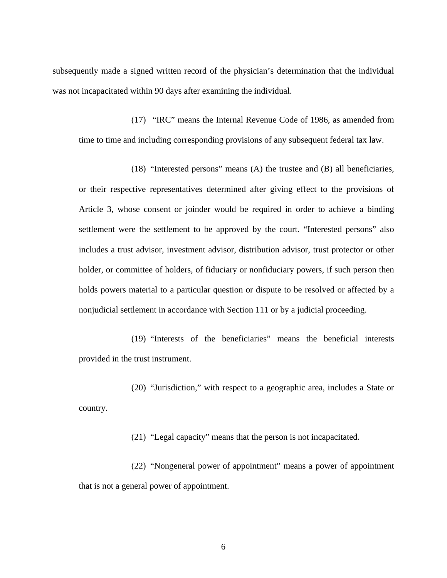subsequently made a signed written record of the physician's determination that the individual was not incapacitated within 90 days after examining the individual.

(17) "IRC" means the Internal Revenue Code of 1986, as amended from time to time and including corresponding provisions of any subsequent federal tax law.

(18) "Interested persons" means (A) the trustee and (B) all beneficiaries, or their respective representatives determined after giving effect to the provisions of Article 3, whose consent or joinder would be required in order to achieve a binding settlement were the settlement to be approved by the court. "Interested persons" also includes a trust advisor, investment advisor, distribution advisor, trust protector or other holder, or committee of holders, of fiduciary or nonfiduciary powers, if such person then holds powers material to a particular question or dispute to be resolved or affected by a nonjudicial settlement in accordance with Section 111 or by a judicial proceeding.

(19) "Interests of the beneficiaries" means the beneficial interests provided in the trust instrument.

(20) "Jurisdiction," with respect to a geographic area, includes a State or country.

(21) "Legal capacity" means that the person is not incapacitated.

(22) "Nongeneral power of appointment" means a power of appointment that is not a general power of appointment.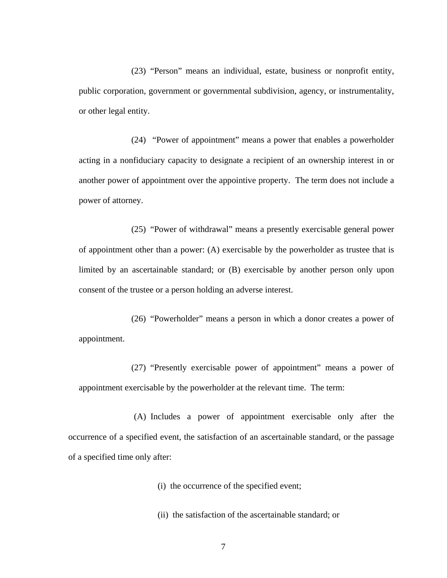(23) "Person" means an individual, estate, business or nonprofit entity, public corporation, government or governmental subdivision, agency, or instrumentality, or other legal entity.

(24) "Power of appointment" means a power that enables a powerholder acting in a nonfiduciary capacity to designate a recipient of an ownership interest in or another power of appointment over the appointive property. The term does not include a power of attorney.

(25) "Power of withdrawal" means a presently exercisable general power of appointment other than a power: (A) exercisable by the powerholder as trustee that is limited by an ascertainable standard; or (B) exercisable by another person only upon consent of the trustee or a person holding an adverse interest.

(26) "Powerholder" means a person in which a donor creates a power of appointment.

(27) "Presently exercisable power of appointment" means a power of appointment exercisable by the powerholder at the relevant time. The term:

(A) Includes a power of appointment exercisable only after the occurrence of a specified event, the satisfaction of an ascertainable standard, or the passage of a specified time only after:

(i) the occurrence of the specified event;

(ii) the satisfaction of the ascertainable standard; or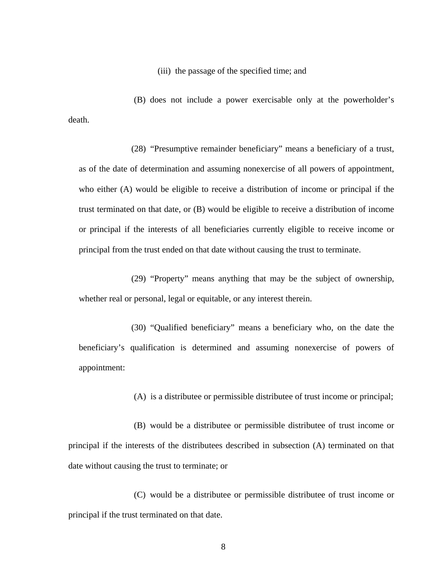(iii) the passage of the specified time; and

(B) does not include a power exercisable only at the powerholder's death.

(28) "Presumptive remainder beneficiary" means a beneficiary of a trust, as of the date of determination and assuming nonexercise of all powers of appointment, who either (A) would be eligible to receive a distribution of income or principal if the trust terminated on that date, or (B) would be eligible to receive a distribution of income or principal if the interests of all beneficiaries currently eligible to receive income or principal from the trust ended on that date without causing the trust to terminate.

(29) "Property" means anything that may be the subject of ownership, whether real or personal, legal or equitable, or any interest therein.

(30) "Qualified beneficiary" means a beneficiary who, on the date the beneficiary's qualification is determined and assuming nonexercise of powers of appointment:

(A) is a distributee or permissible distributee of trust income or principal;

(B) would be a distributee or permissible distributee of trust income or principal if the interests of the distributees described in subsection (A) terminated on that date without causing the trust to terminate; or

(C) would be a distributee or permissible distributee of trust income or principal if the trust terminated on that date.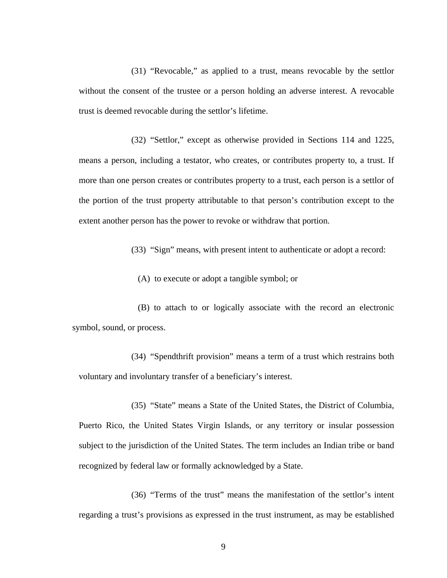(31) "Revocable," as applied to a trust, means revocable by the settlor without the consent of the trustee or a person holding an adverse interest. A revocable trust is deemed revocable during the settlor's lifetime.

(32) "Settlor," except as otherwise provided in Sections 114 and 1225, means a person, including a testator, who creates, or contributes property to, a trust. If more than one person creates or contributes property to a trust, each person is a settlor of the portion of the trust property attributable to that person's contribution except to the extent another person has the power to revoke or withdraw that portion.

(33) "Sign" means, with present intent to authenticate or adopt a record:

(A) to execute or adopt a tangible symbol; or

(B) to attach to or logically associate with the record an electronic symbol, sound, or process.

(34) "Spendthrift provision" means a term of a trust which restrains both voluntary and involuntary transfer of a beneficiary's interest.

(35) "State" means a State of the United States, the District of Columbia, Puerto Rico, the United States Virgin Islands, or any territory or insular possession subject to the jurisdiction of the United States. The term includes an Indian tribe or band recognized by federal law or formally acknowledged by a State.

(36) "Terms of the trust" means the manifestation of the settlor's intent regarding a trust's provisions as expressed in the trust instrument, as may be established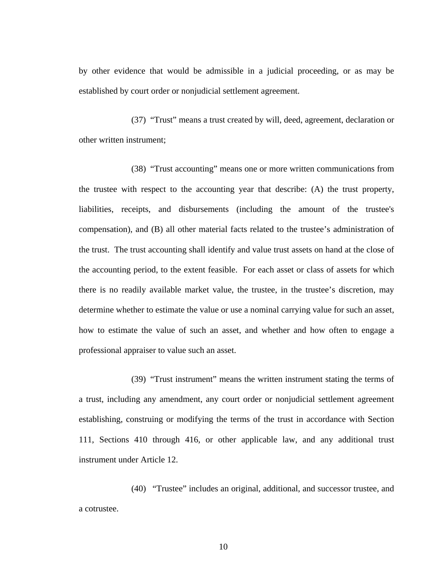by other evidence that would be admissible in a judicial proceeding, or as may be established by court order or nonjudicial settlement agreement.

(37) "Trust" means a trust created by will, deed, agreement, declaration or other written instrument;

(38) "Trust accounting" means one or more written communications from the trustee with respect to the accounting year that describe: (A) the trust property, liabilities, receipts, and disbursements (including the amount of the trustee's compensation), and (B) all other material facts related to the trustee's administration of the trust. The trust accounting shall identify and value trust assets on hand at the close of the accounting period, to the extent feasible. For each asset or class of assets for which there is no readily available market value, the trustee, in the trustee's discretion, may determine whether to estimate the value or use a nominal carrying value for such an asset, how to estimate the value of such an asset, and whether and how often to engage a professional appraiser to value such an asset.

(39) "Trust instrument" means the written instrument stating the terms of a trust, including any amendment, any court order or nonjudicial settlement agreement establishing, construing or modifying the terms of the trust in accordance with Section 111, Sections 410 through 416, or other applicable law, and any additional trust instrument under Article 12.

(40) "Trustee" includes an original, additional, and successor trustee, and a cotrustee.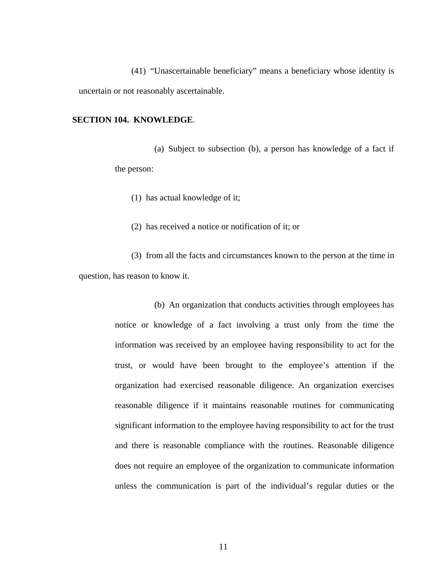(41) "Unascertainable beneficiary" means a beneficiary whose identity is uncertain or not reasonably ascertainable.

#### **SECTION 104. KNOWLEDGE**.

(a) Subject to subsection (b), a person has knowledge of a fact if the person:

(1) has actual knowledge of it;

(2) has received a notice or notification of it; or

(3) from all the facts and circumstances known to the person at the time in question, has reason to know it.

> (b) An organization that conducts activities through employees has notice or knowledge of a fact involving a trust only from the time the information was received by an employee having responsibility to act for the trust, or would have been brought to the employee's attention if the organization had exercised reasonable diligence. An organization exercises reasonable diligence if it maintains reasonable routines for communicating significant information to the employee having responsibility to act for the trust and there is reasonable compliance with the routines. Reasonable diligence does not require an employee of the organization to communicate information unless the communication is part of the individual's regular duties or the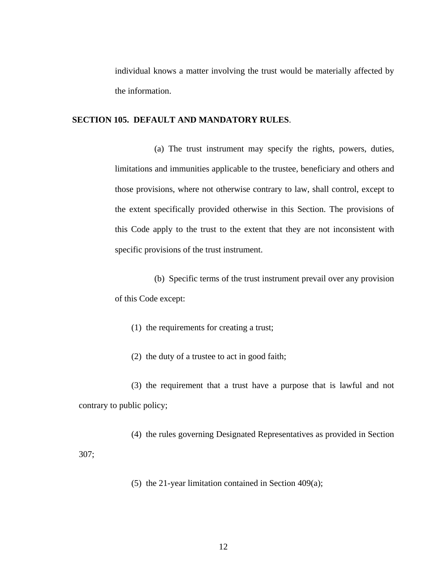individual knows a matter involving the trust would be materially affected by the information.

#### **SECTION 105. DEFAULT AND MANDATORY RULES**.

(a) The trust instrument may specify the rights, powers, duties, limitations and immunities applicable to the trustee, beneficiary and others and those provisions, where not otherwise contrary to law, shall control, except to the extent specifically provided otherwise in this Section. The provisions of this Code apply to the trust to the extent that they are not inconsistent with specific provisions of the trust instrument.

(b) Specific terms of the trust instrument prevail over any provision of this Code except:

(1) the requirements for creating a trust;

(2) the duty of a trustee to act in good faith;

(3) the requirement that a trust have a purpose that is lawful and not contrary to public policy;

(4) the rules governing Designated Representatives as provided in Section 307;

(5) the 21-year limitation contained in Section 409(a);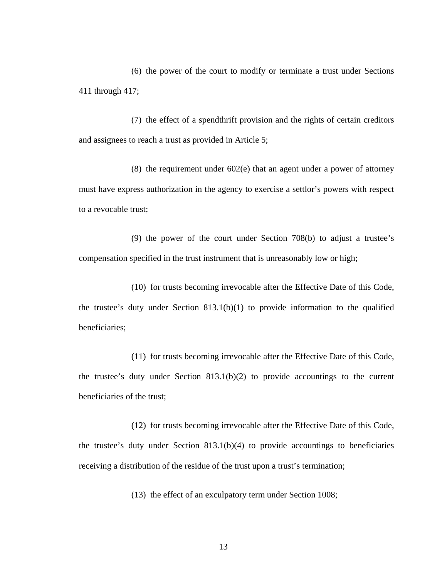(6) the power of the court to modify or terminate a trust under Sections 411 through 417;

(7) the effect of a spendthrift provision and the rights of certain creditors and assignees to reach a trust as provided in Article 5;

(8) the requirement under 602(e) that an agent under a power of attorney must have express authorization in the agency to exercise a settlor's powers with respect to a revocable trust;

(9) the power of the court under Section 708(b) to adjust a trustee's compensation specified in the trust instrument that is unreasonably low or high;

(10) for trusts becoming irrevocable after the Effective Date of this Code, the trustee's duty under Section 813.1(b)(1) to provide information to the qualified beneficiaries;

(11) for trusts becoming irrevocable after the Effective Date of this Code, the trustee's duty under Section 813.1(b)(2) to provide accountings to the current beneficiaries of the trust;

(12) for trusts becoming irrevocable after the Effective Date of this Code, the trustee's duty under Section 813.1(b)(4) to provide accountings to beneficiaries receiving a distribution of the residue of the trust upon a trust's termination;

(13) the effect of an exculpatory term under Section 1008;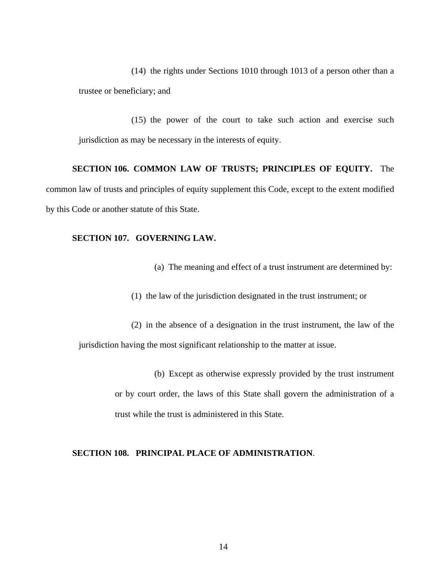(14) the rights under Sections 1010 through 1013 of a person other than a trustee or beneficiary; and

(15) the power of the court to take such action and exercise such jurisdiction as may be necessary in the interests of equity.

# **SECTION 106. COMMON LAW OF TRUSTS; PRINCIPLES OF EQUITY.** The

common law of trusts and principles of equity supplement this Code, except to the extent modified by this Code or another statute of this State.

# **SECTION 107. GOVERNING LAW.**

- (a) The meaning and effect of a trust instrument are determined by:
- (1) the law of the jurisdiction designated in the trust instrument; or

(2) in the absence of a designation in the trust instrument, the law of the jurisdiction having the most significant relationship to the matter at issue.

> (b) Except as otherwise expressly provided by the trust instrument or by court order, the laws of this State shall govern the administration of a trust while the trust is administered in this State.

### **SECTION 108. PRINCIPAL PLACE OF ADMINISTRATION**.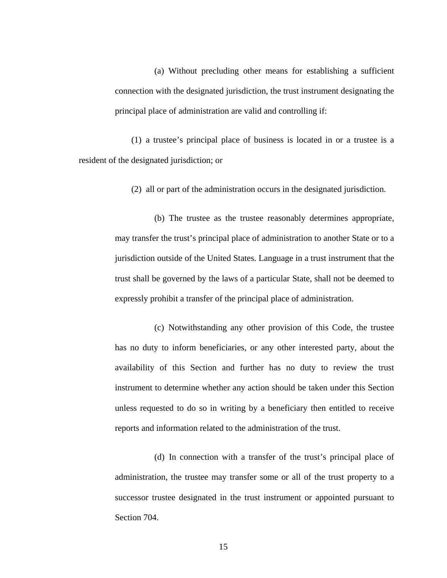(a) Without precluding other means for establishing a sufficient connection with the designated jurisdiction, the trust instrument designating the principal place of administration are valid and controlling if:

(1) a trustee's principal place of business is located in or a trustee is a resident of the designated jurisdiction; or

(2) all or part of the administration occurs in the designated jurisdiction.

(b) The trustee as the trustee reasonably determines appropriate, may transfer the trust's principal place of administration to another State or to a jurisdiction outside of the United States. Language in a trust instrument that the trust shall be governed by the laws of a particular State, shall not be deemed to expressly prohibit a transfer of the principal place of administration.

(c) Notwithstanding any other provision of this Code, the trustee has no duty to inform beneficiaries, or any other interested party, about the availability of this Section and further has no duty to review the trust instrument to determine whether any action should be taken under this Section unless requested to do so in writing by a beneficiary then entitled to receive reports and information related to the administration of the trust.

(d) In connection with a transfer of the trust's principal place of administration, the trustee may transfer some or all of the trust property to a successor trustee designated in the trust instrument or appointed pursuant to Section 704.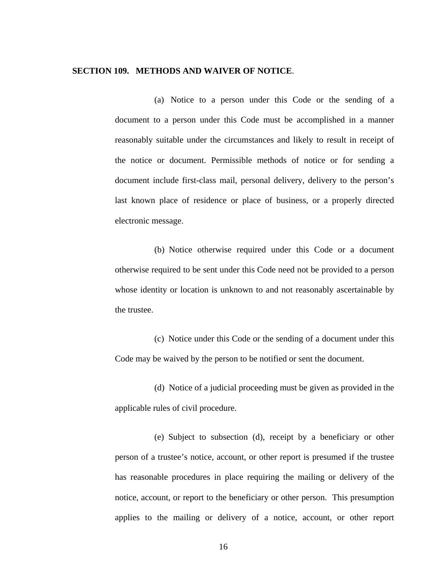#### **SECTION 109. METHODS AND WAIVER OF NOTICE**.

(a) Notice to a person under this Code or the sending of a document to a person under this Code must be accomplished in a manner reasonably suitable under the circumstances and likely to result in receipt of the notice or document. Permissible methods of notice or for sending a document include first-class mail, personal delivery, delivery to the person's last known place of residence or place of business, or a properly directed electronic message.

(b) Notice otherwise required under this Code or a document otherwise required to be sent under this Code need not be provided to a person whose identity or location is unknown to and not reasonably ascertainable by the trustee.

(c) Notice under this Code or the sending of a document under this Code may be waived by the person to be notified or sent the document.

(d) Notice of a judicial proceeding must be given as provided in the applicable rules of civil procedure.

(e) Subject to subsection (d), receipt by a beneficiary or other person of a trustee's notice, account, or other report is presumed if the trustee has reasonable procedures in place requiring the mailing or delivery of the notice, account, or report to the beneficiary or other person. This presumption applies to the mailing or delivery of a notice, account, or other report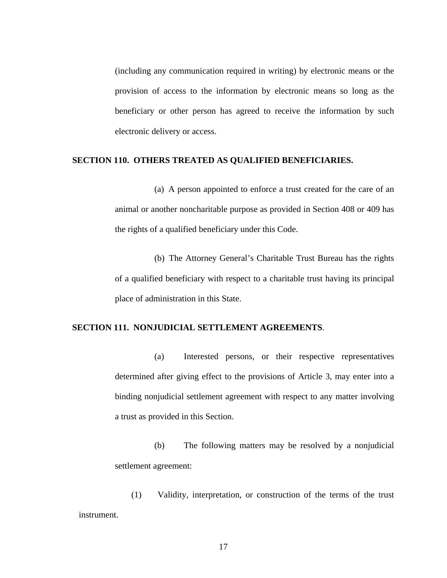(including any communication required in writing) by electronic means or the provision of access to the information by electronic means so long as the beneficiary or other person has agreed to receive the information by such electronic delivery or access.

#### **SECTION 110. OTHERS TREATED AS QUALIFIED BENEFICIARIES.**

(a) A person appointed to enforce a trust created for the care of an animal or another noncharitable purpose as provided in Section 408 or 409 has the rights of a qualified beneficiary under this Code.

(b) The Attorney General's Charitable Trust Bureau has the rights of a qualified beneficiary with respect to a charitable trust having its principal place of administration in this State.

#### **SECTION 111. NONJUDICIAL SETTLEMENT AGREEMENTS**.

(a) Interested persons, or their respective representatives determined after giving effect to the provisions of Article 3, may enter into a binding nonjudicial settlement agreement with respect to any matter involving a trust as provided in this Section.

(b) The following matters may be resolved by a nonjudicial settlement agreement:

(1) Validity, interpretation, or construction of the terms of the trust instrument.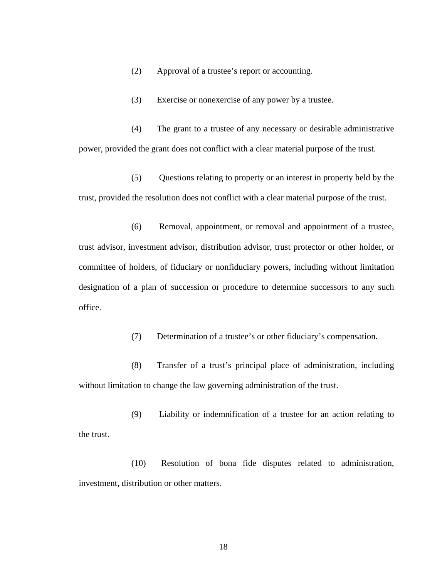(2) Approval of a trustee's report or accounting.

(3) Exercise or nonexercise of any power by a trustee.

(4) The grant to a trustee of any necessary or desirable administrative power, provided the grant does not conflict with a clear material purpose of the trust.

(5) Questions relating to property or an interest in property held by the trust, provided the resolution does not conflict with a clear material purpose of the trust.

(6) Removal, appointment, or removal and appointment of a trustee, trust advisor, investment advisor, distribution advisor, trust protector or other holder, or committee of holders, of fiduciary or nonfiduciary powers, including without limitation designation of a plan of succession or procedure to determine successors to any such office.

(7) Determination of a trustee's or other fiduciary's compensation.

(8) Transfer of a trust's principal place of administration, including without limitation to change the law governing administration of the trust.

(9) Liability or indemnification of a trustee for an action relating to the trust.

(10) Resolution of bona fide disputes related to administration, investment, distribution or other matters.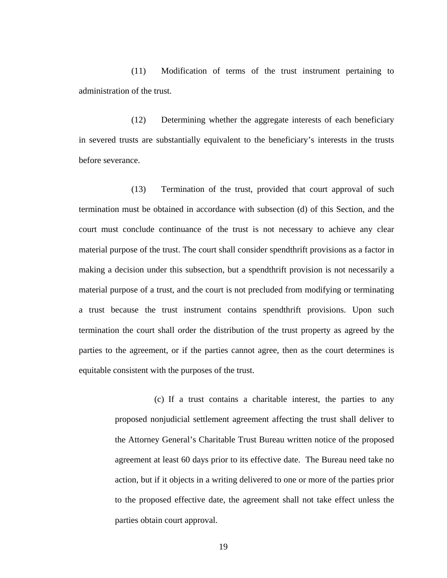(11) Modification of terms of the trust instrument pertaining to administration of the trust.

(12) Determining whether the aggregate interests of each beneficiary in severed trusts are substantially equivalent to the beneficiary's interests in the trusts before severance.

(13) Termination of the trust, provided that court approval of such termination must be obtained in accordance with subsection (d) of this Section, and the court must conclude continuance of the trust is not necessary to achieve any clear material purpose of the trust. The court shall consider spendthrift provisions as a factor in making a decision under this subsection, but a spendthrift provision is not necessarily a material purpose of a trust, and the court is not precluded from modifying or terminating a trust because the trust instrument contains spendthrift provisions. Upon such termination the court shall order the distribution of the trust property as agreed by the parties to the agreement, or if the parties cannot agree, then as the court determines is equitable consistent with the purposes of the trust.

> (c) If a trust contains a charitable interest, the parties to any proposed nonjudicial settlement agreement affecting the trust shall deliver to the Attorney General's Charitable Trust Bureau written notice of the proposed agreement at least 60 days prior to its effective date. The Bureau need take no action, but if it objects in a writing delivered to one or more of the parties prior to the proposed effective date, the agreement shall not take effect unless the parties obtain court approval.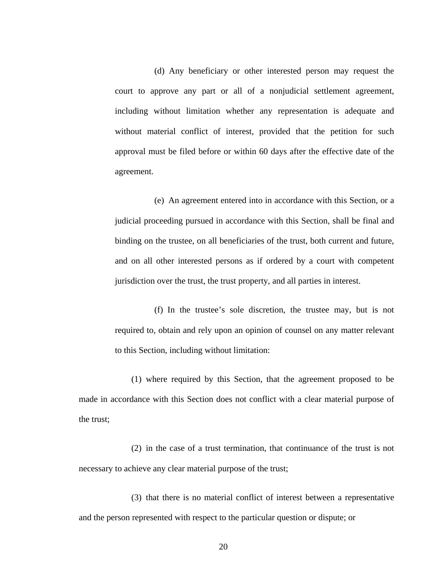(d) Any beneficiary or other interested person may request the court to approve any part or all of a nonjudicial settlement agreement, including without limitation whether any representation is adequate and without material conflict of interest, provided that the petition for such approval must be filed before or within 60 days after the effective date of the agreement.

(e) An agreement entered into in accordance with this Section, or a judicial proceeding pursued in accordance with this Section, shall be final and binding on the trustee, on all beneficiaries of the trust, both current and future, and on all other interested persons as if ordered by a court with competent jurisdiction over the trust, the trust property, and all parties in interest.

(f) In the trustee's sole discretion, the trustee may, but is not required to, obtain and rely upon an opinion of counsel on any matter relevant to this Section, including without limitation:

(1) where required by this Section, that the agreement proposed to be made in accordance with this Section does not conflict with a clear material purpose of the trust;

(2) in the case of a trust termination, that continuance of the trust is not necessary to achieve any clear material purpose of the trust;

(3) that there is no material conflict of interest between a representative and the person represented with respect to the particular question or dispute; or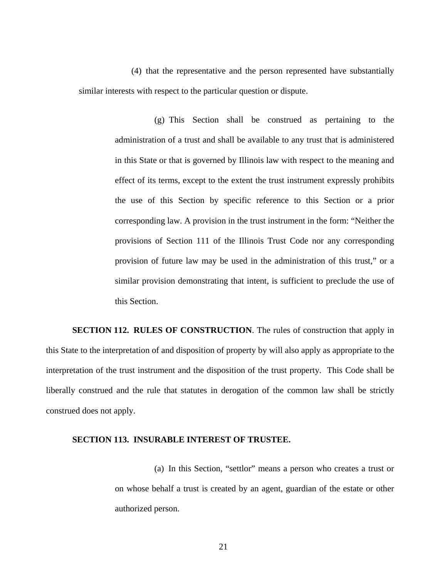(4) that the representative and the person represented have substantially similar interests with respect to the particular question or dispute.

> (g) This Section shall be construed as pertaining to the administration of a trust and shall be available to any trust that is administered in this State or that is governed by Illinois law with respect to the meaning and effect of its terms, except to the extent the trust instrument expressly prohibits the use of this Section by specific reference to this Section or a prior corresponding law. A provision in the trust instrument in the form: "Neither the provisions of Section 111 of the Illinois Trust Code nor any corresponding provision of future law may be used in the administration of this trust," or a similar provision demonstrating that intent, is sufficient to preclude the use of this Section.

**SECTION 112. RULES OF CONSTRUCTION**. The rules of construction that apply in this State to the interpretation of and disposition of property by will also apply as appropriate to the interpretation of the trust instrument and the disposition of the trust property. This Code shall be liberally construed and the rule that statutes in derogation of the common law shall be strictly construed does not apply.

#### **SECTION 113. INSURABLE INTEREST OF TRUSTEE.**

(a) In this Section, "settlor" means a person who creates a trust or on whose behalf a trust is created by an agent, guardian of the estate or other authorized person.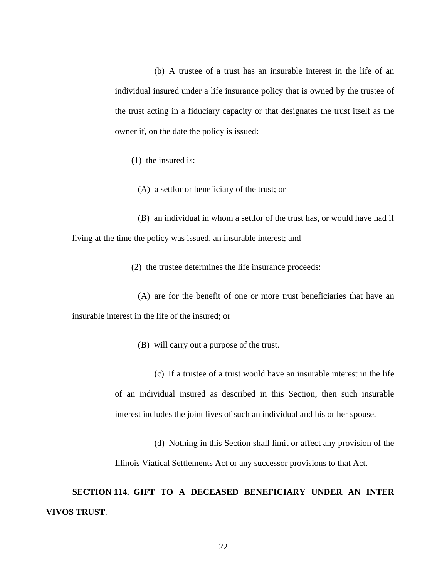(b) A trustee of a trust has an insurable interest in the life of an individual insured under a life insurance policy that is owned by the trustee of the trust acting in a fiduciary capacity or that designates the trust itself as the owner if, on the date the policy is issued:

(1) the insured is:

(A) a settlor or beneficiary of the trust; or

(B) an individual in whom a settlor of the trust has, or would have had if living at the time the policy was issued, an insurable interest; and

(2) the trustee determines the life insurance proceeds:

(A) are for the benefit of one or more trust beneficiaries that have an insurable interest in the life of the insured; or

(B) will carry out a purpose of the trust.

(c) If a trustee of a trust would have an insurable interest in the life of an individual insured as described in this Section, then such insurable interest includes the joint lives of such an individual and his or her spouse.

(d) Nothing in this Section shall limit or affect any provision of the Illinois Viatical Settlements Act or any successor provisions to that Act.

**SECTION 114. GIFT TO A DECEASED BENEFICIARY UNDER AN INTER VIVOS TRUST**.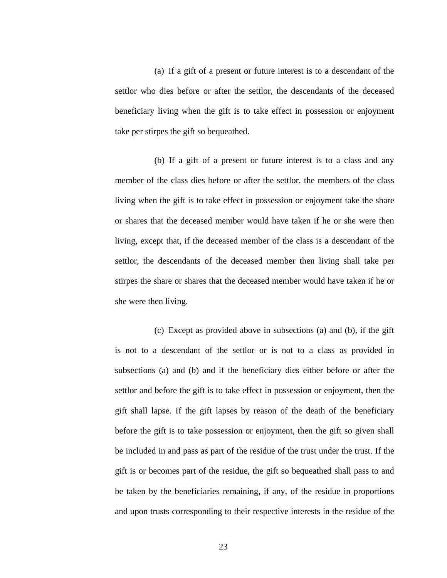(a) If a gift of a present or future interest is to a descendant of the settlor who dies before or after the settlor, the descendants of the deceased beneficiary living when the gift is to take effect in possession or enjoyment take per stirpes the gift so bequeathed.

(b) If a gift of a present or future interest is to a class and any member of the class dies before or after the settlor, the members of the class living when the gift is to take effect in possession or enjoyment take the share or shares that the deceased member would have taken if he or she were then living, except that, if the deceased member of the class is a descendant of the settlor, the descendants of the deceased member then living shall take per stirpes the share or shares that the deceased member would have taken if he or she were then living.

(c) Except as provided above in subsections (a) and (b), if the gift is not to a descendant of the settlor or is not to a class as provided in subsections (a) and (b) and if the beneficiary dies either before or after the settlor and before the gift is to take effect in possession or enjoyment, then the gift shall lapse. If the gift lapses by reason of the death of the beneficiary before the gift is to take possession or enjoyment, then the gift so given shall be included in and pass as part of the residue of the trust under the trust. If the gift is or becomes part of the residue, the gift so bequeathed shall pass to and be taken by the beneficiaries remaining, if any, of the residue in proportions and upon trusts corresponding to their respective interests in the residue of the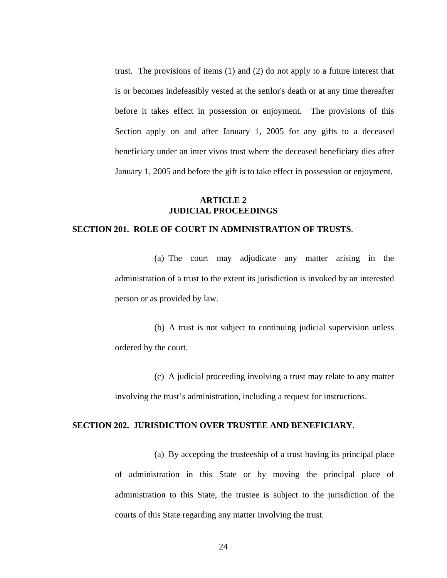trust. The provisions of items (1) and (2) do not apply to a future interest that is or becomes indefeasibly vested at the settlor's death or at any time thereafter before it takes effect in possession or enjoyment. The provisions of this Section apply on and after January 1, 2005 for any gifts to a deceased beneficiary under an inter vivos trust where the deceased beneficiary dies after January 1, 2005 and before the gift is to take effect in possession or enjoyment.

### **ARTICLE 2 JUDICIAL PROCEEDINGS**

#### **SECTION 201. ROLE OF COURT IN ADMINISTRATION OF TRUSTS**.

(a) The court may adjudicate any matter arising in the administration of a trust to the extent its jurisdiction is invoked by an interested person or as provided by law.

(b) A trust is not subject to continuing judicial supervision unless ordered by the court.

(c) A judicial proceeding involving a trust may relate to any matter involving the trust's administration, including a request for instructions.

### **SECTION 202. JURISDICTION OVER TRUSTEE AND BENEFICIARY**.

(a) By accepting the trusteeship of a trust having its principal place of administration in this State or by moving the principal place of administration to this State, the trustee is subject to the jurisdiction of the courts of this State regarding any matter involving the trust.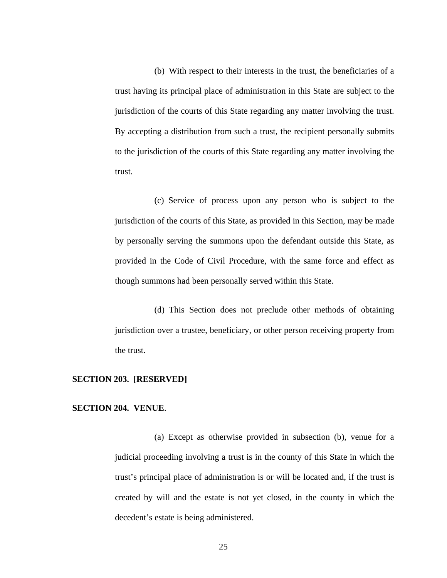(b) With respect to their interests in the trust, the beneficiaries of a trust having its principal place of administration in this State are subject to the jurisdiction of the courts of this State regarding any matter involving the trust. By accepting a distribution from such a trust, the recipient personally submits to the jurisdiction of the courts of this State regarding any matter involving the trust.

(c) Service of process upon any person who is subject to the jurisdiction of the courts of this State, as provided in this Section, may be made by personally serving the summons upon the defendant outside this State, as provided in the Code of Civil Procedure, with the same force and effect as though summons had been personally served within this State.

(d) This Section does not preclude other methods of obtaining jurisdiction over a trustee, beneficiary, or other person receiving property from the trust.

# **SECTION 203. [RESERVED]**

#### **SECTION 204. VENUE**.

(a) Except as otherwise provided in subsection (b), venue for a judicial proceeding involving a trust is in the county of this State in which the trust's principal place of administration is or will be located and, if the trust is created by will and the estate is not yet closed, in the county in which the decedent's estate is being administered.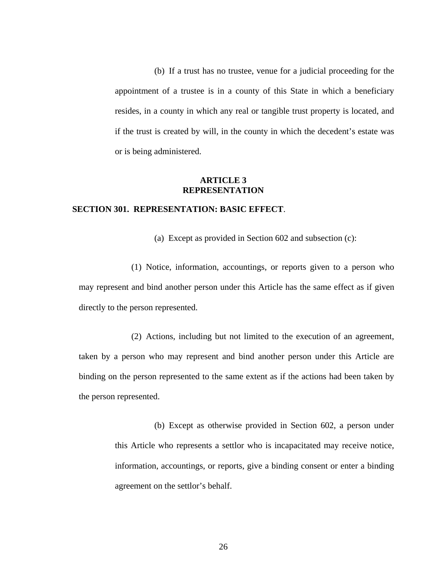(b) If a trust has no trustee, venue for a judicial proceeding for the appointment of a trustee is in a county of this State in which a beneficiary resides, in a county in which any real or tangible trust property is located, and if the trust is created by will, in the county in which the decedent's estate was or is being administered.

#### **ARTICLE 3 REPRESENTATION**

## **SECTION 301. REPRESENTATION: BASIC EFFECT**.

(a) Except as provided in Section 602 and subsection (c):

(1) Notice, information, accountings, or reports given to a person who may represent and bind another person under this Article has the same effect as if given directly to the person represented.

(2) Actions, including but not limited to the execution of an agreement, taken by a person who may represent and bind another person under this Article are binding on the person represented to the same extent as if the actions had been taken by the person represented.

> (b) Except as otherwise provided in Section 602, a person under this Article who represents a settlor who is incapacitated may receive notice, information, accountings, or reports, give a binding consent or enter a binding agreement on the settlor's behalf.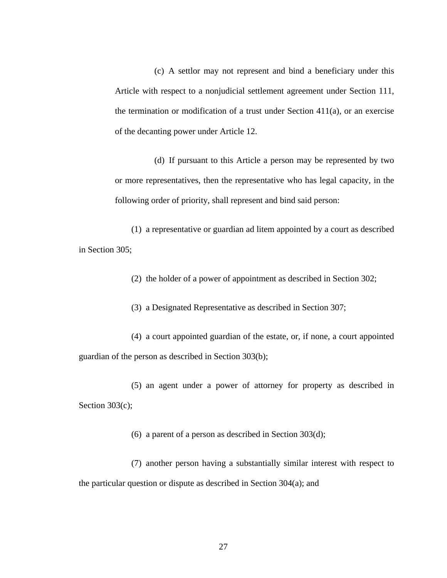(c) A settlor may not represent and bind a beneficiary under this Article with respect to a nonjudicial settlement agreement under Section 111, the termination or modification of a trust under Section  $411(a)$ , or an exercise of the decanting power under Article 12.

(d) If pursuant to this Article a person may be represented by two or more representatives, then the representative who has legal capacity, in the following order of priority, shall represent and bind said person:

(1) a representative or guardian ad litem appointed by a court as described in Section 305;

(2) the holder of a power of appointment as described in Section 302;

(3) a Designated Representative as described in Section 307;

(4) a court appointed guardian of the estate, or, if none, a court appointed guardian of the person as described in Section 303(b);

(5) an agent under a power of attorney for property as described in Section 303(c);

(6) a parent of a person as described in Section 303(d);

(7) another person having a substantially similar interest with respect to the particular question or dispute as described in Section 304(a); and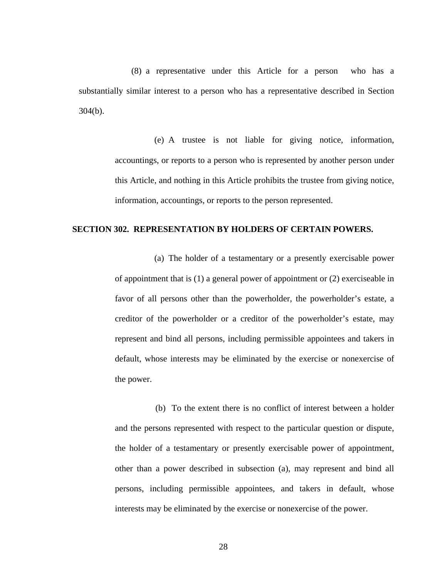(8) a representative under this Article for a person who has a substantially similar interest to a person who has a representative described in Section 304(b).

> (e) A trustee is not liable for giving notice, information, accountings, or reports to a person who is represented by another person under this Article, and nothing in this Article prohibits the trustee from giving notice, information, accountings, or reports to the person represented.

### **SECTION 302. REPRESENTATION BY HOLDERS OF CERTAIN POWERS.**

(a) The holder of a testamentary or a presently exercisable power of appointment that is (1) a general power of appointment or (2) exerciseable in favor of all persons other than the powerholder, the powerholder's estate, a creditor of the powerholder or a creditor of the powerholder's estate, may represent and bind all persons, including permissible appointees and takers in default, whose interests may be eliminated by the exercise or nonexercise of the power.

 (b) To the extent there is no conflict of interest between a holder and the persons represented with respect to the particular question or dispute, the holder of a testamentary or presently exercisable power of appointment, other than a power described in subsection (a), may represent and bind all persons, including permissible appointees, and takers in default, whose interests may be eliminated by the exercise or nonexercise of the power.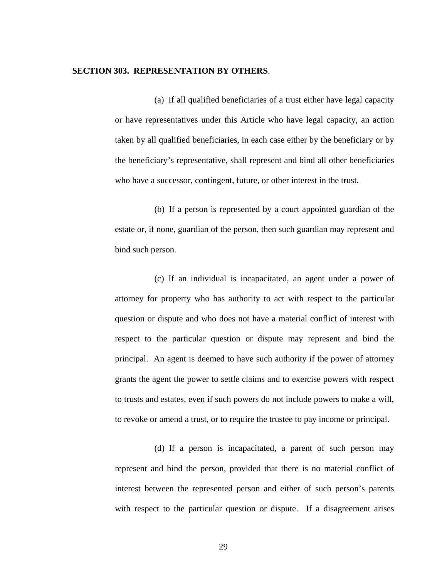### **SECTION 303. REPRESENTATION BY OTHERS**.

(a) If all qualified beneficiaries of a trust either have legal capacity or have representatives under this Article who have legal capacity, an action taken by all qualified beneficiaries, in each case either by the beneficiary or by the beneficiary's representative, shall represent and bind all other beneficiaries who have a successor, contingent, future, or other interest in the trust.

(b) If a person is represented by a court appointed guardian of the estate or, if none, guardian of the person, then such guardian may represent and bind such person.

(c) If an individual is incapacitated, an agent under a power of attorney for property who has authority to act with respect to the particular question or dispute and who does not have a material conflict of interest with respect to the particular question or dispute may represent and bind the principal. An agent is deemed to have such authority if the power of attorney grants the agent the power to settle claims and to exercise powers with respect to trusts and estates, even if such powers do not include powers to make a will, to revoke or amend a trust, or to require the trustee to pay income or principal.

(d) If a person is incapacitated, a parent of such person may represent and bind the person, provided that there is no material conflict of interest between the represented person and either of such person's parents with respect to the particular question or dispute. If a disagreement arises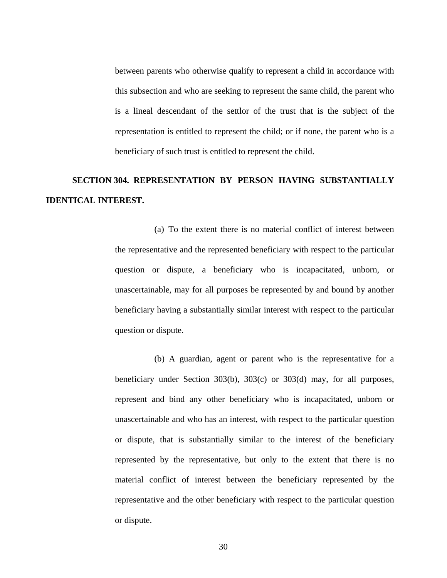between parents who otherwise qualify to represent a child in accordance with this subsection and who are seeking to represent the same child, the parent who is a lineal descendant of the settlor of the trust that is the subject of the representation is entitled to represent the child; or if none, the parent who is a beneficiary of such trust is entitled to represent the child.

## **SECTION 304. REPRESENTATION BY PERSON HAVING SUBSTANTIALLY IDENTICAL INTEREST.**

(a) To the extent there is no material conflict of interest between the representative and the represented beneficiary with respect to the particular question or dispute, a beneficiary who is incapacitated, unborn, or unascertainable, may for all purposes be represented by and bound by another beneficiary having a substantially similar interest with respect to the particular question or dispute.

(b) A guardian, agent or parent who is the representative for a beneficiary under Section 303(b), 303(c) or 303(d) may, for all purposes, represent and bind any other beneficiary who is incapacitated, unborn or unascertainable and who has an interest, with respect to the particular question or dispute, that is substantially similar to the interest of the beneficiary represented by the representative, but only to the extent that there is no material conflict of interest between the beneficiary represented by the representative and the other beneficiary with respect to the particular question or dispute.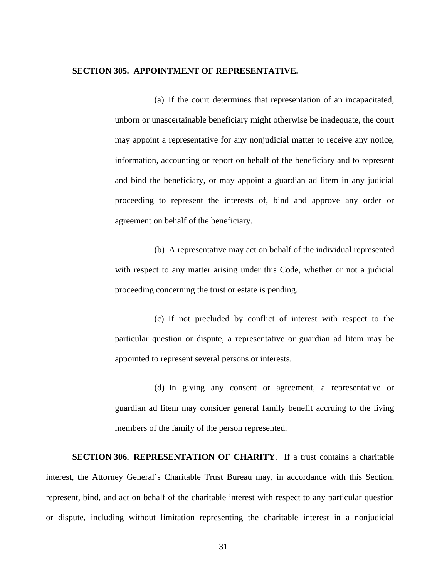### **SECTION 305. APPOINTMENT OF REPRESENTATIVE.**

(a) If the court determines that representation of an incapacitated, unborn or unascertainable beneficiary might otherwise be inadequate, the court may appoint a representative for any nonjudicial matter to receive any notice, information, accounting or report on behalf of the beneficiary and to represent and bind the beneficiary, or may appoint a guardian ad litem in any judicial proceeding to represent the interests of, bind and approve any order or agreement on behalf of the beneficiary.

(b) A representative may act on behalf of the individual represented with respect to any matter arising under this Code, whether or not a judicial proceeding concerning the trust or estate is pending.

(c) If not precluded by conflict of interest with respect to the particular question or dispute, a representative or guardian ad litem may be appointed to represent several persons or interests.

(d) In giving any consent or agreement, a representative or guardian ad litem may consider general family benefit accruing to the living members of the family of the person represented.

**SECTION 306. REPRESENTATION OF CHARITY**. If a trust contains a charitable interest, the Attorney General's Charitable Trust Bureau may, in accordance with this Section, represent, bind, and act on behalf of the charitable interest with respect to any particular question or dispute, including without limitation representing the charitable interest in a nonjudicial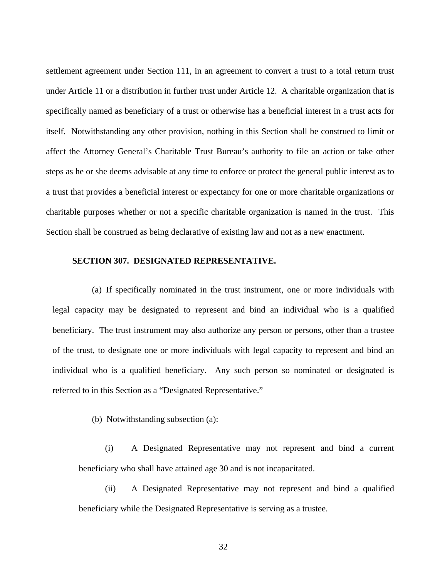settlement agreement under Section 111, in an agreement to convert a trust to a total return trust under Article 11 or a distribution in further trust under Article 12.A charitable organization that is specifically named as beneficiary of a trust or otherwise has a beneficial interest in a trust acts for itself. Notwithstanding any other provision, nothing in this Section shall be construed to limit or affect the Attorney General's Charitable Trust Bureau's authority to file an action or take other steps as he or she deems advisable at any time to enforce or protect the general public interest as to a trust that provides a beneficial interest or expectancy for one or more charitable organizations or charitable purposes whether or not a specific charitable organization is named in the trust. This Section shall be construed as being declarative of existing law and not as a new enactment.

## **SECTION 307. DESIGNATED REPRESENTATIVE.**

(a) If specifically nominated in the trust instrument, one or more individuals with legal capacity may be designated to represent and bind an individual who is a qualified beneficiary. The trust instrument may also authorize any person or persons, other than a trustee of the trust, to designate one or more individuals with legal capacity to represent and bind an individual who is a qualified beneficiary. Any such person so nominated or designated is referred to in this Section as a "Designated Representative."

(b) Notwithstanding subsection (a):

(i) A Designated Representative may not represent and bind a current beneficiary who shall have attained age 30 and is not incapacitated.

(ii) A Designated Representative may not represent and bind a qualified beneficiary while the Designated Representative is serving as a trustee.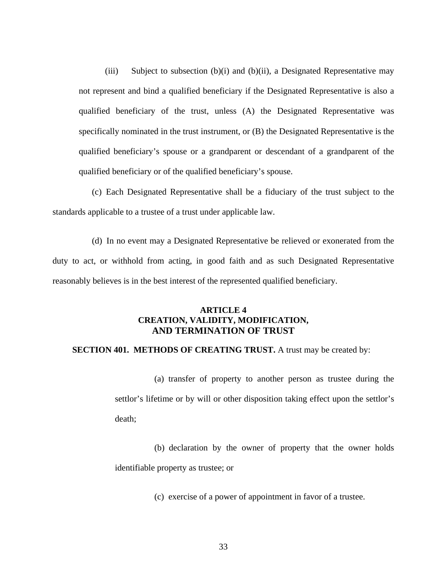(iii) Subject to subsection (b)(i) and (b)(ii), a Designated Representative may not represent and bind a qualified beneficiary if the Designated Representative is also a qualified beneficiary of the trust, unless (A) the Designated Representative was specifically nominated in the trust instrument, or (B) the Designated Representative is the qualified beneficiary's spouse or a grandparent or descendant of a grandparent of the qualified beneficiary or of the qualified beneficiary's spouse.

(c) Each Designated Representative shall be a fiduciary of the trust subject to the standards applicable to a trustee of a trust under applicable law.

(d) In no event may a Designated Representative be relieved or exonerated from the duty to act, or withhold from acting, in good faith and as such Designated Representative reasonably believes is in the best interest of the represented qualified beneficiary.

## **ARTICLE 4 CREATION, VALIDITY, MODIFICATION, AND TERMINATION OF TRUST**

## **SECTION 401. METHODS OF CREATING TRUST.** A trust may be created by:

(a) transfer of property to another person as trustee during the settlor's lifetime or by will or other disposition taking effect upon the settlor's death;

(b) declaration by the owner of property that the owner holds identifiable property as trustee; or

(c) exercise of a power of appointment in favor of a trustee.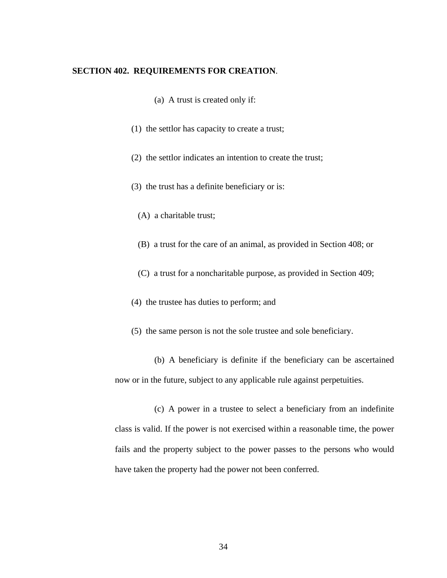## **SECTION 402. REQUIREMENTS FOR CREATION**.

- (a) A trust is created only if:
- (1) the settlor has capacity to create a trust;
- (2) the settlor indicates an intention to create the trust;
- (3) the trust has a definite beneficiary or is:
	- (A) a charitable trust;
	- (B) a trust for the care of an animal, as provided in Section 408; or
	- (C) a trust for a noncharitable purpose, as provided in Section 409;
- (4) the trustee has duties to perform; and
- (5) the same person is not the sole trustee and sole beneficiary.

(b) A beneficiary is definite if the beneficiary can be ascertained now or in the future, subject to any applicable rule against perpetuities.

(c) A power in a trustee to select a beneficiary from an indefinite class is valid. If the power is not exercised within a reasonable time, the power fails and the property subject to the power passes to the persons who would have taken the property had the power not been conferred.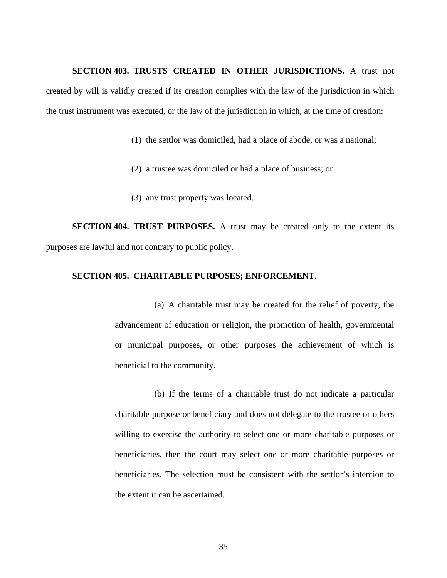#### **SECTION 403. TRUSTS CREATED IN OTHER JURISDICTIONS.** A trust not

created by will is validly created if its creation complies with the law of the jurisdiction in which the trust instrument was executed, or the law of the jurisdiction in which, at the time of creation:

- (1) the settlor was domiciled, had a place of abode, or was a national;
- (2) a trustee was domiciled or had a place of business; or
- (3) any trust property was located.

**SECTION 404. TRUST PURPOSES.** A trust may be created only to the extent its purposes are lawful and not contrary to public policy.

### **SECTION 405. CHARITABLE PURPOSES; ENFORCEMENT**.

(a) A charitable trust may be created for the relief of poverty, the advancement of education or religion, the promotion of health, governmental or municipal purposes, or other purposes the achievement of which is beneficial to the community.

(b) If the terms of a charitable trust do not indicate a particular charitable purpose or beneficiary and does not delegate to the trustee or others willing to exercise the authority to select one or more charitable purposes or beneficiaries, then the court may select one or more charitable purposes or beneficiaries. The selection must be consistent with the settlor's intention to the extent it can be ascertained.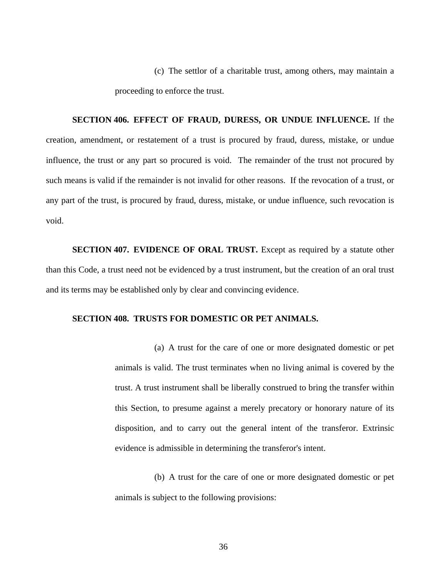(c) The settlor of a charitable trust, among others, may maintain a proceeding to enforce the trust.

**SECTION 406. EFFECT OF FRAUD, DURESS, OR UNDUE INFLUENCE.** If the creation, amendment, or restatement of a trust is procured by fraud, duress, mistake, or undue influence, the trust or any part so procured is void. The remainder of the trust not procured by such means is valid if the remainder is not invalid for other reasons. If the revocation of a trust, or any part of the trust, is procured by fraud, duress, mistake, or undue influence, such revocation is void.

**SECTION 407. EVIDENCE OF ORAL TRUST.** Except as required by a statute other than this Code, a trust need not be evidenced by a trust instrument, but the creation of an oral trust and its terms may be established only by clear and convincing evidence.

## **SECTION 408. TRUSTS FOR DOMESTIC OR PET ANIMALS.**

(a) A trust for the care of one or more designated domestic or pet animals is valid. The trust terminates when no living animal is covered by the trust. A trust instrument shall be liberally construed to bring the transfer within this Section, to presume against a merely precatory or honorary nature of its disposition, and to carry out the general intent of the transferor. Extrinsic evidence is admissible in determining the transferor's intent.

(b) A trust for the care of one or more designated domestic or pet animals is subject to the following provisions: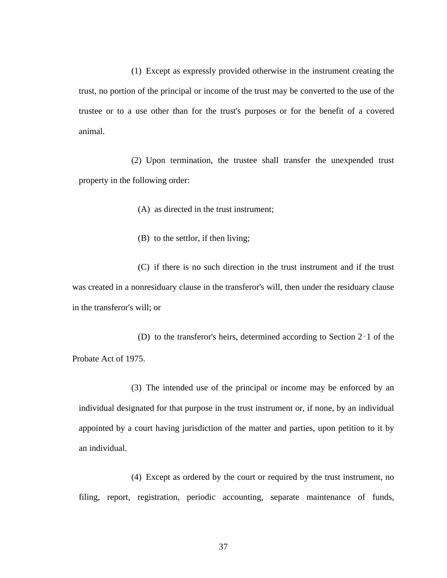(1) Except as expressly provided otherwise in the instrument creating the trust, no portion of the principal or income of the trust may be converted to the use of the trustee or to a use other than for the trust's purposes or for the benefit of a covered animal.

(2) Upon termination, the trustee shall transfer the unexpended trust property in the following order:

(A) as directed in the trust instrument;

(B) to the settlor, if then living;

(C) if there is no such direction in the trust instrument and if the trust was created in a nonresiduary clause in the transferor's will, then under the residuary clause in the transferor's will; or

(D) to the transferor's heirs, determined according to Section 2‑1 of the Probate Act of 1975.

(3) The intended use of the principal or income may be enforced by an individual designated for that purpose in the trust instrument or, if none, by an individual appointed by a court having jurisdiction of the matter and parties, upon petition to it by an individual.

(4) Except as ordered by the court or required by the trust instrument, no filing, report, registration, periodic accounting, separate maintenance of funds,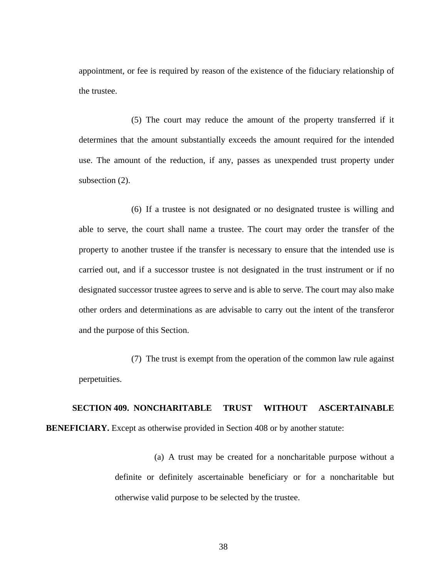appointment, or fee is required by reason of the existence of the fiduciary relationship of the trustee.

(5) The court may reduce the amount of the property transferred if it determines that the amount substantially exceeds the amount required for the intended use. The amount of the reduction, if any, passes as unexpended trust property under subsection  $(2)$ .

(6) If a trustee is not designated or no designated trustee is willing and able to serve, the court shall name a trustee. The court may order the transfer of the property to another trustee if the transfer is necessary to ensure that the intended use is carried out, and if a successor trustee is not designated in the trust instrument or if no designated successor trustee agrees to serve and is able to serve. The court may also make other orders and determinations as are advisable to carry out the intent of the transferor and the purpose of this Section.

(7) The trust is exempt from the operation of the common law rule against perpetuities.

**SECTION 409. NONCHARITABLE TRUST WITHOUT ASCERTAINABLE BENEFICIARY.** Except as otherwise provided in Section 408 or by another statute:

> (a) A trust may be created for a noncharitable purpose without a definite or definitely ascertainable beneficiary or for a noncharitable but otherwise valid purpose to be selected by the trustee.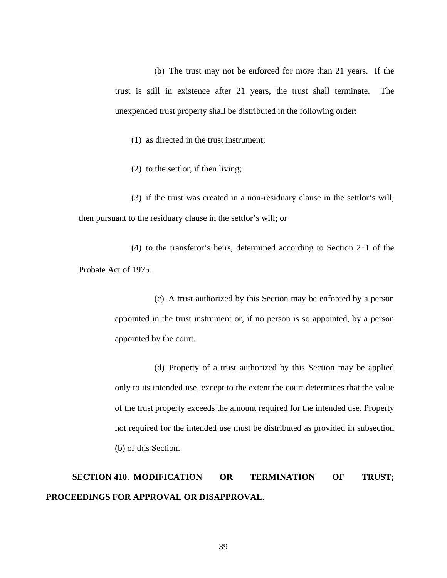(b) The trust may not be enforced for more than 21 years. If the trust is still in existence after 21 years, the trust shall terminate. The unexpended trust property shall be distributed in the following order:

(1) as directed in the trust instrument;

(2) to the settlor, if then living;

(3) if the trust was created in a non-residuary clause in the settlor's will, then pursuant to the residuary clause in the settlor's will; or

(4) to the transferor's heirs, determined according to Section 2‑1 of the Probate Act of 1975.

> (c) A trust authorized by this Section may be enforced by a person appointed in the trust instrument or, if no person is so appointed, by a person appointed by the court.

> (d) Property of a trust authorized by this Section may be applied only to its intended use, except to the extent the court determines that the value of the trust property exceeds the amount required for the intended use. Property not required for the intended use must be distributed as provided in subsection (b) of this Section.

## **SECTION 410. MODIFICATION OR TERMINATION OF TRUST; PROCEEDINGS FOR APPROVAL OR DISAPPROVAL**.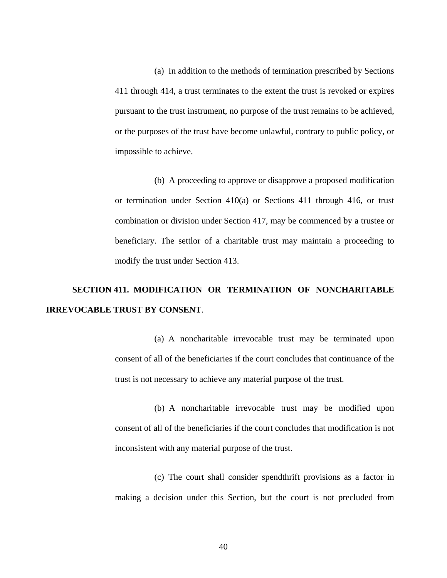(a) In addition to the methods of termination prescribed by Sections 411 through 414, a trust terminates to the extent the trust is revoked or expires pursuant to the trust instrument, no purpose of the trust remains to be achieved, or the purposes of the trust have become unlawful, contrary to public policy, or impossible to achieve.

(b) A proceeding to approve or disapprove a proposed modification or termination under Section 410(a) or Sections 411 through 416, or trust combination or division under Section 417, may be commenced by a trustee or beneficiary. The settlor of a charitable trust may maintain a proceeding to modify the trust under Section 413.

## **SECTION 411. MODIFICATION OR TERMINATION OF NONCHARITABLE IRREVOCABLE TRUST BY CONSENT**.

(a) A noncharitable irrevocable trust may be terminated upon consent of all of the beneficiaries if the court concludes that continuance of the trust is not necessary to achieve any material purpose of the trust.

(b) A noncharitable irrevocable trust may be modified upon consent of all of the beneficiaries if the court concludes that modification is not inconsistent with any material purpose of the trust.

(c) The court shall consider spendthrift provisions as a factor in making a decision under this Section, but the court is not precluded from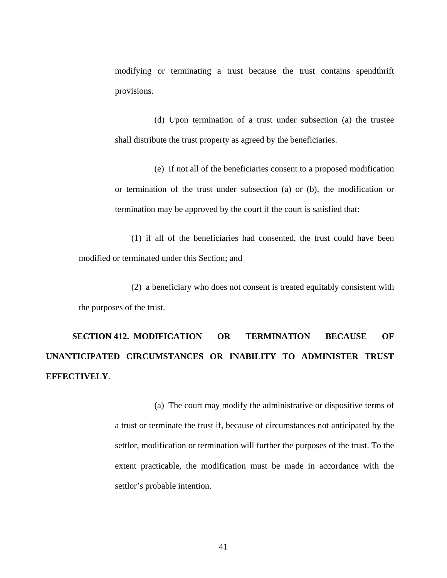modifying or terminating a trust because the trust contains spendthrift provisions.

(d) Upon termination of a trust under subsection (a) the trustee shall distribute the trust property as agreed by the beneficiaries.

(e) If not all of the beneficiaries consent to a proposed modification or termination of the trust under subsection (a) or (b), the modification or termination may be approved by the court if the court is satisfied that:

(1) if all of the beneficiaries had consented, the trust could have been modified or terminated under this Section; and

(2) a beneficiary who does not consent is treated equitably consistent with the purposes of the trust.

**SECTION 412. MODIFICATION OR TERMINATION BECAUSE OF UNANTICIPATED CIRCUMSTANCES OR INABILITY TO ADMINISTER TRUST EFFECTIVELY**.

> (a) The court may modify the administrative or dispositive terms of a trust or terminate the trust if, because of circumstances not anticipated by the settlor, modification or termination will further the purposes of the trust. To the extent practicable, the modification must be made in accordance with the settlor's probable intention.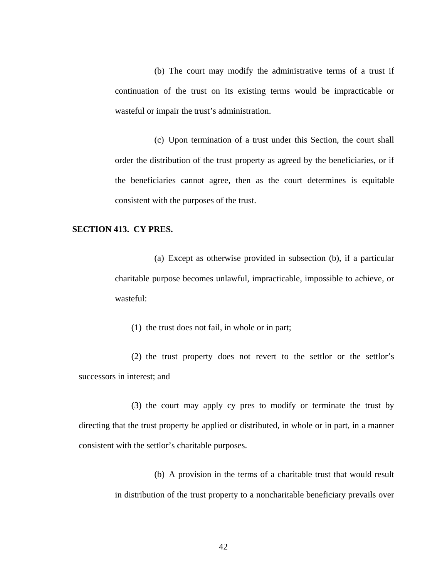(b) The court may modify the administrative terms of a trust if continuation of the trust on its existing terms would be impracticable or wasteful or impair the trust's administration.

(c) Upon termination of a trust under this Section, the court shall order the distribution of the trust property as agreed by the beneficiaries, or if the beneficiaries cannot agree, then as the court determines is equitable consistent with the purposes of the trust.

## **SECTION 413. CY PRES.**

(a) Except as otherwise provided in subsection (b), if a particular charitable purpose becomes unlawful, impracticable, impossible to achieve, or wasteful:

(1) the trust does not fail, in whole or in part;

(2) the trust property does not revert to the settlor or the settlor's successors in interest; and

(3) the court may apply cy pres to modify or terminate the trust by directing that the trust property be applied or distributed, in whole or in part, in a manner consistent with the settlor's charitable purposes.

> (b) A provision in the terms of a charitable trust that would result in distribution of the trust property to a noncharitable beneficiary prevails over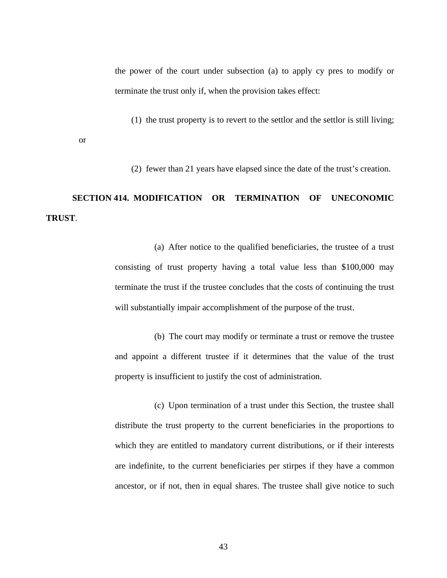the power of the court under subsection (a) to apply cy pres to modify or terminate the trust only if, when the provision takes effect:

(1) the trust property is to revert to the settlor and the settlor is still living;

(2) fewer than 21 years have elapsed since the date of the trust's creation.

# **SECTION 414. MODIFICATION OR TERMINATION OF UNECONOMIC TRUST**.

or

(a) After notice to the qualified beneficiaries, the trustee of a trust consisting of trust property having a total value less than \$100,000 may terminate the trust if the trustee concludes that the costs of continuing the trust will substantially impair accomplishment of the purpose of the trust.

(b) The court may modify or terminate a trust or remove the trustee and appoint a different trustee if it determines that the value of the trust property is insufficient to justify the cost of administration.

(c) Upon termination of a trust under this Section, the trustee shall distribute the trust property to the current beneficiaries in the proportions to which they are entitled to mandatory current distributions, or if their interests are indefinite, to the current beneficiaries per stirpes if they have a common ancestor, or if not, then in equal shares. The trustee shall give notice to such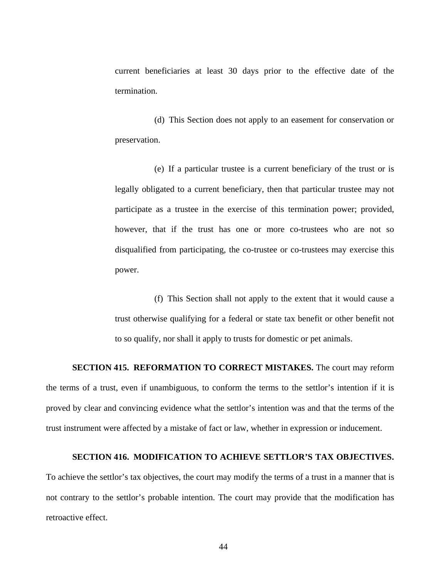current beneficiaries at least 30 days prior to the effective date of the termination.

(d) This Section does not apply to an easement for conservation or preservation.

(e) If a particular trustee is a current beneficiary of the trust or is legally obligated to a current beneficiary, then that particular trustee may not participate as a trustee in the exercise of this termination power; provided, however, that if the trust has one or more co-trustees who are not so disqualified from participating, the co-trustee or co-trustees may exercise this power.

(f) This Section shall not apply to the extent that it would cause a trust otherwise qualifying for a federal or state tax benefit or other benefit not to so qualify, nor shall it apply to trusts for domestic or pet animals.

#### **SECTION 415. REFORMATION TO CORRECT MISTAKES.** The court may reform

the terms of a trust, even if unambiguous, to conform the terms to the settlor's intention if it is proved by clear and convincing evidence what the settlor's intention was and that the terms of the trust instrument were affected by a mistake of fact or law, whether in expression or inducement.

#### **SECTION 416. MODIFICATION TO ACHIEVE SETTLOR'S TAX OBJECTIVES.**

To achieve the settlor's tax objectives, the court may modify the terms of a trust in a manner that is not contrary to the settlor's probable intention. The court may provide that the modification has retroactive effect.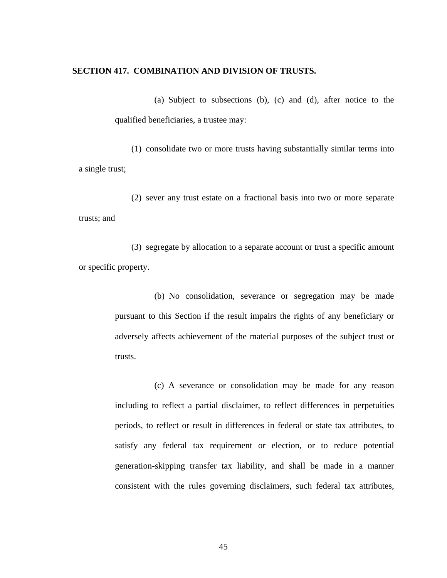#### **SECTION 417. COMBINATION AND DIVISION OF TRUSTS.**

(a) Subject to subsections (b), (c) and (d), after notice to the qualified beneficiaries, a trustee may:

(1) consolidate two or more trusts having substantially similar terms into a single trust;

(2) sever any trust estate on a fractional basis into two or more separate trusts; and

(3) segregate by allocation to a separate account or trust a specific amount or specific property.

> (b) No consolidation, severance or segregation may be made pursuant to this Section if the result impairs the rights of any beneficiary or adversely affects achievement of the material purposes of the subject trust or trusts.

> (c) A severance or consolidation may be made for any reason including to reflect a partial disclaimer, to reflect differences in perpetuities periods, to reflect or result in differences in federal or state tax attributes, to satisfy any federal tax requirement or election, or to reduce potential generation-skipping transfer tax liability, and shall be made in a manner consistent with the rules governing disclaimers, such federal tax attributes,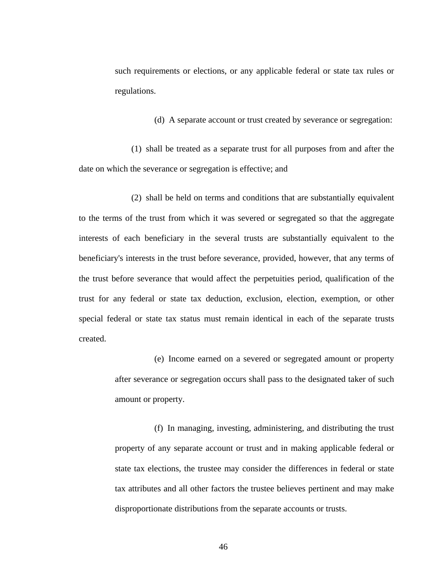such requirements or elections, or any applicable federal or state tax rules or regulations.

(d) A separate account or trust created by severance or segregation:

(1) shall be treated as a separate trust for all purposes from and after the date on which the severance or segregation is effective; and

(2) shall be held on terms and conditions that are substantially equivalent to the terms of the trust from which it was severed or segregated so that the aggregate interests of each beneficiary in the several trusts are substantially equivalent to the beneficiary's interests in the trust before severance, provided, however, that any terms of the trust before severance that would affect the perpetuities period, qualification of the trust for any federal or state tax deduction, exclusion, election, exemption, or other special federal or state tax status must remain identical in each of the separate trusts created.

> (e) Income earned on a severed or segregated amount or property after severance or segregation occurs shall pass to the designated taker of such amount or property.

> (f) In managing, investing, administering, and distributing the trust property of any separate account or trust and in making applicable federal or state tax elections, the trustee may consider the differences in federal or state tax attributes and all other factors the trustee believes pertinent and may make disproportionate distributions from the separate accounts or trusts.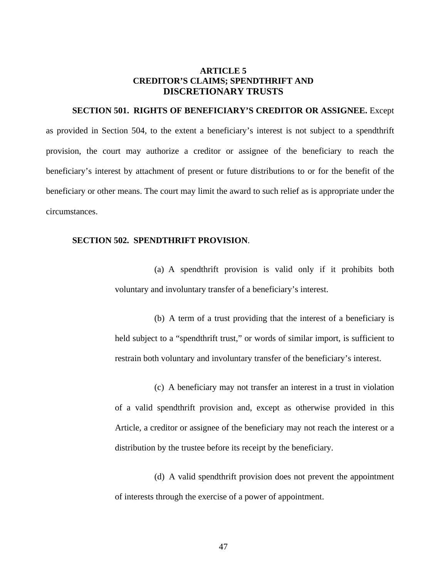## **ARTICLE 5 CREDITOR'S CLAIMS; SPENDTHRIFT AND DISCRETIONARY TRUSTS**

## **SECTION 501. RIGHTS OF BENEFICIARY'S CREDITOR OR ASSIGNEE.** Except

as provided in Section 504, to the extent a beneficiary's interest is not subject to a spendthrift provision, the court may authorize a creditor or assignee of the beneficiary to reach the beneficiary's interest by attachment of present or future distributions to or for the benefit of the beneficiary or other means. The court may limit the award to such relief as is appropriate under the circumstances.

## **SECTION 502. SPENDTHRIFT PROVISION**.

(a) A spendthrift provision is valid only if it prohibits both voluntary and involuntary transfer of a beneficiary's interest.

(b) A term of a trust providing that the interest of a beneficiary is held subject to a "spendthrift trust," or words of similar import, is sufficient to restrain both voluntary and involuntary transfer of the beneficiary's interest.

(c) A beneficiary may not transfer an interest in a trust in violation of a valid spendthrift provision and, except as otherwise provided in this Article, a creditor or assignee of the beneficiary may not reach the interest or a distribution by the trustee before its receipt by the beneficiary.

(d) A valid spendthrift provision does not prevent the appointment of interests through the exercise of a power of appointment.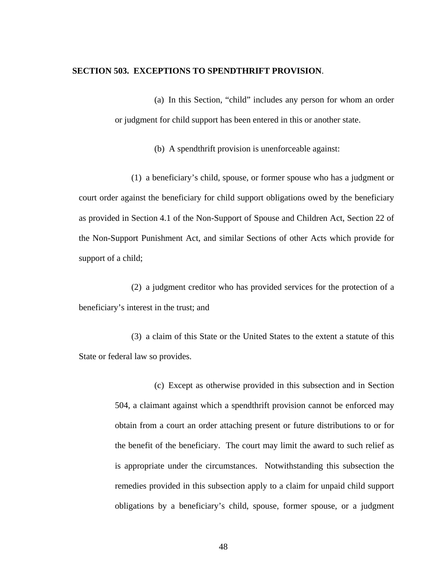### **SECTION 503. EXCEPTIONS TO SPENDTHRIFT PROVISION**.

(a) In this Section, "child" includes any person for whom an order or judgment for child support has been entered in this or another state.

(b) A spendthrift provision is unenforceable against:

(1) a beneficiary's child, spouse, or former spouse who has a judgment or court order against the beneficiary for child support obligations owed by the beneficiary as provided in Section 4.1 of the Non-Support of Spouse and Children Act, Section 22 of the Non-Support Punishment Act, and similar Sections of other Acts which provide for support of a child;

(2) a judgment creditor who has provided services for the protection of a beneficiary's interest in the trust; and

(3) a claim of this State or the United States to the extent a statute of this State or federal law so provides.

> (c) Except as otherwise provided in this subsection and in Section 504, a claimant against which a spendthrift provision cannot be enforced may obtain from a court an order attaching present or future distributions to or for the benefit of the beneficiary. The court may limit the award to such relief as is appropriate under the circumstances. Notwithstanding this subsection the remedies provided in this subsection apply to a claim for unpaid child support obligations by a beneficiary's child, spouse, former spouse, or a judgment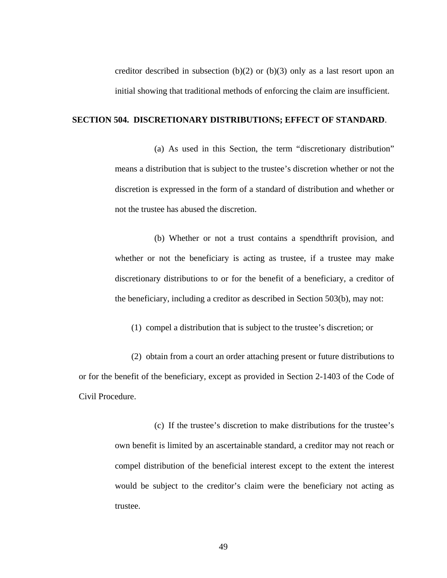creditor described in subsection  $(b)(2)$  or  $(b)(3)$  only as a last resort upon an initial showing that traditional methods of enforcing the claim are insufficient.

## **SECTION 504. DISCRETIONARY DISTRIBUTIONS; EFFECT OF STANDARD**.

(a) As used in this Section, the term "discretionary distribution" means a distribution that is subject to the trustee's discretion whether or not the discretion is expressed in the form of a standard of distribution and whether or not the trustee has abused the discretion.

(b) Whether or not a trust contains a spendthrift provision, and whether or not the beneficiary is acting as trustee, if a trustee may make discretionary distributions to or for the benefit of a beneficiary, a creditor of the beneficiary, including a creditor as described in Section 503(b), may not:

(1) compel a distribution that is subject to the trustee's discretion; or

(2) obtain from a court an order attaching present or future distributions to or for the benefit of the beneficiary, except as provided in Section 2-1403 of the Code of Civil Procedure.

> (c) If the trustee's discretion to make distributions for the trustee's own benefit is limited by an ascertainable standard, a creditor may not reach or compel distribution of the beneficial interest except to the extent the interest would be subject to the creditor's claim were the beneficiary not acting as trustee.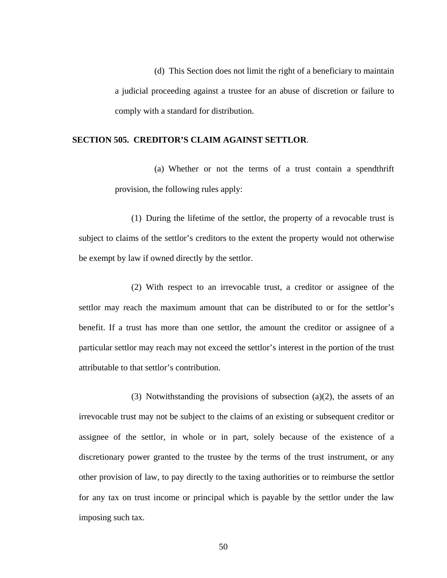(d) This Section does not limit the right of a beneficiary to maintain a judicial proceeding against a trustee for an abuse of discretion or failure to comply with a standard for distribution.

## **SECTION 505. CREDITOR'S CLAIM AGAINST SETTLOR**.

(a) Whether or not the terms of a trust contain a spendthrift provision, the following rules apply:

(1) During the lifetime of the settlor, the property of a revocable trust is subject to claims of the settlor's creditors to the extent the property would not otherwise be exempt by law if owned directly by the settlor.

(2) With respect to an irrevocable trust, a creditor or assignee of the settlor may reach the maximum amount that can be distributed to or for the settlor's benefit. If a trust has more than one settlor, the amount the creditor or assignee of a particular settlor may reach may not exceed the settlor's interest in the portion of the trust attributable to that settlor's contribution.

(3) Notwithstanding the provisions of subsection (a)(2), the assets of an irrevocable trust may not be subject to the claims of an existing or subsequent creditor or assignee of the settlor, in whole or in part, solely because of the existence of a discretionary power granted to the trustee by the terms of the trust instrument, or any other provision of law, to pay directly to the taxing authorities or to reimburse the settlor for any tax on trust income or principal which is payable by the settlor under the law imposing such tax.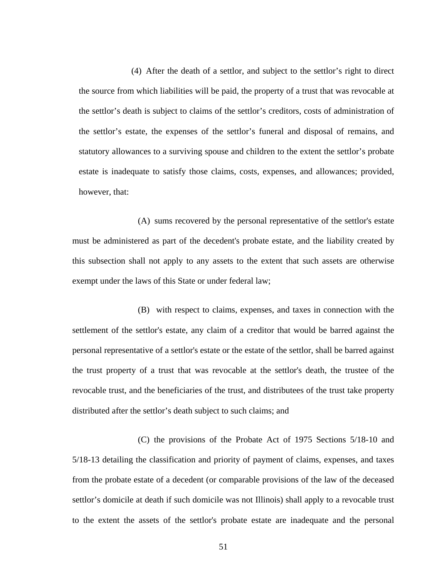(4) After the death of a settlor, and subject to the settlor's right to direct the source from which liabilities will be paid, the property of a trust that was revocable at the settlor's death is subject to claims of the settlor's creditors, costs of administration of the settlor's estate, the expenses of the settlor's funeral and disposal of remains, and statutory allowances to a surviving spouse and children to the extent the settlor's probate estate is inadequate to satisfy those claims, costs, expenses, and allowances; provided, however, that:

(A) sums recovered by the personal representative of the settlor's estate must be administered as part of the decedent's probate estate, and the liability created by this subsection shall not apply to any assets to the extent that such assets are otherwise exempt under the laws of this State or under federal law;

(B) with respect to claims, expenses, and taxes in connection with the settlement of the settlor's estate, any claim of a creditor that would be barred against the personal representative of a settlor's estate or the estate of the settlor, shall be barred against the trust property of a trust that was revocable at the settlor's death, the trustee of the revocable trust, and the beneficiaries of the trust, and distributees of the trust take property distributed after the settlor's death subject to such claims; and

(C) the provisions of the Probate Act of 1975 Sections 5/18-10 and 5/18-13 detailing the classification and priority of payment of claims, expenses, and taxes from the probate estate of a decedent (or comparable provisions of the law of the deceased settlor's domicile at death if such domicile was not Illinois) shall apply to a revocable trust to the extent the assets of the settlor's probate estate are inadequate and the personal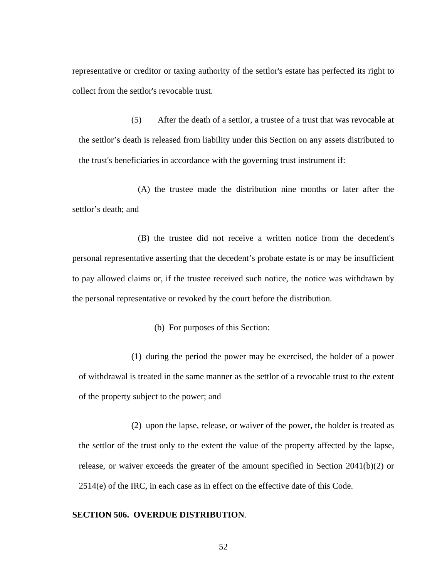representative or creditor or taxing authority of the settlor's estate has perfected its right to collect from the settlor's revocable trust.

(5) After the death of a settlor, a trustee of a trust that was revocable at the settlor's death is released from liability under this Section on any assets distributed to the trust's beneficiaries in accordance with the governing trust instrument if:

(A) the trustee made the distribution nine months or later after the settlor's death; and

(B) the trustee did not receive a written notice from the decedent's personal representative asserting that the decedent's probate estate is or may be insufficient to pay allowed claims or, if the trustee received such notice, the notice was withdrawn by the personal representative or revoked by the court before the distribution.

(b) For purposes of this Section:

(1) during the period the power may be exercised, the holder of a power of withdrawal is treated in the same manner as the settlor of a revocable trust to the extent of the property subject to the power; and

(2) upon the lapse, release, or waiver of the power, the holder is treated as the settlor of the trust only to the extent the value of the property affected by the lapse, release, or waiver exceeds the greater of the amount specified in Section 2041(b)(2) or 2514(e) of the IRC, in each case as in effect on the effective date of this Code.

### **SECTION 506. OVERDUE DISTRIBUTION**.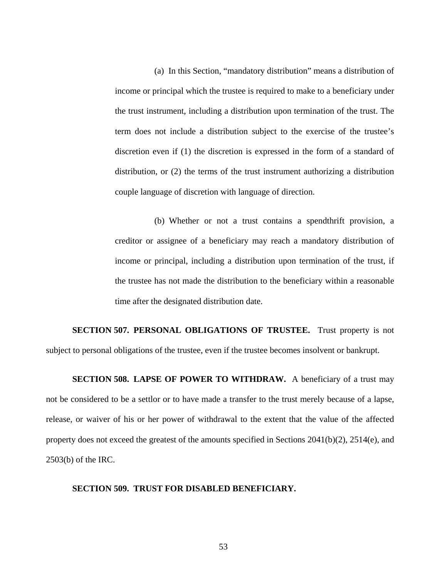(a) In this Section, "mandatory distribution" means a distribution of income or principal which the trustee is required to make to a beneficiary under the trust instrument, including a distribution upon termination of the trust. The term does not include a distribution subject to the exercise of the trustee's discretion even if (1) the discretion is expressed in the form of a standard of distribution, or (2) the terms of the trust instrument authorizing a distribution couple language of discretion with language of direction.

(b) Whether or not a trust contains a spendthrift provision, a creditor or assignee of a beneficiary may reach a mandatory distribution of income or principal, including a distribution upon termination of the trust, if the trustee has not made the distribution to the beneficiary within a reasonable time after the designated distribution date.

**SECTION 507. PERSONAL OBLIGATIONS OF TRUSTEE.** Trust property is not subject to personal obligations of the trustee, even if the trustee becomes insolvent or bankrupt.

**SECTION 508. LAPSE OF POWER TO WITHDRAW.** A beneficiary of a trust may not be considered to be a settlor or to have made a transfer to the trust merely because of a lapse, release, or waiver of his or her power of withdrawal to the extent that the value of the affected property does not exceed the greatest of the amounts specified in Sections 2041(b)(2), 2514(e), and 2503(b) of the IRC.

### **SECTION 509. TRUST FOR DISABLED BENEFICIARY.**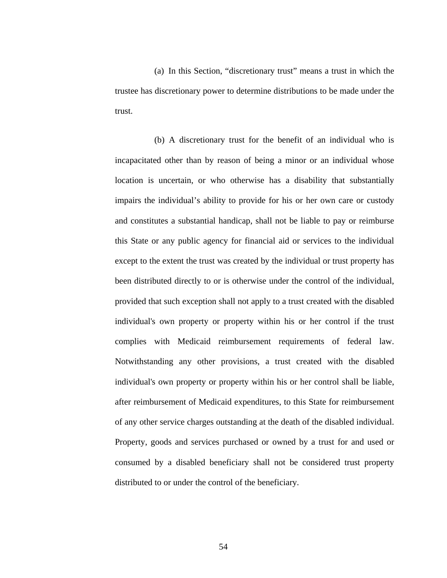(a) In this Section, "discretionary trust" means a trust in which the trustee has discretionary power to determine distributions to be made under the trust.

(b) A discretionary trust for the benefit of an individual who is incapacitated other than by reason of being a minor or an individual whose location is uncertain, or who otherwise has a disability that substantially impairs the individual's ability to provide for his or her own care or custody and constitutes a substantial handicap, shall not be liable to pay or reimburse this State or any public agency for financial aid or services to the individual except to the extent the trust was created by the individual or trust property has been distributed directly to or is otherwise under the control of the individual, provided that such exception shall not apply to a trust created with the disabled individual's own property or property within his or her control if the trust complies with Medicaid reimbursement requirements of federal law. Notwithstanding any other provisions, a trust created with the disabled individual's own property or property within his or her control shall be liable, after reimbursement of Medicaid expenditures, to this State for reimbursement of any other service charges outstanding at the death of the disabled individual. Property, goods and services purchased or owned by a trust for and used or consumed by a disabled beneficiary shall not be considered trust property distributed to or under the control of the beneficiary.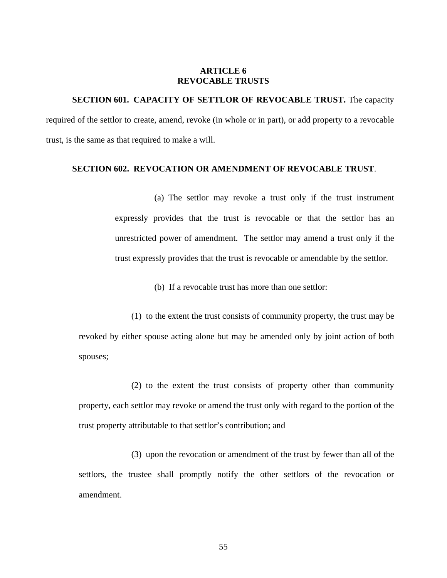## **ARTICLE 6 REVOCABLE TRUSTS**

**SECTION 601. CAPACITY OF SETTLOR OF REVOCABLE TRUST.** The capacity required of the settlor to create, amend, revoke (in whole or in part), or add property to a revocable trust, is the same as that required to make a will.

## **SECTION 602. REVOCATION OR AMENDMENT OF REVOCABLE TRUST**.

(a) The settlor may revoke a trust only if the trust instrument expressly provides that the trust is revocable or that the settlor has an unrestricted power of amendment. The settlor may amend a trust only if the trust expressly provides that the trust is revocable or amendable by the settlor.

(b) If a revocable trust has more than one settlor:

(1) to the extent the trust consists of community property, the trust may be revoked by either spouse acting alone but may be amended only by joint action of both spouses;

(2) to the extent the trust consists of property other than community property, each settlor may revoke or amend the trust only with regard to the portion of the trust property attributable to that settlor's contribution; and

(3) upon the revocation or amendment of the trust by fewer than all of the settlors, the trustee shall promptly notify the other settlors of the revocation or amendment.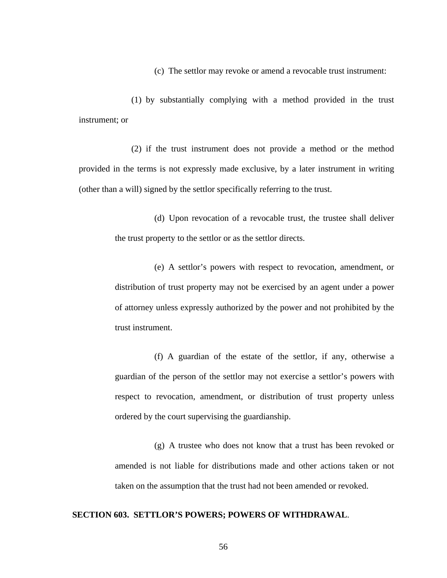(c) The settlor may revoke or amend a revocable trust instrument:

(1) by substantially complying with a method provided in the trust instrument; or

(2) if the trust instrument does not provide a method or the method provided in the terms is not expressly made exclusive, by a later instrument in writing (other than a will) signed by the settlor specifically referring to the trust.

> (d) Upon revocation of a revocable trust, the trustee shall deliver the trust property to the settlor or as the settlor directs.

> (e) A settlor's powers with respect to revocation, amendment, or distribution of trust property may not be exercised by an agent under a power of attorney unless expressly authorized by the power and not prohibited by the trust instrument.

> (f) A guardian of the estate of the settlor, if any, otherwise a guardian of the person of the settlor may not exercise a settlor's powers with respect to revocation, amendment, or distribution of trust property unless ordered by the court supervising the guardianship.

> (g) A trustee who does not know that a trust has been revoked or amended is not liable for distributions made and other actions taken or not taken on the assumption that the trust had not been amended or revoked.

### **SECTION 603. SETTLOR'S POWERS; POWERS OF WITHDRAWAL**.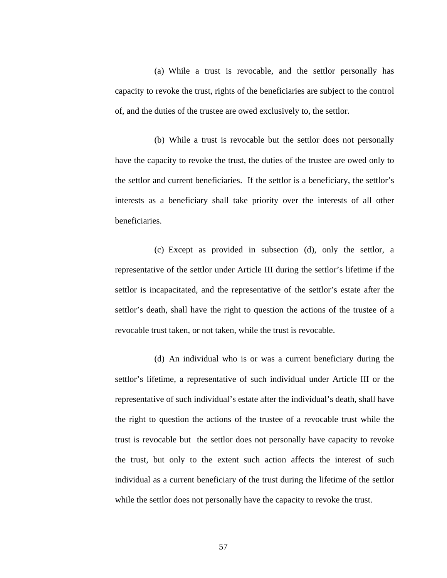(a) While a trust is revocable, and the settlor personally has capacity to revoke the trust, rights of the beneficiaries are subject to the control of, and the duties of the trustee are owed exclusively to, the settlor.

(b) While a trust is revocable but the settlor does not personally have the capacity to revoke the trust, the duties of the trustee are owed only to the settlor and current beneficiaries. If the settlor is a beneficiary, the settlor's interests as a beneficiary shall take priority over the interests of all other beneficiaries.

(c) Except as provided in subsection (d), only the settlor, a representative of the settlor under Article III during the settlor's lifetime if the settlor is incapacitated, and the representative of the settlor's estate after the settlor's death, shall have the right to question the actions of the trustee of a revocable trust taken, or not taken, while the trust is revocable.

(d) An individual who is or was a current beneficiary during the settlor's lifetime, a representative of such individual under Article III or the representative of such individual's estate after the individual's death, shall have the right to question the actions of the trustee of a revocable trust while the trust is revocable but the settlor does not personally have capacity to revoke the trust, but only to the extent such action affects the interest of such individual as a current beneficiary of the trust during the lifetime of the settlor while the settlor does not personally have the capacity to revoke the trust.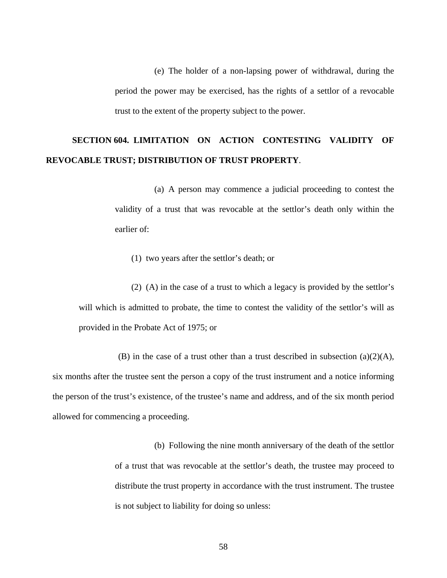(e) The holder of a non-lapsing power of withdrawal, during the period the power may be exercised, has the rights of a settlor of a revocable trust to the extent of the property subject to the power.

## **SECTION 604. LIMITATION ON ACTION CONTESTING VALIDITY OF REVOCABLE TRUST; DISTRIBUTION OF TRUST PROPERTY**.

(a) A person may commence a judicial proceeding to contest the validity of a trust that was revocable at the settlor's death only within the earlier of:

(1) two years after the settlor's death; or

(2) (A) in the case of a trust to which a legacy is provided by the settlor's will which is admitted to probate, the time to contest the validity of the settlor's will as provided in the Probate Act of 1975; or

(B) in the case of a trust other than a trust described in subsection (a)(2)(A), six months after the trustee sent the person a copy of the trust instrument and a notice informing the person of the trust's existence, of the trustee's name and address, and of the six month period allowed for commencing a proceeding.

> (b) Following the nine month anniversary of the death of the settlor of a trust that was revocable at the settlor's death, the trustee may proceed to distribute the trust property in accordance with the trust instrument. The trustee is not subject to liability for doing so unless: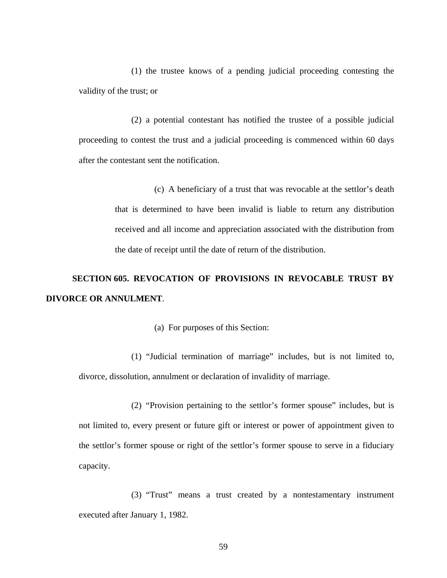(1) the trustee knows of a pending judicial proceeding contesting the validity of the trust; or

(2) a potential contestant has notified the trustee of a possible judicial proceeding to contest the trust and a judicial proceeding is commenced within 60 days after the contestant sent the notification.

> (c) A beneficiary of a trust that was revocable at the settlor's death that is determined to have been invalid is liable to return any distribution received and all income and appreciation associated with the distribution from the date of receipt until the date of return of the distribution.

# **SECTION 605. REVOCATION OF PROVISIONS IN REVOCABLE TRUST BY DIVORCE OR ANNULMENT**.

(a) For purposes of this Section:

(1) "Judicial termination of marriage" includes, but is not limited to, divorce, dissolution, annulment or declaration of invalidity of marriage.

(2) "Provision pertaining to the settlor's former spouse" includes, but is not limited to, every present or future gift or interest or power of appointment given to the settlor's former spouse or right of the settlor's former spouse to serve in a fiduciary capacity.

(3) "Trust" means a trust created by a nontestamentary instrument executed after January 1, 1982.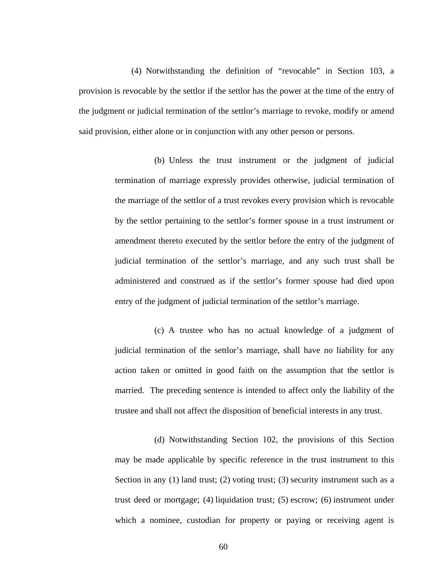(4) Notwithstanding the definition of "revocable" in Section 103, a provision is revocable by the settlor if the settlor has the power at the time of the entry of the judgment or judicial termination of the settlor's marriage to revoke, modify or amend said provision, either alone or in conjunction with any other person or persons.

> (b) Unless the trust instrument or the judgment of judicial termination of marriage expressly provides otherwise, judicial termination of the marriage of the settlor of a trust revokes every provision which is revocable by the settlor pertaining to the settlor's former spouse in a trust instrument or amendment thereto executed by the settlor before the entry of the judgment of judicial termination of the settlor's marriage, and any such trust shall be administered and construed as if the settlor's former spouse had died upon entry of the judgment of judicial termination of the settlor's marriage.

> (c) A trustee who has no actual knowledge of a judgment of judicial termination of the settlor's marriage, shall have no liability for any action taken or omitted in good faith on the assumption that the settlor is married. The preceding sentence is intended to affect only the liability of the trustee and shall not affect the disposition of beneficial interests in any trust.

> (d) Notwithstanding Section 102, the provisions of this Section may be made applicable by specific reference in the trust instrument to this Section in any (1) land trust; (2) voting trust; (3) security instrument such as a trust deed or mortgage; (4) liquidation trust; (5) escrow; (6) instrument under which a nominee, custodian for property or paying or receiving agent is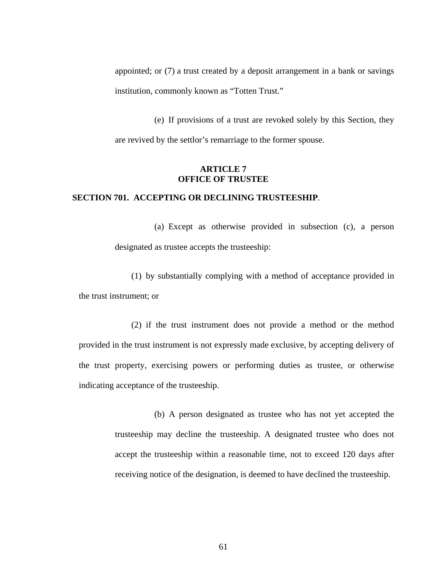appointed; or (7) a trust created by a deposit arrangement in a bank or savings institution, commonly known as "Totten Trust."

(e) If provisions of a trust are revoked solely by this Section, they are revived by the settlor's remarriage to the former spouse.

## **ARTICLE 7 OFFICE OF TRUSTEE**

## **SECTION 701. ACCEPTING OR DECLINING TRUSTEESHIP**.

(a) Except as otherwise provided in subsection (c), a person designated as trustee accepts the trusteeship:

(1) by substantially complying with a method of acceptance provided in the trust instrument; or

(2) if the trust instrument does not provide a method or the method provided in the trust instrument is not expressly made exclusive, by accepting delivery of the trust property, exercising powers or performing duties as trustee, or otherwise indicating acceptance of the trusteeship.

> (b) A person designated as trustee who has not yet accepted the trusteeship may decline the trusteeship. A designated trustee who does not accept the trusteeship within a reasonable time, not to exceed 120 days after receiving notice of the designation, is deemed to have declined the trusteeship.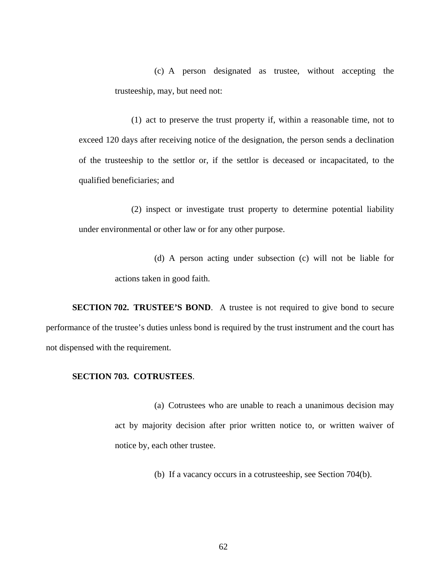(c) A person designated as trustee, without accepting the trusteeship, may, but need not:

(1) act to preserve the trust property if, within a reasonable time, not to exceed 120 days after receiving notice of the designation, the person sends a declination of the trusteeship to the settlor or, if the settlor is deceased or incapacitated, to the qualified beneficiaries; and

(2) inspect or investigate trust property to determine potential liability under environmental or other law or for any other purpose.

> (d) A person acting under subsection (c) will not be liable for actions taken in good faith.

**SECTION 702. TRUSTEE'S BOND.** A trustee is not required to give bond to secure performance of the trustee's duties unless bond is required by the trust instrument and the court has not dispensed with the requirement.

## **SECTION 703. COTRUSTEES**.

(a) Cotrustees who are unable to reach a unanimous decision may act by majority decision after prior written notice to, or written waiver of notice by, each other trustee.

(b) If a vacancy occurs in a cotrusteeship, see Section 704(b).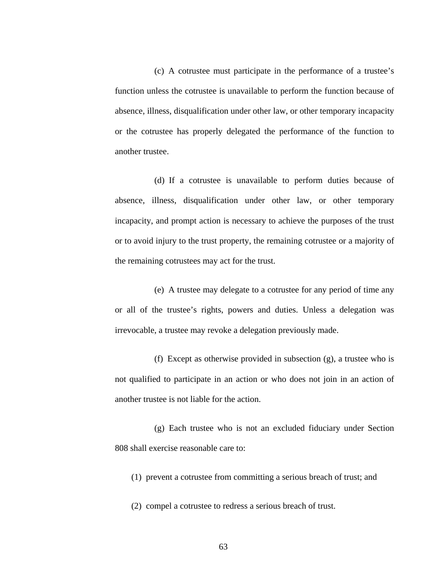(c) A cotrustee must participate in the performance of a trustee's function unless the cotrustee is unavailable to perform the function because of absence, illness, disqualification under other law, or other temporary incapacity or the cotrustee has properly delegated the performance of the function to another trustee.

(d) If a cotrustee is unavailable to perform duties because of absence, illness, disqualification under other law, or other temporary incapacity, and prompt action is necessary to achieve the purposes of the trust or to avoid injury to the trust property, the remaining cotrustee or a majority of the remaining cotrustees may act for the trust.

(e) A trustee may delegate to a cotrustee for any period of time any or all of the trustee's rights, powers and duties. Unless a delegation was irrevocable, a trustee may revoke a delegation previously made.

(f) Except as otherwise provided in subsection (g), a trustee who is not qualified to participate in an action or who does not join in an action of another trustee is not liable for the action.

(g) Each trustee who is not an excluded fiduciary under Section 808 shall exercise reasonable care to:

(1) prevent a cotrustee from committing a serious breach of trust; and

(2) compel a cotrustee to redress a serious breach of trust.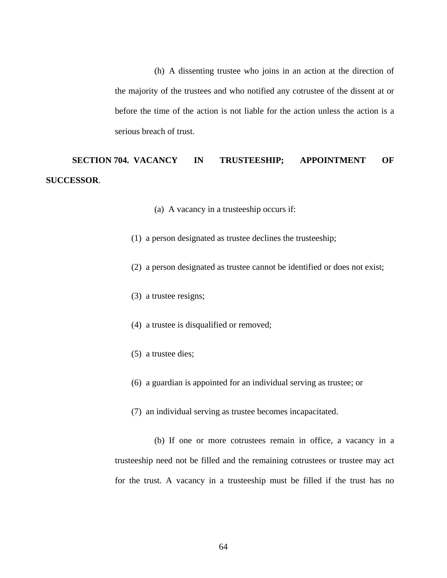(h) A dissenting trustee who joins in an action at the direction of the majority of the trustees and who notified any cotrustee of the dissent at or before the time of the action is not liable for the action unless the action is a serious breach of trust.

## **SECTION 704. VACANCY IN TRUSTEESHIP; APPOINTMENT OF SUCCESSOR**.

- (a) A vacancy in a trusteeship occurs if:
- (1) a person designated as trustee declines the trusteeship;
- (2) a person designated as trustee cannot be identified or does not exist;
- (3) a trustee resigns;
- (4) a trustee is disqualified or removed;
- (5) a trustee dies;
- (6) a guardian is appointed for an individual serving as trustee; or
- (7) an individual serving as trustee becomes incapacitated.

(b) If one or more cotrustees remain in office, a vacancy in a trusteeship need not be filled and the remaining cotrustees or trustee may act for the trust. A vacancy in a trusteeship must be filled if the trust has no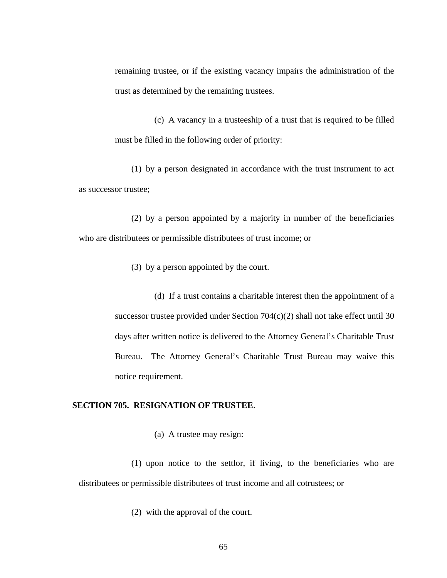remaining trustee, or if the existing vacancy impairs the administration of the trust as determined by the remaining trustees.

(c) A vacancy in a trusteeship of a trust that is required to be filled must be filled in the following order of priority:

(1) by a person designated in accordance with the trust instrument to act as successor trustee;

(2) by a person appointed by a majority in number of the beneficiaries who are distributees or permissible distributees of trust income; or

(3) by a person appointed by the court.

(d) If a trust contains a charitable interest then the appointment of a successor trustee provided under Section 704(c)(2) shall not take effect until 30 days after written notice is delivered to the Attorney General's Charitable Trust Bureau. The Attorney General's Charitable Trust Bureau may waive this notice requirement.

## **SECTION 705. RESIGNATION OF TRUSTEE**.

(a) A trustee may resign:

(1) upon notice to the settlor, if living, to the beneficiaries who are distributees or permissible distributees of trust income and all cotrustees; or

(2) with the approval of the court.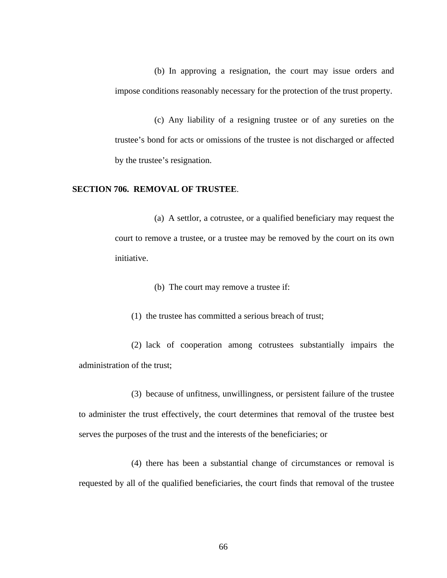(b) In approving a resignation, the court may issue orders and impose conditions reasonably necessary for the protection of the trust property.

(c) Any liability of a resigning trustee or of any sureties on the trustee's bond for acts or omissions of the trustee is not discharged or affected by the trustee's resignation.

## **SECTION 706. REMOVAL OF TRUSTEE**.

(a) A settlor, a cotrustee, or a qualified beneficiary may request the court to remove a trustee, or a trustee may be removed by the court on its own initiative.

(b) The court may remove a trustee if:

(1) the trustee has committed a serious breach of trust;

(2) lack of cooperation among cotrustees substantially impairs the administration of the trust;

(3) because of unfitness, unwillingness, or persistent failure of the trustee to administer the trust effectively, the court determines that removal of the trustee best serves the purposes of the trust and the interests of the beneficiaries; or

(4) there has been a substantial change of circumstances or removal is requested by all of the qualified beneficiaries, the court finds that removal of the trustee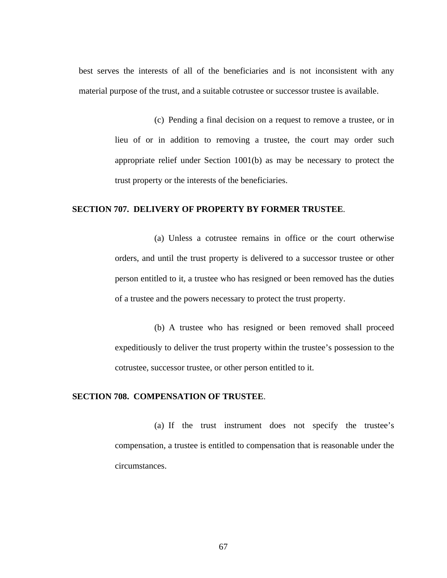best serves the interests of all of the beneficiaries and is not inconsistent with any material purpose of the trust, and a suitable cotrustee or successor trustee is available.

> (c) Pending a final decision on a request to remove a trustee, or in lieu of or in addition to removing a trustee, the court may order such appropriate relief under Section 1001(b) as may be necessary to protect the trust property or the interests of the beneficiaries.

## **SECTION 707. DELIVERY OF PROPERTY BY FORMER TRUSTEE**.

(a) Unless a cotrustee remains in office or the court otherwise orders, and until the trust property is delivered to a successor trustee or other person entitled to it, a trustee who has resigned or been removed has the duties of a trustee and the powers necessary to protect the trust property.

(b) A trustee who has resigned or been removed shall proceed expeditiously to deliver the trust property within the trustee's possession to the cotrustee, successor trustee, or other person entitled to it.

## **SECTION 708. COMPENSATION OF TRUSTEE**.

(a) If the trust instrument does not specify the trustee's compensation, a trustee is entitled to compensation that is reasonable under the circumstances.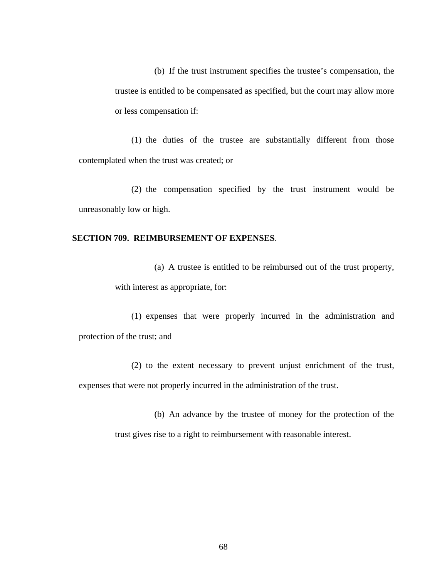(b) If the trust instrument specifies the trustee's compensation, the trustee is entitled to be compensated as specified, but the court may allow more or less compensation if:

(1) the duties of the trustee are substantially different from those contemplated when the trust was created; or

(2) the compensation specified by the trust instrument would be unreasonably low or high.

## **SECTION 709. REIMBURSEMENT OF EXPENSES**.

(a) A trustee is entitled to be reimbursed out of the trust property, with interest as appropriate, for:

(1) expenses that were properly incurred in the administration and protection of the trust; and

(2) to the extent necessary to prevent unjust enrichment of the trust, expenses that were not properly incurred in the administration of the trust.

> (b) An advance by the trustee of money for the protection of the trust gives rise to a right to reimbursement with reasonable interest.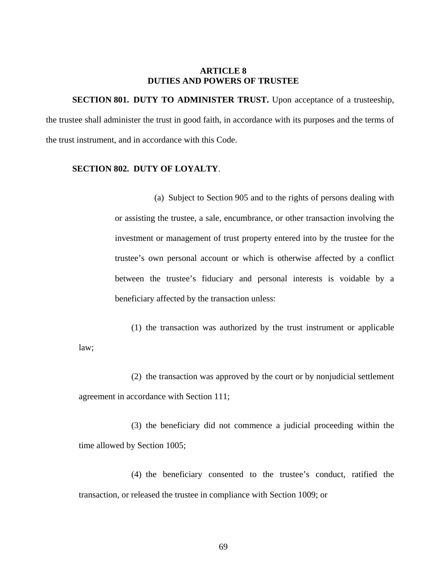#### **ARTICLE 8 DUTIES AND POWERS OF TRUSTEE**

**SECTION 801. DUTY TO ADMINISTER TRUST.** Upon acceptance of a trusteeship, the trustee shall administer the trust in good faith, in accordance with its purposes and the terms of the trust instrument, and in accordance with this Code.

## **SECTION 802. DUTY OF LOYALTY**.

(a) Subject to Section 905 and to the rights of persons dealing with or assisting the trustee, a sale, encumbrance, or other transaction involving the investment or management of trust property entered into by the trustee for the trustee's own personal account or which is otherwise affected by a conflict between the trustee's fiduciary and personal interests is voidable by a beneficiary affected by the transaction unless:

(1) the transaction was authorized by the trust instrument or applicable law;

(2) the transaction was approved by the court or by nonjudicial settlement agreement in accordance with Section 111;

(3) the beneficiary did not commence a judicial proceeding within the time allowed by Section 1005;

(4) the beneficiary consented to the trustee's conduct, ratified the transaction, or released the trustee in compliance with Section 1009; or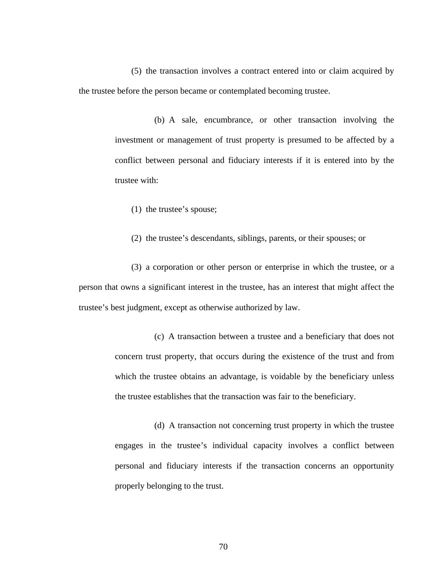(5) the transaction involves a contract entered into or claim acquired by the trustee before the person became or contemplated becoming trustee.

> (b) A sale, encumbrance, or other transaction involving the investment or management of trust property is presumed to be affected by a conflict between personal and fiduciary interests if it is entered into by the trustee with:

(1) the trustee's spouse;

(2) the trustee's descendants, siblings, parents, or their spouses; or

(3) a corporation or other person or enterprise in which the trustee, or a person that owns a significant interest in the trustee, has an interest that might affect the trustee's best judgment, except as otherwise authorized by law.

> (c) A transaction between a trustee and a beneficiary that does not concern trust property, that occurs during the existence of the trust and from which the trustee obtains an advantage, is voidable by the beneficiary unless the trustee establishes that the transaction was fair to the beneficiary.

> (d) A transaction not concerning trust property in which the trustee engages in the trustee's individual capacity involves a conflict between personal and fiduciary interests if the transaction concerns an opportunity properly belonging to the trust.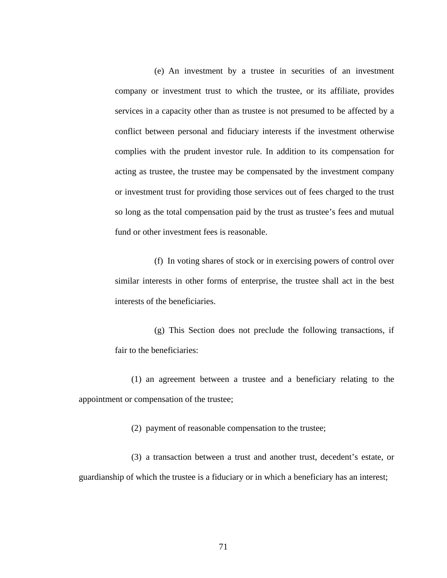(e) An investment by a trustee in securities of an investment company or investment trust to which the trustee, or its affiliate, provides services in a capacity other than as trustee is not presumed to be affected by a conflict between personal and fiduciary interests if the investment otherwise complies with the prudent investor rule. In addition to its compensation for acting as trustee, the trustee may be compensated by the investment company or investment trust for providing those services out of fees charged to the trust so long as the total compensation paid by the trust as trustee's fees and mutual fund or other investment fees is reasonable.

(f) In voting shares of stock or in exercising powers of control over similar interests in other forms of enterprise, the trustee shall act in the best interests of the beneficiaries.

(g) This Section does not preclude the following transactions, if fair to the beneficiaries:

(1) an agreement between a trustee and a beneficiary relating to the appointment or compensation of the trustee;

(2) payment of reasonable compensation to the trustee;

(3) a transaction between a trust and another trust, decedent's estate, or guardianship of which the trustee is a fiduciary or in which a beneficiary has an interest;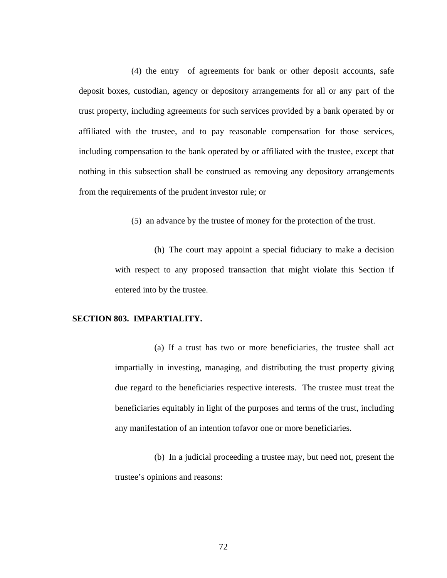(4) the entry of agreements for bank or other deposit accounts, safe deposit boxes, custodian, agency or depository arrangements for all or any part of the trust property, including agreements for such services provided by a bank operated by or affiliated with the trustee, and to pay reasonable compensation for those services, including compensation to the bank operated by or affiliated with the trustee, except that nothing in this subsection shall be construed as removing any depository arrangements from the requirements of the prudent investor rule; or

(5) an advance by the trustee of money for the protection of the trust.

(h) The court may appoint a special fiduciary to make a decision with respect to any proposed transaction that might violate this Section if entered into by the trustee.

### **SECTION 803. IMPARTIALITY.**

(a) If a trust has two or more beneficiaries, the trustee shall act impartially in investing, managing, and distributing the trust property giving due regard to the beneficiaries respective interests. The trustee must treat the beneficiaries equitably in light of the purposes and terms of the trust, including any manifestation of an intention tofavor one or more beneficiaries.

(b) In a judicial proceeding a trustee may, but need not, present the trustee's opinions and reasons: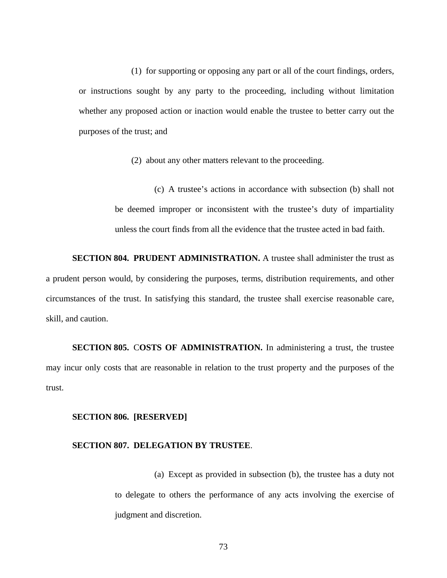(1) for supporting or opposing any part or all of the court findings, orders, or instructions sought by any party to the proceeding, including without limitation whether any proposed action or inaction would enable the trustee to better carry out the purposes of the trust; and

(2) about any other matters relevant to the proceeding.

(c) A trustee's actions in accordance with subsection (b) shall not be deemed improper or inconsistent with the trustee's duty of impartiality unless the court finds from all the evidence that the trustee acted in bad faith.

**SECTION 804. PRUDENT ADMINISTRATION.** A trustee shall administer the trust as a prudent person would, by considering the purposes, terms, distribution requirements, and other circumstances of the trust. In satisfying this standard, the trustee shall exercise reasonable care, skill, and caution.

**SECTION 805.** C**OSTS OF ADMINISTRATION.** In administering a trust, the trustee may incur only costs that are reasonable in relation to the trust property and the purposes of the trust.

#### **SECTION 806. [RESERVED]**

#### **SECTION 807. DELEGATION BY TRUSTEE**.

(a) Except as provided in subsection (b), the trustee has a duty not to delegate to others the performance of any acts involving the exercise of judgment and discretion.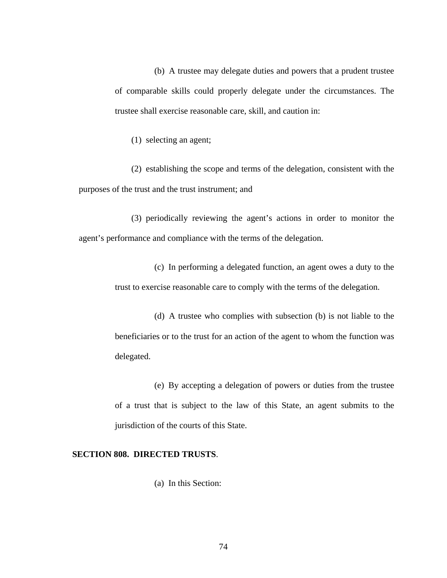(b) A trustee may delegate duties and powers that a prudent trustee of comparable skills could properly delegate under the circumstances. The trustee shall exercise reasonable care, skill, and caution in:

(1) selecting an agent;

(2) establishing the scope and terms of the delegation, consistent with the purposes of the trust and the trust instrument; and

(3) periodically reviewing the agent's actions in order to monitor the agent's performance and compliance with the terms of the delegation.

> (c) In performing a delegated function, an agent owes a duty to the trust to exercise reasonable care to comply with the terms of the delegation.

> (d) A trustee who complies with subsection (b) is not liable to the beneficiaries or to the trust for an action of the agent to whom the function was delegated.

> (e) By accepting a delegation of powers or duties from the trustee of a trust that is subject to the law of this State, an agent submits to the jurisdiction of the courts of this State.

### **SECTION 808. DIRECTED TRUSTS**.

(a) In this Section: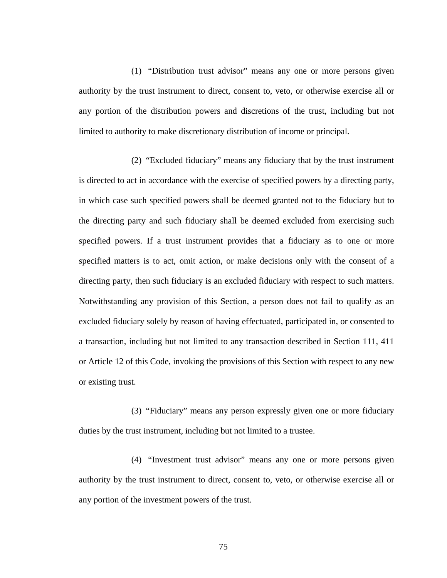(1) "Distribution trust advisor" means any one or more persons given authority by the trust instrument to direct, consent to, veto, or otherwise exercise all or any portion of the distribution powers and discretions of the trust, including but not limited to authority to make discretionary distribution of income or principal.

(2) "Excluded fiduciary" means any fiduciary that by the trust instrument is directed to act in accordance with the exercise of specified powers by a directing party, in which case such specified powers shall be deemed granted not to the fiduciary but to the directing party and such fiduciary shall be deemed excluded from exercising such specified powers. If a trust instrument provides that a fiduciary as to one or more specified matters is to act, omit action, or make decisions only with the consent of a directing party, then such fiduciary is an excluded fiduciary with respect to such matters. Notwithstanding any provision of this Section, a person does not fail to qualify as an excluded fiduciary solely by reason of having effectuated, participated in, or consented to a transaction, including but not limited to any transaction described in Section 111, 411 or Article 12 of this Code, invoking the provisions of this Section with respect to any new or existing trust.

(3) "Fiduciary" means any person expressly given one or more fiduciary duties by the trust instrument, including but not limited to a trustee.

(4) "Investment trust advisor" means any one or more persons given authority by the trust instrument to direct, consent to, veto, or otherwise exercise all or any portion of the investment powers of the trust.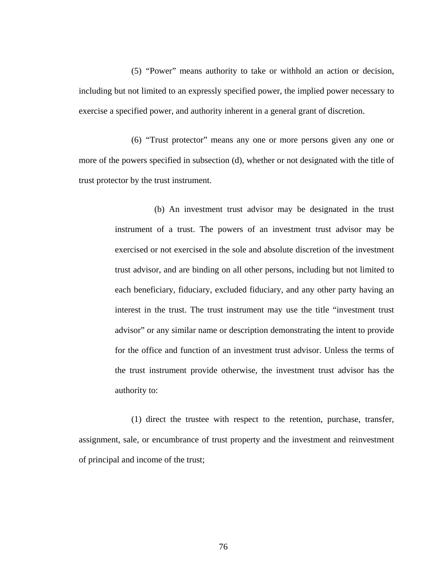(5) "Power" means authority to take or withhold an action or decision, including but not limited to an expressly specified power, the implied power necessary to exercise a specified power, and authority inherent in a general grant of discretion.

(6) "Trust protector" means any one or more persons given any one or more of the powers specified in subsection (d), whether or not designated with the title of trust protector by the trust instrument.

> (b) An investment trust advisor may be designated in the trust instrument of a trust. The powers of an investment trust advisor may be exercised or not exercised in the sole and absolute discretion of the investment trust advisor, and are binding on all other persons, including but not limited to each beneficiary, fiduciary, excluded fiduciary, and any other party having an interest in the trust. The trust instrument may use the title "investment trust advisor" or any similar name or description demonstrating the intent to provide for the office and function of an investment trust advisor. Unless the terms of the trust instrument provide otherwise, the investment trust advisor has the authority to:

(1) direct the trustee with respect to the retention, purchase, transfer, assignment, sale, or encumbrance of trust property and the investment and reinvestment of principal and income of the trust;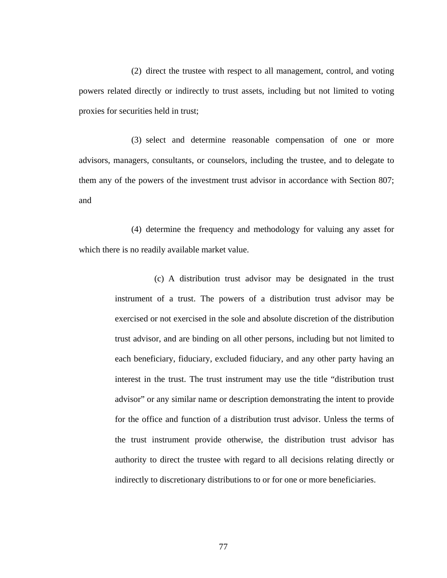(2) direct the trustee with respect to all management, control, and voting powers related directly or indirectly to trust assets, including but not limited to voting proxies for securities held in trust;

(3) select and determine reasonable compensation of one or more advisors, managers, consultants, or counselors, including the trustee, and to delegate to them any of the powers of the investment trust advisor in accordance with Section 807; and

(4) determine the frequency and methodology for valuing any asset for which there is no readily available market value.

> (c) A distribution trust advisor may be designated in the trust instrument of a trust. The powers of a distribution trust advisor may be exercised or not exercised in the sole and absolute discretion of the distribution trust advisor, and are binding on all other persons, including but not limited to each beneficiary, fiduciary, excluded fiduciary, and any other party having an interest in the trust. The trust instrument may use the title "distribution trust advisor" or any similar name or description demonstrating the intent to provide for the office and function of a distribution trust advisor. Unless the terms of the trust instrument provide otherwise, the distribution trust advisor has authority to direct the trustee with regard to all decisions relating directly or indirectly to discretionary distributions to or for one or more beneficiaries.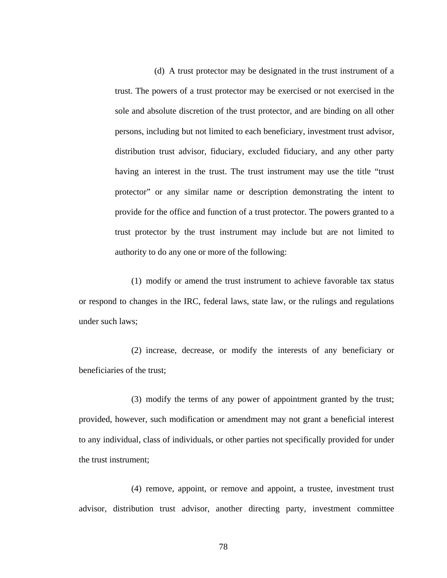(d) A trust protector may be designated in the trust instrument of a trust. The powers of a trust protector may be exercised or not exercised in the sole and absolute discretion of the trust protector, and are binding on all other persons, including but not limited to each beneficiary, investment trust advisor, distribution trust advisor, fiduciary, excluded fiduciary, and any other party having an interest in the trust. The trust instrument may use the title "trust protector" or any similar name or description demonstrating the intent to provide for the office and function of a trust protector. The powers granted to a trust protector by the trust instrument may include but are not limited to authority to do any one or more of the following:

(1) modify or amend the trust instrument to achieve favorable tax status or respond to changes in the IRC, federal laws, state law, or the rulings and regulations under such laws;

(2) increase, decrease, or modify the interests of any beneficiary or beneficiaries of the trust;

(3) modify the terms of any power of appointment granted by the trust; provided, however, such modification or amendment may not grant a beneficial interest to any individual, class of individuals, or other parties not specifically provided for under the trust instrument;

(4) remove, appoint, or remove and appoint, a trustee, investment trust advisor, distribution trust advisor, another directing party, investment committee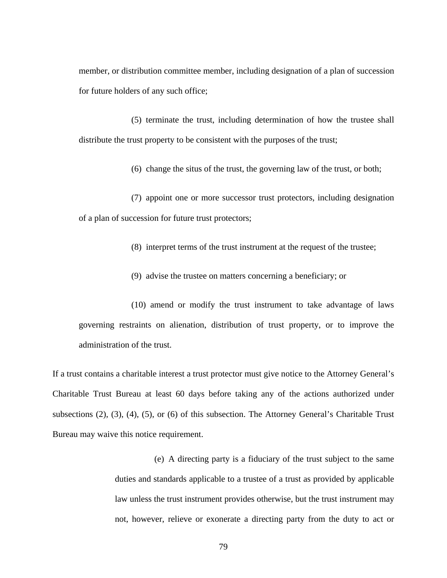member, or distribution committee member, including designation of a plan of succession for future holders of any such office;

(5) terminate the trust, including determination of how the trustee shall distribute the trust property to be consistent with the purposes of the trust;

(6) change the situs of the trust, the governing law of the trust, or both;

(7) appoint one or more successor trust protectors, including designation of a plan of succession for future trust protectors;

(8) interpret terms of the trust instrument at the request of the trustee;

(9) advise the trustee on matters concerning a beneficiary; or

(10) amend or modify the trust instrument to take advantage of laws governing restraints on alienation, distribution of trust property, or to improve the administration of the trust.

If a trust contains a charitable interest a trust protector must give notice to the Attorney General's Charitable Trust Bureau at least 60 days before taking any of the actions authorized under subsections (2), (3), (4), (5), or (6) of this subsection. The Attorney General's Charitable Trust Bureau may waive this notice requirement.

> (e) A directing party is a fiduciary of the trust subject to the same duties and standards applicable to a trustee of a trust as provided by applicable law unless the trust instrument provides otherwise, but the trust instrument may not, however, relieve or exonerate a directing party from the duty to act or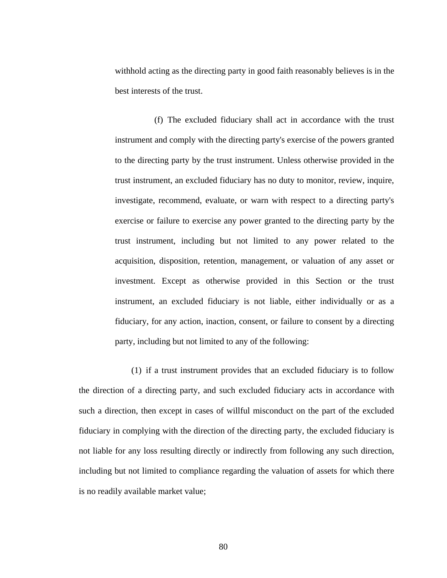withhold acting as the directing party in good faith reasonably believes is in the best interests of the trust.

(f) The excluded fiduciary shall act in accordance with the trust instrument and comply with the directing party's exercise of the powers granted to the directing party by the trust instrument. Unless otherwise provided in the trust instrument, an excluded fiduciary has no duty to monitor, review, inquire, investigate, recommend, evaluate, or warn with respect to a directing party's exercise or failure to exercise any power granted to the directing party by the trust instrument, including but not limited to any power related to the acquisition, disposition, retention, management, or valuation of any asset or investment. Except as otherwise provided in this Section or the trust instrument, an excluded fiduciary is not liable, either individually or as a fiduciary, for any action, inaction, consent, or failure to consent by a directing party, including but not limited to any of the following:

(1) if a trust instrument provides that an excluded fiduciary is to follow the direction of a directing party, and such excluded fiduciary acts in accordance with such a direction, then except in cases of willful misconduct on the part of the excluded fiduciary in complying with the direction of the directing party, the excluded fiduciary is not liable for any loss resulting directly or indirectly from following any such direction, including but not limited to compliance regarding the valuation of assets for which there is no readily available market value;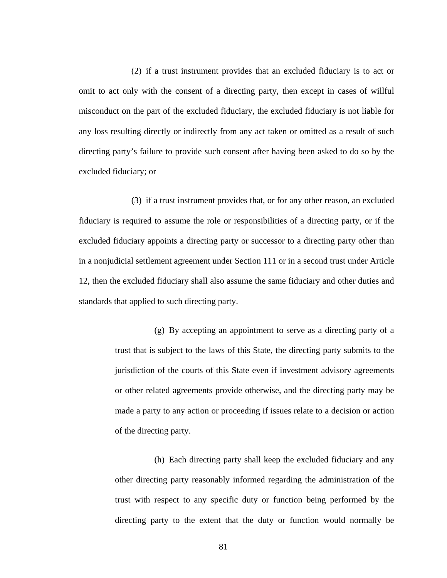(2) if a trust instrument provides that an excluded fiduciary is to act or omit to act only with the consent of a directing party, then except in cases of willful misconduct on the part of the excluded fiduciary, the excluded fiduciary is not liable for any loss resulting directly or indirectly from any act taken or omitted as a result of such directing party's failure to provide such consent after having been asked to do so by the excluded fiduciary; or

(3) if a trust instrument provides that, or for any other reason, an excluded fiduciary is required to assume the role or responsibilities of a directing party, or if the excluded fiduciary appoints a directing party or successor to a directing party other than in a nonjudicial settlement agreement under Section 111 or in a second trust under Article 12, then the excluded fiduciary shall also assume the same fiduciary and other duties and standards that applied to such directing party.

> (g) By accepting an appointment to serve as a directing party of a trust that is subject to the laws of this State, the directing party submits to the jurisdiction of the courts of this State even if investment advisory agreements or other related agreements provide otherwise, and the directing party may be made a party to any action or proceeding if issues relate to a decision or action of the directing party.

> (h) Each directing party shall keep the excluded fiduciary and any other directing party reasonably informed regarding the administration of the trust with respect to any specific duty or function being performed by the directing party to the extent that the duty or function would normally be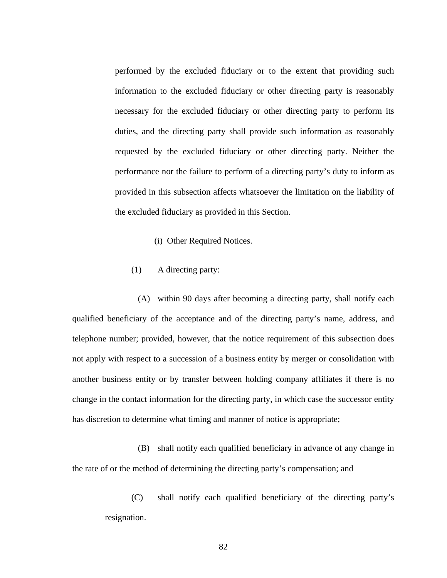performed by the excluded fiduciary or to the extent that providing such information to the excluded fiduciary or other directing party is reasonably necessary for the excluded fiduciary or other directing party to perform its duties, and the directing party shall provide such information as reasonably requested by the excluded fiduciary or other directing party. Neither the performance nor the failure to perform of a directing party's duty to inform as provided in this subsection affects whatsoever the limitation on the liability of the excluded fiduciary as provided in this Section.

- (i) Other Required Notices.
- (1) A directing party:

(A) within 90 days after becoming a directing party, shall notify each qualified beneficiary of the acceptance and of the directing party's name, address, and telephone number; provided, however, that the notice requirement of this subsection does not apply with respect to a succession of a business entity by merger or consolidation with another business entity or by transfer between holding company affiliates if there is no change in the contact information for the directing party, in which case the successor entity has discretion to determine what timing and manner of notice is appropriate;

(B) shall notify each qualified beneficiary in advance of any change in the rate of or the method of determining the directing party's compensation; and

(C) shall notify each qualified beneficiary of the directing party's resignation.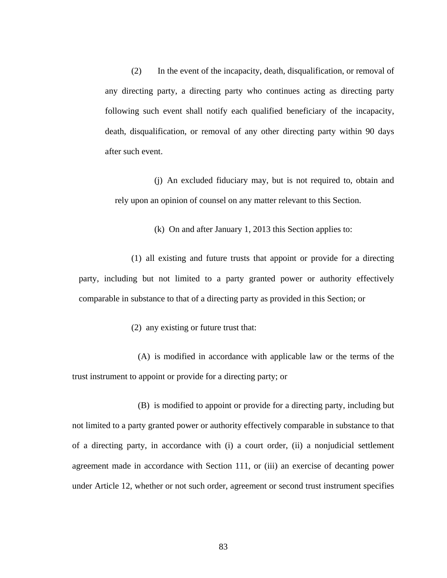(2) In the event of the incapacity, death, disqualification, or removal of any directing party, a directing party who continues acting as directing party following such event shall notify each qualified beneficiary of the incapacity, death, disqualification, or removal of any other directing party within 90 days after such event.

(j) An excluded fiduciary may, but is not required to, obtain and rely upon an opinion of counsel on any matter relevant to this Section.

(k) On and after January 1, 2013 this Section applies to:

(1) all existing and future trusts that appoint or provide for a directing party, including but not limited to a party granted power or authority effectively comparable in substance to that of a directing party as provided in this Section; or

(2) any existing or future trust that:

(A) is modified in accordance with applicable law or the terms of the trust instrument to appoint or provide for a directing party; or

(B) is modified to appoint or provide for a directing party, including but not limited to a party granted power or authority effectively comparable in substance to that of a directing party, in accordance with (i) a court order, (ii) a nonjudicial settlement agreement made in accordance with Section 111, or (iii) an exercise of decanting power under Article 12, whether or not such order, agreement or second trust instrument specifies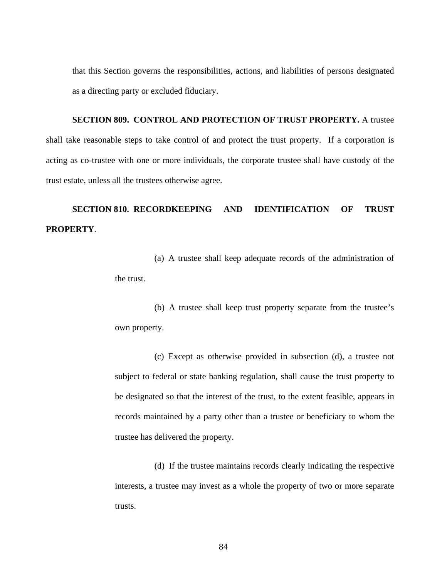that this Section governs the responsibilities, actions, and liabilities of persons designated as a directing party or excluded fiduciary.

**SECTION 809. CONTROL AND PROTECTION OF TRUST PROPERTY.** A trustee shall take reasonable steps to take control of and protect the trust property. If a corporation is acting as co-trustee with one or more individuals, the corporate trustee shall have custody of the trust estate, unless all the trustees otherwise agree.

## **SECTION 810. RECORDKEEPING AND IDENTIFICATION OF TRUST PROPERTY**.

(a) A trustee shall keep adequate records of the administration of the trust.

(b) A trustee shall keep trust property separate from the trustee's own property.

(c) Except as otherwise provided in subsection (d), a trustee not subject to federal or state banking regulation, shall cause the trust property to be designated so that the interest of the trust, to the extent feasible, appears in records maintained by a party other than a trustee or beneficiary to whom the trustee has delivered the property.

(d) If the trustee maintains records clearly indicating the respective interests, a trustee may invest as a whole the property of two or more separate trusts.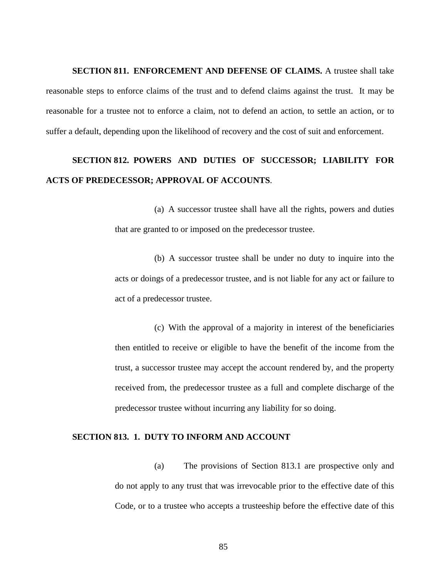**SECTION 811. ENFORCEMENT AND DEFENSE OF CLAIMS.** A trustee shall take reasonable steps to enforce claims of the trust and to defend claims against the trust. It may be reasonable for a trustee not to enforce a claim, not to defend an action, to settle an action, or to suffer a default, depending upon the likelihood of recovery and the cost of suit and enforcement.

## **SECTION 812. POWERS AND DUTIES OF SUCCESSOR; LIABILITY FOR ACTS OF PREDECESSOR; APPROVAL OF ACCOUNTS**.

(a) A successor trustee shall have all the rights, powers and duties that are granted to or imposed on the predecessor trustee.

(b) A successor trustee shall be under no duty to inquire into the acts or doings of a predecessor trustee, and is not liable for any act or failure to act of a predecessor trustee.

(c) With the approval of a majority in interest of the beneficiaries then entitled to receive or eligible to have the benefit of the income from the trust, a successor trustee may accept the account rendered by, and the property received from, the predecessor trustee as a full and complete discharge of the predecessor trustee without incurring any liability for so doing.

#### **SECTION 813. 1. DUTY TO INFORM AND ACCOUNT**

(a) The provisions of Section 813.1 are prospective only and do not apply to any trust that was irrevocable prior to the effective date of this Code, or to a trustee who accepts a trusteeship before the effective date of this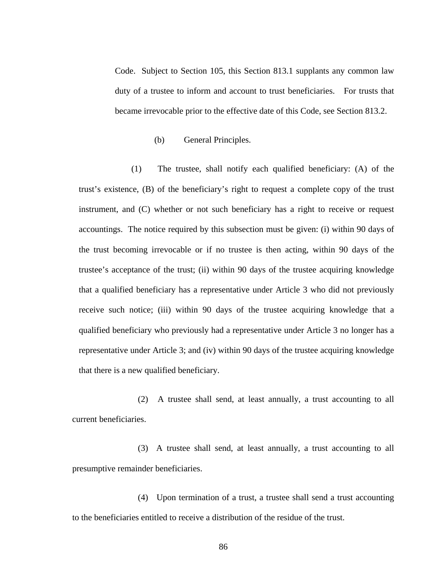Code. Subject to Section 105, this Section 813.1 supplants any common law duty of a trustee to inform and account to trust beneficiaries. For trusts that became irrevocable prior to the effective date of this Code, see Section 813.2.

#### (b) General Principles.

 (1) The trustee, shall notify each qualified beneficiary: (A) of the trust's existence, (B) of the beneficiary's right to request a complete copy of the trust instrument, and (C) whether or not such beneficiary has a right to receive or request accountings. The notice required by this subsection must be given: (i) within 90 days of the trust becoming irrevocable or if no trustee is then acting, within 90 days of the trustee's acceptance of the trust; (ii) within 90 days of the trustee acquiring knowledge that a qualified beneficiary has a representative under Article 3 who did not previously receive such notice; (iii) within 90 days of the trustee acquiring knowledge that a qualified beneficiary who previously had a representative under Article 3 no longer has a representative under Article 3; and (iv) within 90 days of the trustee acquiring knowledge that there is a new qualified beneficiary.

(2) A trustee shall send, at least annually, a trust accounting to all current beneficiaries.

(3) A trustee shall send, at least annually, a trust accounting to all presumptive remainder beneficiaries.

(4) Upon termination of a trust, a trustee shall send a trust accounting to the beneficiaries entitled to receive a distribution of the residue of the trust.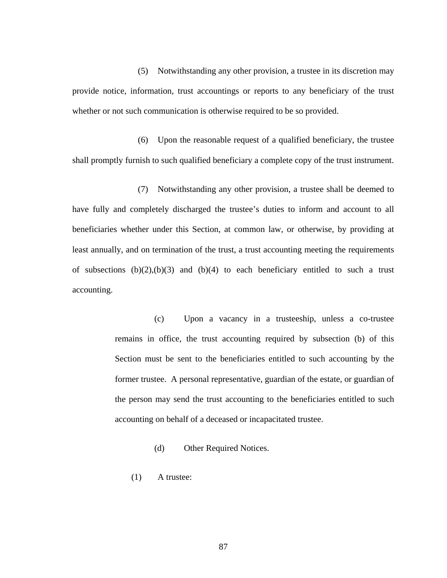(5) Notwithstanding any other provision, a trustee in its discretion may provide notice, information, trust accountings or reports to any beneficiary of the trust whether or not such communication is otherwise required to be so provided.

(6) Upon the reasonable request of a qualified beneficiary, the trustee shall promptly furnish to such qualified beneficiary a complete copy of the trust instrument.

(7) Notwithstanding any other provision, a trustee shall be deemed to have fully and completely discharged the trustee's duties to inform and account to all beneficiaries whether under this Section, at common law, or otherwise, by providing at least annually, and on termination of the trust, a trust accounting meeting the requirements of subsections  $(b)(2),(b)(3)$  and  $(b)(4)$  to each beneficiary entitled to such a trust accounting.

> (c) Upon a vacancy in a trusteeship, unless a co-trustee remains in office, the trust accounting required by subsection (b) of this Section must be sent to the beneficiaries entitled to such accounting by the former trustee. A personal representative, guardian of the estate, or guardian of the person may send the trust accounting to the beneficiaries entitled to such accounting on behalf of a deceased or incapacitated trustee.

- (d) Other Required Notices.
- (1) A trustee: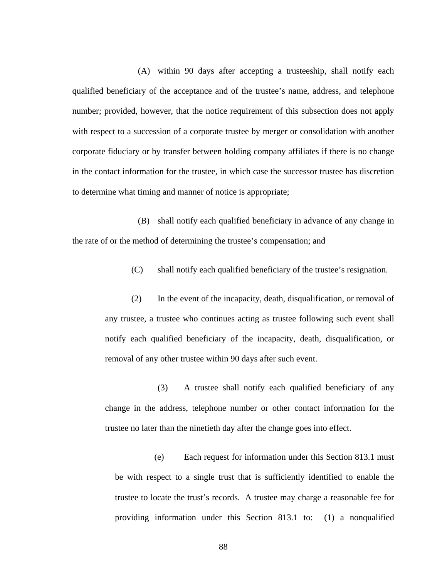(A) within 90 days after accepting a trusteeship, shall notify each qualified beneficiary of the acceptance and of the trustee's name, address, and telephone number; provided, however, that the notice requirement of this subsection does not apply with respect to a succession of a corporate trustee by merger or consolidation with another corporate fiduciary or by transfer between holding company affiliates if there is no change in the contact information for the trustee, in which case the successor trustee has discretion to determine what timing and manner of notice is appropriate;

(B) shall notify each qualified beneficiary in advance of any change in the rate of or the method of determining the trustee's compensation; and

(C) shall notify each qualified beneficiary of the trustee's resignation.

(2) In the event of the incapacity, death, disqualification, or removal of any trustee, a trustee who continues acting as trustee following such event shall notify each qualified beneficiary of the incapacity, death, disqualification, or removal of any other trustee within 90 days after such event.

(3) A trustee shall notify each qualified beneficiary of any change in the address, telephone number or other contact information for the trustee no later than the ninetieth day after the change goes into effect.

(e) Each request for information under this Section 813.1 must be with respect to a single trust that is sufficiently identified to enable the trustee to locate the trust's records. A trustee may charge a reasonable fee for providing information under this Section 813.1 to: (1) a nonqualified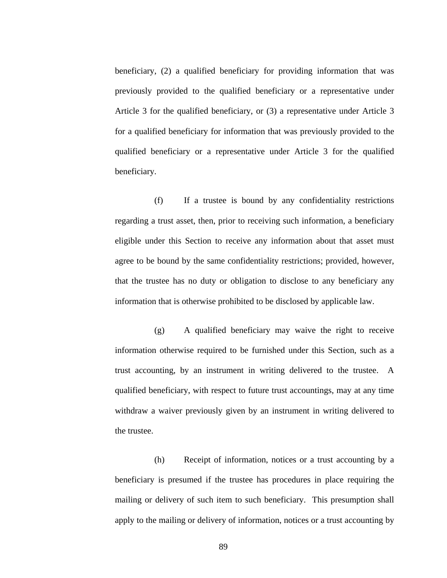beneficiary, (2) a qualified beneficiary for providing information that was previously provided to the qualified beneficiary or a representative under Article 3 for the qualified beneficiary, or (3) a representative under Article 3 for a qualified beneficiary for information that was previously provided to the qualified beneficiary or a representative under Article 3 for the qualified beneficiary.

(f) If a trustee is bound by any confidentiality restrictions regarding a trust asset, then, prior to receiving such information, a beneficiary eligible under this Section to receive any information about that asset must agree to be bound by the same confidentiality restrictions; provided, however, that the trustee has no duty or obligation to disclose to any beneficiary any information that is otherwise prohibited to be disclosed by applicable law.

(g) A qualified beneficiary may waive the right to receive information otherwise required to be furnished under this Section, such as a trust accounting, by an instrument in writing delivered to the trustee. A qualified beneficiary, with respect to future trust accountings, may at any time withdraw a waiver previously given by an instrument in writing delivered to the trustee.

(h) Receipt of information, notices or a trust accounting by a beneficiary is presumed if the trustee has procedures in place requiring the mailing or delivery of such item to such beneficiary. This presumption shall apply to the mailing or delivery of information, notices or a trust accounting by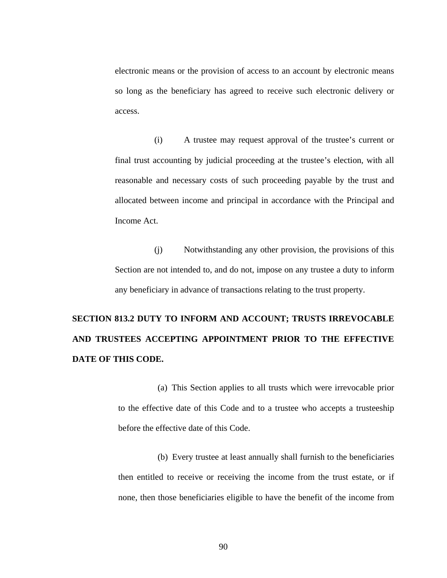electronic means or the provision of access to an account by electronic means so long as the beneficiary has agreed to receive such electronic delivery or access.

(i) A trustee may request approval of the trustee's current or final trust accounting by judicial proceeding at the trustee's election, with all reasonable and necessary costs of such proceeding payable by the trust and allocated between income and principal in accordance with the Principal and Income Act.

(j) Notwithstanding any other provision, the provisions of this Section are not intended to, and do not, impose on any trustee a duty to inform any beneficiary in advance of transactions relating to the trust property.

# **SECTION 813.2 DUTY TO INFORM AND ACCOUNT; TRUSTS IRREVOCABLE AND TRUSTEES ACCEPTING APPOINTMENT PRIOR TO THE EFFECTIVE DATE OF THIS CODE.**

(a) This Section applies to all trusts which were irrevocable prior to the effective date of this Code and to a trustee who accepts a trusteeship before the effective date of this Code.

(b) Every trustee at least annually shall furnish to the beneficiaries then entitled to receive or receiving the income from the trust estate, or if none, then those beneficiaries eligible to have the benefit of the income from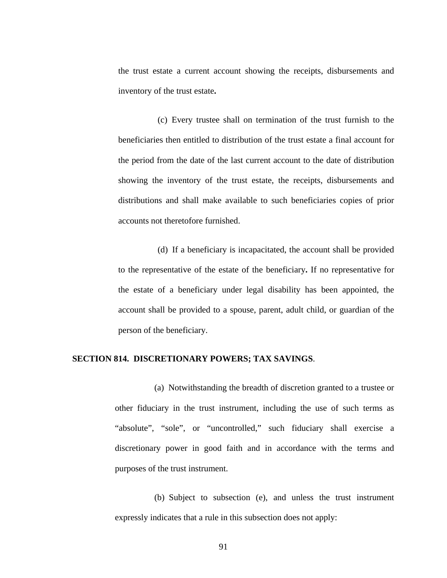the trust estate a current account showing the receipts, disbursements and inventory of the trust estate**.** 

(c) Every trustee shall on termination of the trust furnish to the beneficiaries then entitled to distribution of the trust estate a final account for the period from the date of the last current account to the date of distribution showing the inventory of the trust estate, the receipts, disbursements and distributions and shall make available to such beneficiaries copies of prior accounts not theretofore furnished.

(d) If a beneficiary is incapacitated, the account shall be provided to the representative of the estate of the beneficiary**.** If no representative for the estate of a beneficiary under legal disability has been appointed, the account shall be provided to a spouse, parent, adult child, or guardian of the person of the beneficiary.

#### **SECTION 814. DISCRETIONARY POWERS; TAX SAVINGS**.

(a) Notwithstanding the breadth of discretion granted to a trustee or other fiduciary in the trust instrument, including the use of such terms as "absolute", "sole", or "uncontrolled," such fiduciary shall exercise a discretionary power in good faith and in accordance with the terms and purposes of the trust instrument.

(b) Subject to subsection (e), and unless the trust instrument expressly indicates that a rule in this subsection does not apply: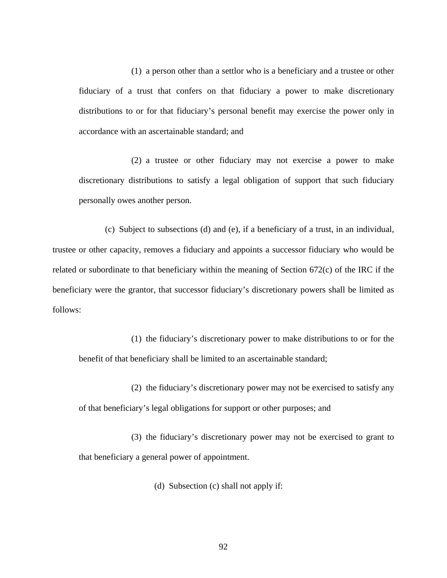(1) a person other than a settlor who is a beneficiary and a trustee or other fiduciary of a trust that confers on that fiduciary a power to make discretionary distributions to or for that fiduciary's personal benefit may exercise the power only in accordance with an ascertainable standard; and

(2) a trustee or other fiduciary may not exercise a power to make discretionary distributions to satisfy a legal obligation of support that such fiduciary personally owes another person.

(c) Subject to subsections (d) and (e), if a beneficiary of a trust, in an individual, trustee or other capacity, removes a fiduciary and appoints a successor fiduciary who would be related or subordinate to that beneficiary within the meaning of Section 672(c) of the IRC if the beneficiary were the grantor, that successor fiduciary's discretionary powers shall be limited as follows:

(1) the fiduciary's discretionary power to make distributions to or for the benefit of that beneficiary shall be limited to an ascertainable standard;

(2) the fiduciary's discretionary power may not be exercised to satisfy any of that beneficiary's legal obligations for support or other purposes; and

(3) the fiduciary's discretionary power may not be exercised to grant to that beneficiary a general power of appointment.

(d) Subsection (c) shall not apply if: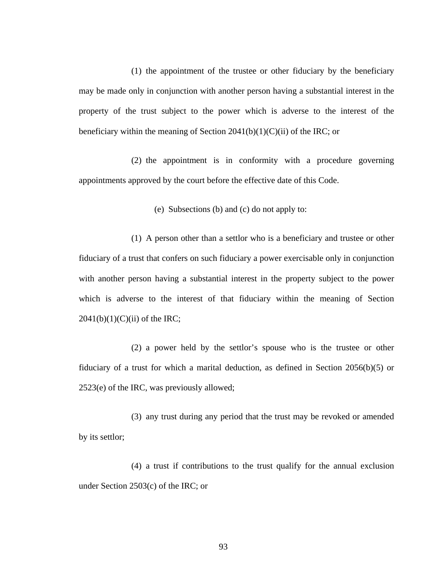(1) the appointment of the trustee or other fiduciary by the beneficiary may be made only in conjunction with another person having a substantial interest in the property of the trust subject to the power which is adverse to the interest of the beneficiary within the meaning of Section  $2041(b)(1)(C)(ii)$  of the IRC; or

(2) the appointment is in conformity with a procedure governing appointments approved by the court before the effective date of this Code.

(e) Subsections (b) and (c) do not apply to:

(1) A person other than a settlor who is a beneficiary and trustee or other fiduciary of a trust that confers on such fiduciary a power exercisable only in conjunction with another person having a substantial interest in the property subject to the power which is adverse to the interest of that fiduciary within the meaning of Section  $2041(b)(1)(C)(ii)$  of the IRC;

(2) a power held by the settlor's spouse who is the trustee or other fiduciary of a trust for which a marital deduction, as defined in Section 2056(b)(5) or 2523(e) of the IRC, was previously allowed;

(3) any trust during any period that the trust may be revoked or amended by its settlor;

(4) a trust if contributions to the trust qualify for the annual exclusion under Section 2503(c) of the IRC; or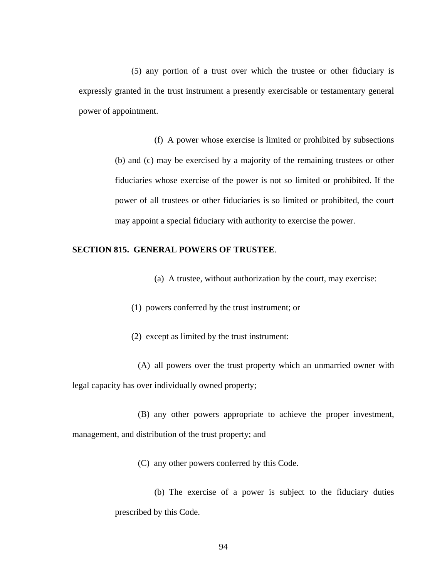(5) any portion of a trust over which the trustee or other fiduciary is expressly granted in the trust instrument a presently exercisable or testamentary general power of appointment.

> (f) A power whose exercise is limited or prohibited by subsections (b) and (c) may be exercised by a majority of the remaining trustees or other fiduciaries whose exercise of the power is not so limited or prohibited. If the power of all trustees or other fiduciaries is so limited or prohibited, the court may appoint a special fiduciary with authority to exercise the power.

## **SECTION 815. GENERAL POWERS OF TRUSTEE**.

- (a) A trustee, without authorization by the court, may exercise:
- (1) powers conferred by the trust instrument; or
- (2) except as limited by the trust instrument:

(A) all powers over the trust property which an unmarried owner with legal capacity has over individually owned property;

(B) any other powers appropriate to achieve the proper investment, management, and distribution of the trust property; and

(C) any other powers conferred by this Code.

(b) The exercise of a power is subject to the fiduciary duties prescribed by this Code.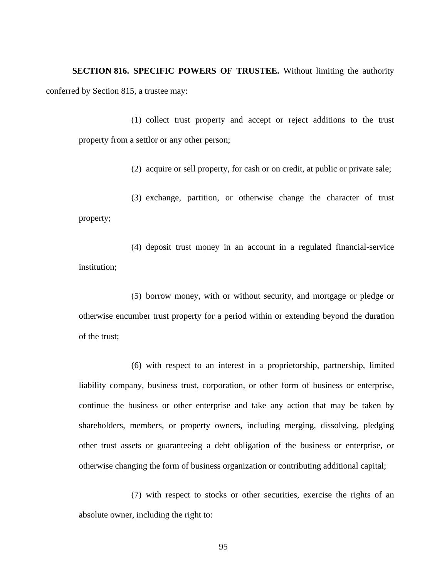**SECTION 816. SPECIFIC POWERS OF TRUSTEE.** Without limiting the authority conferred by Section 815, a trustee may:

(1) collect trust property and accept or reject additions to the trust property from a settlor or any other person;

(2) acquire or sell property, for cash or on credit, at public or private sale;

(3) exchange, partition, or otherwise change the character of trust property;

(4) deposit trust money in an account in a regulated financial-service institution;

(5) borrow money, with or without security, and mortgage or pledge or otherwise encumber trust property for a period within or extending beyond the duration of the trust;

(6) with respect to an interest in a proprietorship, partnership, limited liability company, business trust, corporation, or other form of business or enterprise, continue the business or other enterprise and take any action that may be taken by shareholders, members, or property owners, including merging, dissolving, pledging other trust assets or guaranteeing a debt obligation of the business or enterprise, or otherwise changing the form of business organization or contributing additional capital;

(7) with respect to stocks or other securities, exercise the rights of an absolute owner, including the right to: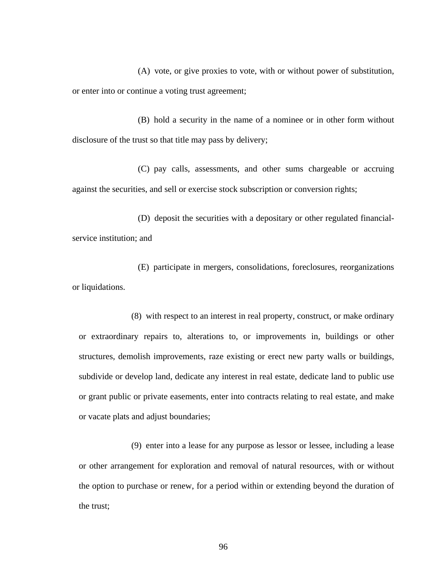(A) vote, or give proxies to vote, with or without power of substitution, or enter into or continue a voting trust agreement;

(B) hold a security in the name of a nominee or in other form without disclosure of the trust so that title may pass by delivery;

(C) pay calls, assessments, and other sums chargeable or accruing against the securities, and sell or exercise stock subscription or conversion rights;

(D) deposit the securities with a depositary or other regulated financialservice institution; and

(E) participate in mergers, consolidations, foreclosures, reorganizations or liquidations.

(8) with respect to an interest in real property, construct, or make ordinary or extraordinary repairs to, alterations to, or improvements in, buildings or other structures, demolish improvements, raze existing or erect new party walls or buildings, subdivide or develop land, dedicate any interest in real estate, dedicate land to public use or grant public or private easements, enter into contracts relating to real estate, and make or vacate plats and adjust boundaries;

(9) enter into a lease for any purpose as lessor or lessee, including a lease or other arrangement for exploration and removal of natural resources, with or without the option to purchase or renew, for a period within or extending beyond the duration of the trust;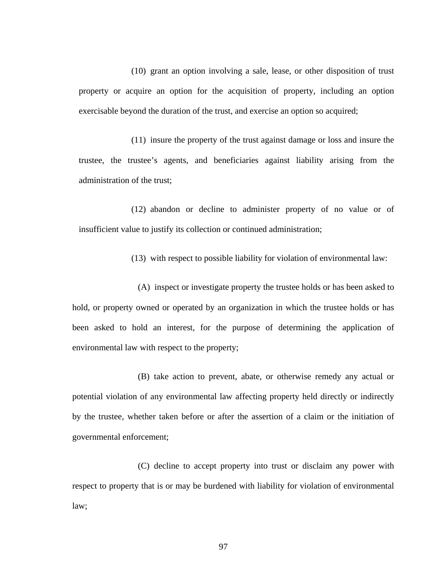(10) grant an option involving a sale, lease, or other disposition of trust property or acquire an option for the acquisition of property, including an option exercisable beyond the duration of the trust, and exercise an option so acquired;

(11) insure the property of the trust against damage or loss and insure the trustee, the trustee's agents, and beneficiaries against liability arising from the administration of the trust;

(12) abandon or decline to administer property of no value or of insufficient value to justify its collection or continued administration;

(13) with respect to possible liability for violation of environmental law:

(A) inspect or investigate property the trustee holds or has been asked to hold, or property owned or operated by an organization in which the trustee holds or has been asked to hold an interest, for the purpose of determining the application of environmental law with respect to the property;

(B) take action to prevent, abate, or otherwise remedy any actual or potential violation of any environmental law affecting property held directly or indirectly by the trustee, whether taken before or after the assertion of a claim or the initiation of governmental enforcement;

(C) decline to accept property into trust or disclaim any power with respect to property that is or may be burdened with liability for violation of environmental law;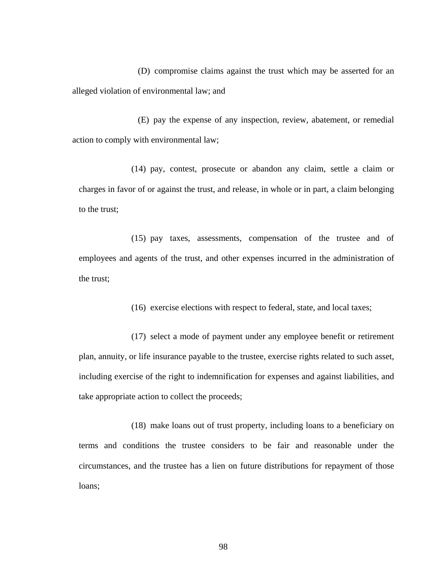(D) compromise claims against the trust which may be asserted for an alleged violation of environmental law; and

(E) pay the expense of any inspection, review, abatement, or remedial action to comply with environmental law;

(14) pay, contest, prosecute or abandon any claim, settle a claim or charges in favor of or against the trust, and release, in whole or in part, a claim belonging to the trust;

(15) pay taxes, assessments, compensation of the trustee and of employees and agents of the trust, and other expenses incurred in the administration of the trust;

(16) exercise elections with respect to federal, state, and local taxes;

(17) select a mode of payment under any employee benefit or retirement plan, annuity, or life insurance payable to the trustee, exercise rights related to such asset, including exercise of the right to indemnification for expenses and against liabilities, and take appropriate action to collect the proceeds;

(18) make loans out of trust property, including loans to a beneficiary on terms and conditions the trustee considers to be fair and reasonable under the circumstances, and the trustee has a lien on future distributions for repayment of those loans;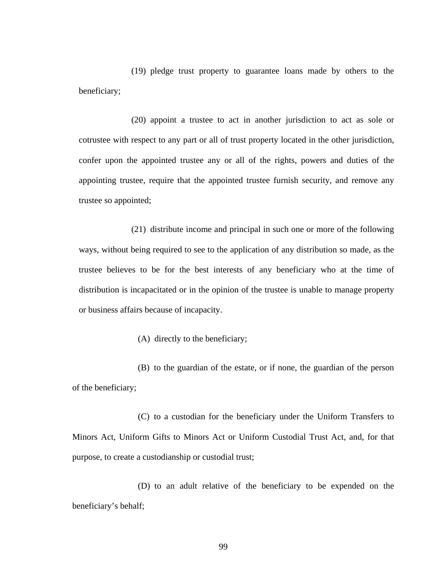(19) pledge trust property to guarantee loans made by others to the beneficiary;

(20) appoint a trustee to act in another jurisdiction to act as sole or cotrustee with respect to any part or all of trust property located in the other jurisdiction, confer upon the appointed trustee any or all of the rights, powers and duties of the appointing trustee, require that the appointed trustee furnish security, and remove any trustee so appointed;

(21) distribute income and principal in such one or more of the following ways, without being required to see to the application of any distribution so made, as the trustee believes to be for the best interests of any beneficiary who at the time of distribution is incapacitated or in the opinion of the trustee is unable to manage property or business affairs because of incapacity.

(A) directly to the beneficiary;

(B) to the guardian of the estate, or if none, the guardian of the person of the beneficiary;

(C) to a custodian for the beneficiary under the Uniform Transfers to Minors Act, Uniform Gifts to Minors Act or Uniform Custodial Trust Act, and, for that purpose, to create a custodianship or custodial trust;

(D) to an adult relative of the beneficiary to be expended on the beneficiary's behalf;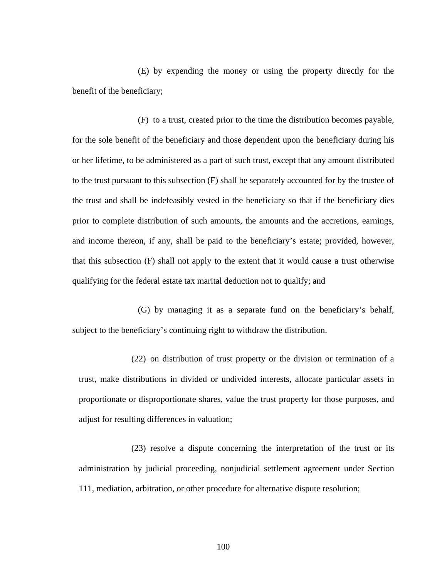(E) by expending the money or using the property directly for the benefit of the beneficiary;

(F) to a trust, created prior to the time the distribution becomes payable, for the sole benefit of the beneficiary and those dependent upon the beneficiary during his or her lifetime, to be administered as a part of such trust, except that any amount distributed to the trust pursuant to this subsection (F) shall be separately accounted for by the trustee of the trust and shall be indefeasibly vested in the beneficiary so that if the beneficiary dies prior to complete distribution of such amounts, the amounts and the accretions, earnings, and income thereon, if any, shall be paid to the beneficiary's estate; provided, however, that this subsection (F) shall not apply to the extent that it would cause a trust otherwise qualifying for the federal estate tax marital deduction not to qualify; and

(G) by managing it as a separate fund on the beneficiary's behalf, subject to the beneficiary's continuing right to withdraw the distribution.

(22) on distribution of trust property or the division or termination of a trust, make distributions in divided or undivided interests, allocate particular assets in proportionate or disproportionate shares, value the trust property for those purposes, and adjust for resulting differences in valuation;

(23) resolve a dispute concerning the interpretation of the trust or its administration by judicial proceeding, nonjudicial settlement agreement under Section 111, mediation, arbitration, or other procedure for alternative dispute resolution;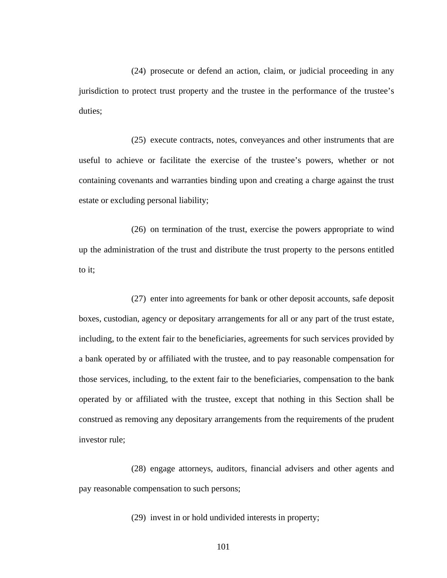(24) prosecute or defend an action, claim, or judicial proceeding in any jurisdiction to protect trust property and the trustee in the performance of the trustee's duties;

(25) execute contracts, notes, conveyances and other instruments that are useful to achieve or facilitate the exercise of the trustee's powers, whether or not containing covenants and warranties binding upon and creating a charge against the trust estate or excluding personal liability;

(26) on termination of the trust, exercise the powers appropriate to wind up the administration of the trust and distribute the trust property to the persons entitled to it;

(27) enter into agreements for bank or other deposit accounts, safe deposit boxes, custodian, agency or depositary arrangements for all or any part of the trust estate, including, to the extent fair to the beneficiaries, agreements for such services provided by a bank operated by or affiliated with the trustee, and to pay reasonable compensation for those services, including, to the extent fair to the beneficiaries, compensation to the bank operated by or affiliated with the trustee, except that nothing in this Section shall be construed as removing any depositary arrangements from the requirements of the prudent investor rule;

(28) engage attorneys, auditors, financial advisers and other agents and pay reasonable compensation to such persons;

(29) invest in or hold undivided interests in property;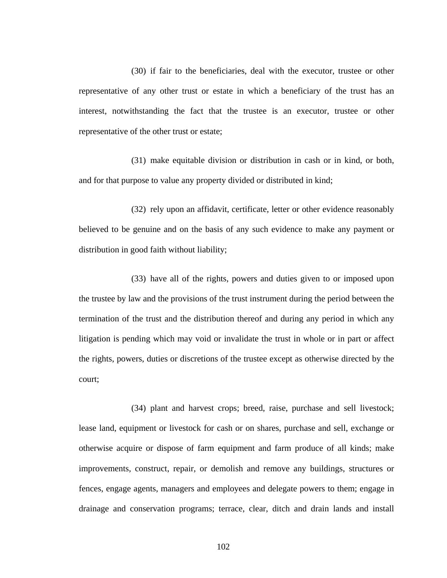(30) if fair to the beneficiaries, deal with the executor, trustee or other representative of any other trust or estate in which a beneficiary of the trust has an interest, notwithstanding the fact that the trustee is an executor, trustee or other representative of the other trust or estate;

(31) make equitable division or distribution in cash or in kind, or both, and for that purpose to value any property divided or distributed in kind;

(32) rely upon an affidavit, certificate, letter or other evidence reasonably believed to be genuine and on the basis of any such evidence to make any payment or distribution in good faith without liability;

(33) have all of the rights, powers and duties given to or imposed upon the trustee by law and the provisions of the trust instrument during the period between the termination of the trust and the distribution thereof and during any period in which any litigation is pending which may void or invalidate the trust in whole or in part or affect the rights, powers, duties or discretions of the trustee except as otherwise directed by the court;

(34) plant and harvest crops; breed, raise, purchase and sell livestock; lease land, equipment or livestock for cash or on shares, purchase and sell, exchange or otherwise acquire or dispose of farm equipment and farm produce of all kinds; make improvements, construct, repair, or demolish and remove any buildings, structures or fences, engage agents, managers and employees and delegate powers to them; engage in drainage and conservation programs; terrace, clear, ditch and drain lands and install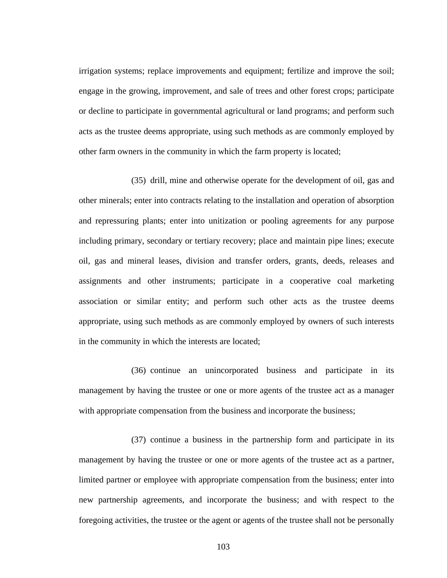irrigation systems; replace improvements and equipment; fertilize and improve the soil; engage in the growing, improvement, and sale of trees and other forest crops; participate or decline to participate in governmental agricultural or land programs; and perform such acts as the trustee deems appropriate, using such methods as are commonly employed by other farm owners in the community in which the farm property is located;

(35) drill, mine and otherwise operate for the development of oil, gas and other minerals; enter into contracts relating to the installation and operation of absorption and repressuring plants; enter into unitization or pooling agreements for any purpose including primary, secondary or tertiary recovery; place and maintain pipe lines; execute oil, gas and mineral leases, division and transfer orders, grants, deeds, releases and assignments and other instruments; participate in a cooperative coal marketing association or similar entity; and perform such other acts as the trustee deems appropriate, using such methods as are commonly employed by owners of such interests in the community in which the interests are located;

(36) continue an unincorporated business and participate in its management by having the trustee or one or more agents of the trustee act as a manager with appropriate compensation from the business and incorporate the business;

(37) continue a business in the partnership form and participate in its management by having the trustee or one or more agents of the trustee act as a partner, limited partner or employee with appropriate compensation from the business; enter into new partnership agreements, and incorporate the business; and with respect to the foregoing activities, the trustee or the agent or agents of the trustee shall not be personally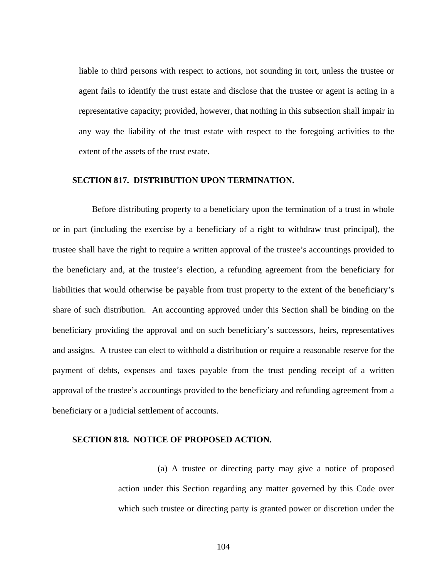liable to third persons with respect to actions, not sounding in tort, unless the trustee or agent fails to identify the trust estate and disclose that the trustee or agent is acting in a representative capacity; provided, however, that nothing in this subsection shall impair in any way the liability of the trust estate with respect to the foregoing activities to the extent of the assets of the trust estate.

#### **SECTION 817. DISTRIBUTION UPON TERMINATION.**

Before distributing property to a beneficiary upon the termination of a trust in whole or in part (including the exercise by a beneficiary of a right to withdraw trust principal), the trustee shall have the right to require a written approval of the trustee's accountings provided to the beneficiary and, at the trustee's election, a refunding agreement from the beneficiary for liabilities that would otherwise be payable from trust property to the extent of the beneficiary's share of such distribution. An accounting approved under this Section shall be binding on the beneficiary providing the approval and on such beneficiary's successors, heirs, representatives and assigns. A trustee can elect to withhold a distribution or require a reasonable reserve for the payment of debts, expenses and taxes payable from the trust pending receipt of a written approval of the trustee's accountings provided to the beneficiary and refunding agreement from a beneficiary or a judicial settlement of accounts.

#### **SECTION 818. NOTICE OF PROPOSED ACTION.**

(a) A trustee or directing party may give a notice of proposed action under this Section regarding any matter governed by this Code over which such trustee or directing party is granted power or discretion under the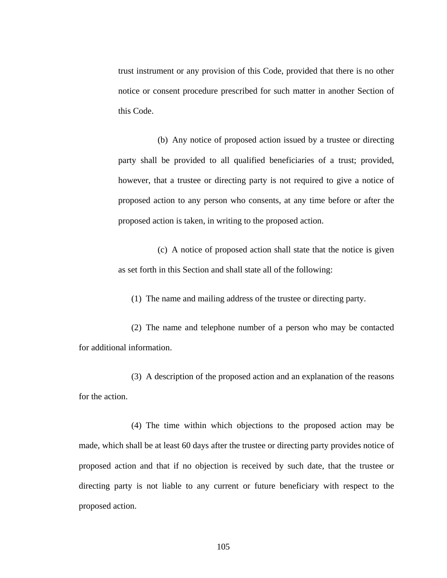trust instrument or any provision of this Code, provided that there is no other notice or consent procedure prescribed for such matter in another Section of this Code.

(b) Any notice of proposed action issued by a trustee or directing party shall be provided to all qualified beneficiaries of a trust; provided, however, that a trustee or directing party is not required to give a notice of proposed action to any person who consents, at any time before or after the proposed action is taken, in writing to the proposed action.

(c) A notice of proposed action shall state that the notice is given as set forth in this Section and shall state all of the following:

(1) The name and mailing address of the trustee or directing party.

(2) The name and telephone number of a person who may be contacted for additional information.

(3) A description of the proposed action and an explanation of the reasons for the action.

(4) The time within which objections to the proposed action may be made, which shall be at least 60 days after the trustee or directing party provides notice of proposed action and that if no objection is received by such date, that the trustee or directing party is not liable to any current or future beneficiary with respect to the proposed action.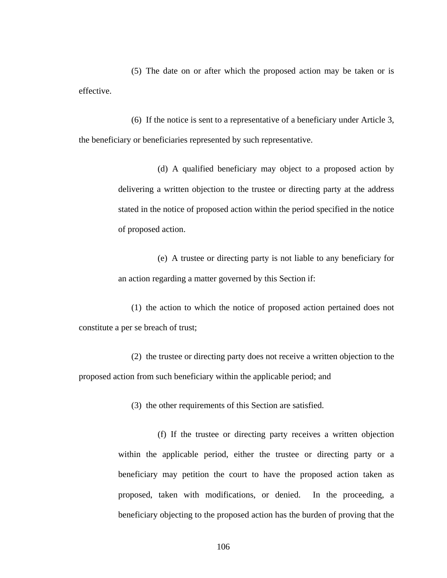(5) The date on or after which the proposed action may be taken or is effective.

(6) If the notice is sent to a representative of a beneficiary under Article 3, the beneficiary or beneficiaries represented by such representative.

> (d) A qualified beneficiary may object to a proposed action by delivering a written objection to the trustee or directing party at the address stated in the notice of proposed action within the period specified in the notice of proposed action.

> (e) A trustee or directing party is not liable to any beneficiary for an action regarding a matter governed by this Section if:

(1) the action to which the notice of proposed action pertained does not constitute a per se breach of trust;

(2) the trustee or directing party does not receive a written objection to the proposed action from such beneficiary within the applicable period; and

(3) the other requirements of this Section are satisfied.

(f) If the trustee or directing party receives a written objection within the applicable period, either the trustee or directing party or a beneficiary may petition the court to have the proposed action taken as proposed, taken with modifications, or denied. In the proceeding, a beneficiary objecting to the proposed action has the burden of proving that the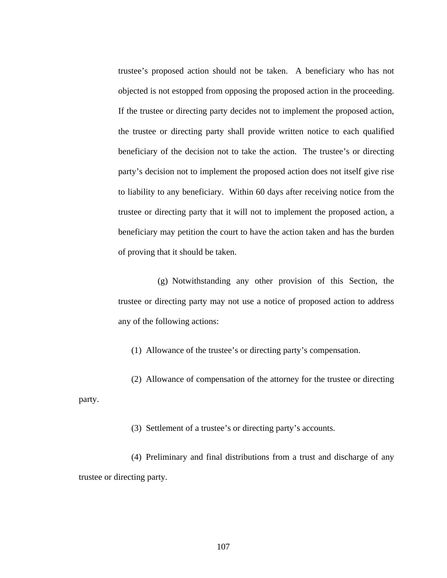trustee's proposed action should not be taken. A beneficiary who has not objected is not estopped from opposing the proposed action in the proceeding. If the trustee or directing party decides not to implement the proposed action, the trustee or directing party shall provide written notice to each qualified beneficiary of the decision not to take the action. The trustee's or directing party's decision not to implement the proposed action does not itself give rise to liability to any beneficiary. Within 60 days after receiving notice from the trustee or directing party that it will not to implement the proposed action, a beneficiary may petition the court to have the action taken and has the burden of proving that it should be taken.

(g) Notwithstanding any other provision of this Section, the trustee or directing party may not use a notice of proposed action to address any of the following actions:

(1) Allowance of the trustee's or directing party's compensation.

(2) Allowance of compensation of the attorney for the trustee or directing party.

(3) Settlement of a trustee's or directing party's accounts.

(4) Preliminary and final distributions from a trust and discharge of any trustee or directing party.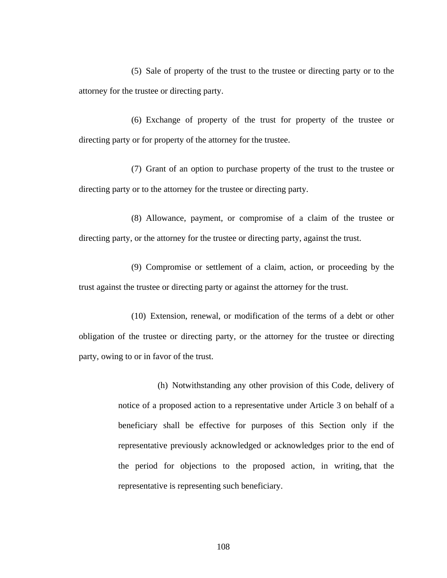(5) Sale of property of the trust to the trustee or directing party or to the attorney for the trustee or directing party.

(6) Exchange of property of the trust for property of the trustee or directing party or for property of the attorney for the trustee.

(7) Grant of an option to purchase property of the trust to the trustee or directing party or to the attorney for the trustee or directing party.

(8) Allowance, payment, or compromise of a claim of the trustee or directing party, or the attorney for the trustee or directing party, against the trust.

(9) Compromise or settlement of a claim, action, or proceeding by the trust against the trustee or directing party or against the attorney for the trust.

(10) Extension, renewal, or modification of the terms of a debt or other obligation of the trustee or directing party, or the attorney for the trustee or directing party, owing to or in favor of the trust.

> (h) Notwithstanding any other provision of this Code, delivery of notice of a proposed action to a representative under Article 3 on behalf of a beneficiary shall be effective for purposes of this Section only if the representative previously acknowledged or acknowledges prior to the end of the period for objections to the proposed action, in writing, that the representative is representing such beneficiary.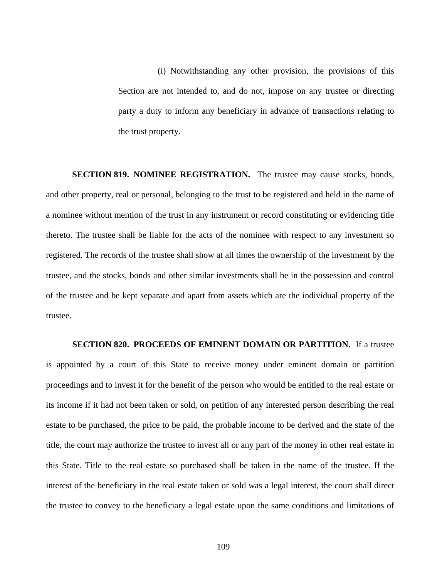(i) Notwithstanding any other provision, the provisions of this Section are not intended to, and do not, impose on any trustee or directing party a duty to inform any beneficiary in advance of transactions relating to the trust property.

**SECTION 819. NOMINEE REGISTRATION.** The trustee may cause stocks, bonds, and other property, real or personal, belonging to the trust to be registered and held in the name of a nominee without mention of the trust in any instrument or record constituting or evidencing title thereto. The trustee shall be liable for the acts of the nominee with respect to any investment so registered. The records of the trustee shall show at all times the ownership of the investment by the trustee, and the stocks, bonds and other similar investments shall be in the possession and control of the trustee and be kept separate and apart from assets which are the individual property of the trustee.

**SECTION 820. PROCEEDS OF EMINENT DOMAIN OR PARTITION.** If a trustee is appointed by a court of this State to receive money under eminent domain or partition proceedings and to invest it for the benefit of the person who would be entitled to the real estate or its income if it had not been taken or sold, on petition of any interested person describing the real estate to be purchased, the price to be paid, the probable income to be derived and the state of the title, the court may authorize the trustee to invest all or any part of the money in other real estate in this State. Title to the real estate so purchased shall be taken in the name of the trustee. If the interest of the beneficiary in the real estate taken or sold was a legal interest, the court shall direct the trustee to convey to the beneficiary a legal estate upon the same conditions and limitations of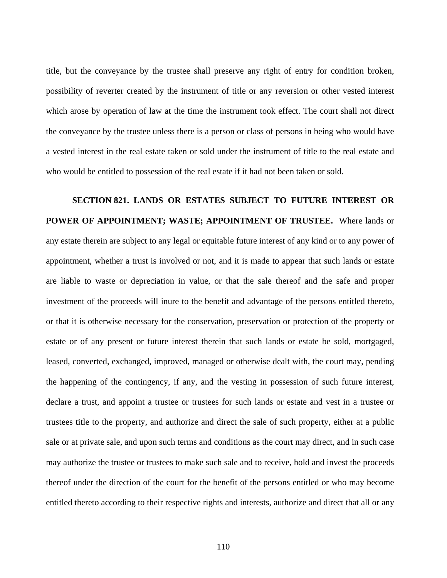title, but the conveyance by the trustee shall preserve any right of entry for condition broken, possibility of reverter created by the instrument of title or any reversion or other vested interest which arose by operation of law at the time the instrument took effect. The court shall not direct the conveyance by the trustee unless there is a person or class of persons in being who would have a vested interest in the real estate taken or sold under the instrument of title to the real estate and who would be entitled to possession of the real estate if it had not been taken or sold.

# **SECTION 821. LANDS OR ESTATES SUBJECT TO FUTURE INTEREST OR POWER OF APPOINTMENT; WASTE; APPOINTMENT OF TRUSTEE.** Where lands or any estate therein are subject to any legal or equitable future interest of any kind or to any power of appointment, whether a trust is involved or not, and it is made to appear that such lands or estate are liable to waste or depreciation in value, or that the sale thereof and the safe and proper investment of the proceeds will inure to the benefit and advantage of the persons entitled thereto, or that it is otherwise necessary for the conservation, preservation or protection of the property or estate or of any present or future interest therein that such lands or estate be sold, mortgaged, leased, converted, exchanged, improved, managed or otherwise dealt with, the court may, pending the happening of the contingency, if any, and the vesting in possession of such future interest, declare a trust, and appoint a trustee or trustees for such lands or estate and vest in a trustee or trustees title to the property, and authorize and direct the sale of such property, either at a public sale or at private sale, and upon such terms and conditions as the court may direct, and in such case may authorize the trustee or trustees to make such sale and to receive, hold and invest the proceeds thereof under the direction of the court for the benefit of the persons entitled or who may become entitled thereto according to their respective rights and interests, authorize and direct that all or any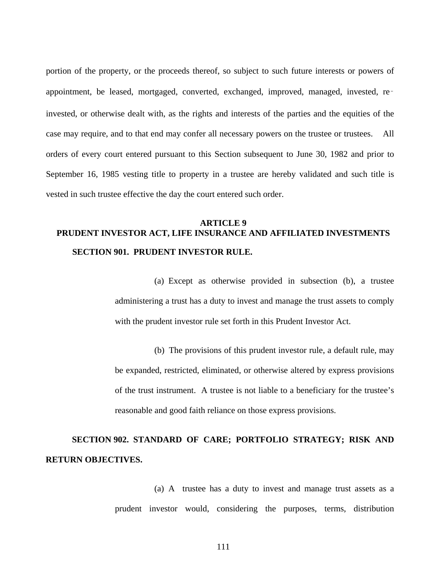portion of the property, or the proceeds thereof, so subject to such future interests or powers of appointment, be leased, mortgaged, converted, exchanged, improved, managed, invested, re‑ invested, or otherwise dealt with, as the rights and interests of the parties and the equities of the case may require, and to that end may confer all necessary powers on the trustee or trustees. All orders of every court entered pursuant to this Section subsequent to June 30, 1982 and prior to September 16, 1985 vesting title to property in a trustee are hereby validated and such title is vested in such trustee effective the day the court entered such order.

### **ARTICLE 9 PRUDENT INVESTOR ACT, LIFE INSURANCE AND AFFILIATED INVESTMENTS SECTION 901. PRUDENT INVESTOR RULE.**

(a) Except as otherwise provided in subsection (b), a trustee administering a trust has a duty to invest and manage the trust assets to comply with the prudent investor rule set forth in this Prudent Investor Act.

(b) The provisions of this prudent investor rule, a default rule, may be expanded, restricted, eliminated, or otherwise altered by express provisions of the trust instrument. A trustee is not liable to a beneficiary for the trustee's reasonable and good faith reliance on those express provisions.

### **SECTION 902. STANDARD OF CARE; PORTFOLIO STRATEGY; RISK AND RETURN OBJECTIVES.**

(a) A trustee has a duty to invest and manage trust assets as a prudent investor would, considering the purposes, terms, distribution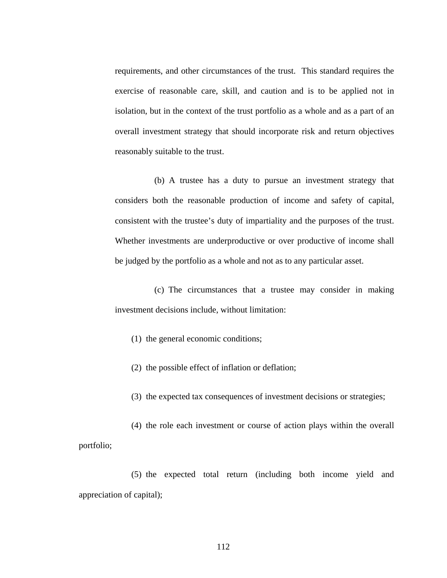requirements, and other circumstances of the trust. This standard requires the exercise of reasonable care, skill, and caution and is to be applied not in isolation, but in the context of the trust portfolio as a whole and as a part of an overall investment strategy that should incorporate risk and return objectives reasonably suitable to the trust.

(b) A trustee has a duty to pursue an investment strategy that considers both the reasonable production of income and safety of capital, consistent with the trustee's duty of impartiality and the purposes of the trust. Whether investments are underproductive or over productive of income shall be judged by the portfolio as a whole and not as to any particular asset.

(c) The circumstances that a trustee may consider in making investment decisions include, without limitation:

(1) the general economic conditions;

(2) the possible effect of inflation or deflation;

(3) the expected tax consequences of investment decisions or strategies;

(4) the role each investment or course of action plays within the overall portfolio;

(5) the expected total return (including both income yield and appreciation of capital);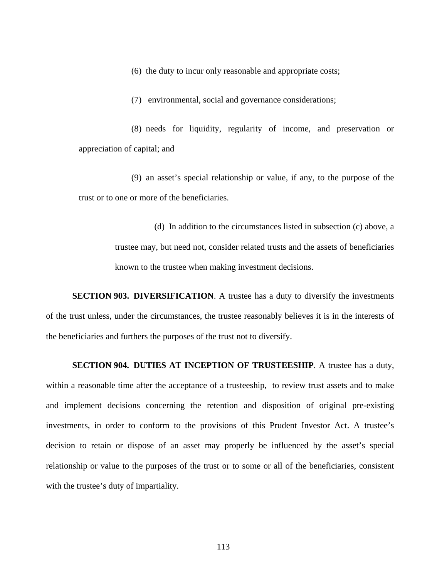(6) the duty to incur only reasonable and appropriate costs;

(7) environmental, social and governance considerations;

(8) needs for liquidity, regularity of income, and preservation or appreciation of capital; and

(9) an asset's special relationship or value, if any, to the purpose of the trust or to one or more of the beneficiaries.

(d) In addition to the circumstances listed in subsection (c) above, a trustee may, but need not, consider related trusts and the assets of beneficiaries known to the trustee when making investment decisions.

**SECTION 903. DIVERSIFICATION.** A trustee has a duty to diversify the investments of the trust unless, under the circumstances, the trustee reasonably believes it is in the interests of the beneficiaries and furthers the purposes of the trust not to diversify.

**SECTION 904. DUTIES AT INCEPTION OF TRUSTEESHIP**. A trustee has a duty,

within a reasonable time after the acceptance of a trusteeship, to review trust assets and to make and implement decisions concerning the retention and disposition of original pre-existing investments, in order to conform to the provisions of this Prudent Investor Act. A trustee's decision to retain or dispose of an asset may properly be influenced by the asset's special relationship or value to the purposes of the trust or to some or all of the beneficiaries, consistent with the trustee's duty of impartiality.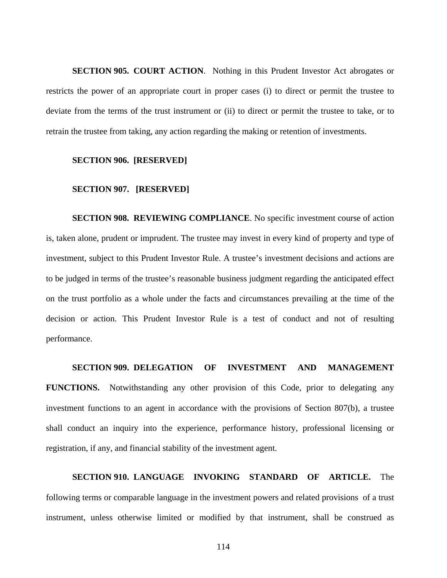**SECTION 905. COURT ACTION**. Nothing in this Prudent Investor Act abrogates or restricts the power of an appropriate court in proper cases (i) to direct or permit the trustee to deviate from the terms of the trust instrument or (ii) to direct or permit the trustee to take, or to retrain the trustee from taking, any action regarding the making or retention of investments.

#### **SECTION 906. [RESERVED]**

#### **SECTION 907. [RESERVED]**

**SECTION 908. REVIEWING COMPLIANCE**. No specific investment course of action is, taken alone, prudent or imprudent. The trustee may invest in every kind of property and type of investment, subject to this Prudent Investor Rule. A trustee's investment decisions and actions are to be judged in terms of the trustee's reasonable business judgment regarding the anticipated effect on the trust portfolio as a whole under the facts and circumstances prevailing at the time of the decision or action. This Prudent Investor Rule is a test of conduct and not of resulting performance.

#### **SECTION 909. DELEGATION OF INVESTMENT AND MANAGEMENT**

**FUNCTIONS.** Notwithstanding any other provision of this Code, prior to delegating any investment functions to an agent in accordance with the provisions of Section 807(b), a trustee shall conduct an inquiry into the experience, performance history, professional licensing or registration, if any, and financial stability of the investment agent.

## **SECTION 910. LANGUAGE INVOKING STANDARD OF ARTICLE.** The following terms or comparable language in the investment powers and related provisions of a trust instrument, unless otherwise limited or modified by that instrument, shall be construed as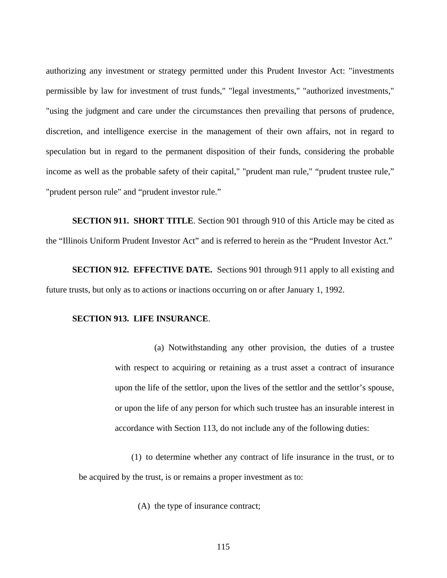authorizing any investment or strategy permitted under this Prudent Investor Act: "investments permissible by law for investment of trust funds," "legal investments," "authorized investments," "using the judgment and care under the circumstances then prevailing that persons of prudence, discretion, and intelligence exercise in the management of their own affairs, not in regard to speculation but in regard to the permanent disposition of their funds, considering the probable income as well as the probable safety of their capital," "prudent man rule," "prudent trustee rule," "prudent person rule" and "prudent investor rule."

**SECTION 911. SHORT TITLE**. Section 901 through 910 of this Article may be cited as the "Illinois Uniform Prudent Investor Act" and is referred to herein as the "Prudent Investor Act."

**SECTION 912. EFFECTIVE DATE.** Sections 901 through 911 apply to all existing and future trusts, but only as to actions or inactions occurring on or after January 1, 1992.

#### **SECTION 913. LIFE INSURANCE**.

(a) Notwithstanding any other provision, the duties of a trustee with respect to acquiring or retaining as a trust asset a contract of insurance upon the life of the settlor, upon the lives of the settlor and the settlor's spouse, or upon the life of any person for which such trustee has an insurable interest in accordance with Section 113, do not include any of the following duties:

(1) to determine whether any contract of life insurance in the trust, or to be acquired by the trust, is or remains a proper investment as to:

(A) the type of insurance contract;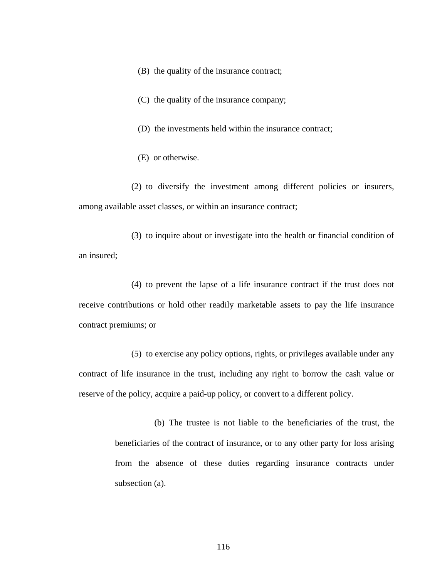- (B) the quality of the insurance contract;
- (C) the quality of the insurance company;
- (D) the investments held within the insurance contract;
- (E) or otherwise.

(2) to diversify the investment among different policies or insurers, among available asset classes, or within an insurance contract;

(3) to inquire about or investigate into the health or financial condition of an insured;

(4) to prevent the lapse of a life insurance contract if the trust does not receive contributions or hold other readily marketable assets to pay the life insurance contract premiums; or

(5) to exercise any policy options, rights, or privileges available under any contract of life insurance in the trust, including any right to borrow the cash value or reserve of the policy, acquire a paid-up policy, or convert to a different policy.

> (b) The trustee is not liable to the beneficiaries of the trust, the beneficiaries of the contract of insurance, or to any other party for loss arising from the absence of these duties regarding insurance contracts under subsection (a).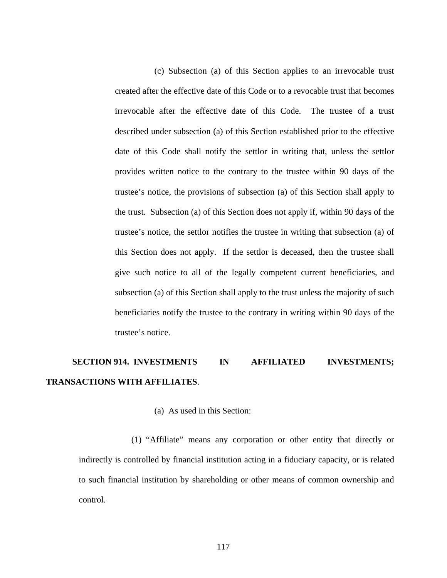(c) Subsection (a) of this Section applies to an irrevocable trust created after the effective date of this Code or to a revocable trust that becomes irrevocable after the effective date of this Code. The trustee of a trust described under subsection (a) of this Section established prior to the effective date of this Code shall notify the settlor in writing that, unless the settlor provides written notice to the contrary to the trustee within 90 days of the trustee's notice, the provisions of subsection (a) of this Section shall apply to the trust. Subsection (a) of this Section does not apply if, within 90 days of the trustee's notice, the settlor notifies the trustee in writing that subsection (a) of this Section does not apply. If the settlor is deceased, then the trustee shall give such notice to all of the legally competent current beneficiaries, and subsection (a) of this Section shall apply to the trust unless the majority of such beneficiaries notify the trustee to the contrary in writing within 90 days of the trustee's notice.

## **SECTION 914. INVESTMENTS IN AFFILIATED INVESTMENTS; TRANSACTIONS WITH AFFILIATES**.

#### (a) As used in this Section:

(1) "Affiliate" means any corporation or other entity that directly or indirectly is controlled by financial institution acting in a fiduciary capacity, or is related to such financial institution by shareholding or other means of common ownership and control.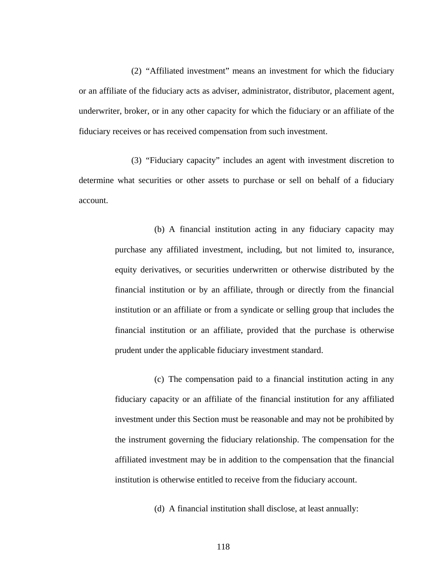(2) "Affiliated investment" means an investment for which the fiduciary or an affiliate of the fiduciary acts as adviser, administrator, distributor, placement agent, underwriter, broker, or in any other capacity for which the fiduciary or an affiliate of the fiduciary receives or has received compensation from such investment.

(3) "Fiduciary capacity" includes an agent with investment discretion to determine what securities or other assets to purchase or sell on behalf of a fiduciary account.

> (b) A financial institution acting in any fiduciary capacity may purchase any affiliated investment, including, but not limited to, insurance, equity derivatives, or securities underwritten or otherwise distributed by the financial institution or by an affiliate, through or directly from the financial institution or an affiliate or from a syndicate or selling group that includes the financial institution or an affiliate, provided that the purchase is otherwise prudent under the applicable fiduciary investment standard.

> (c) The compensation paid to a financial institution acting in any fiduciary capacity or an affiliate of the financial institution for any affiliated investment under this Section must be reasonable and may not be prohibited by the instrument governing the fiduciary relationship. The compensation for the affiliated investment may be in addition to the compensation that the financial institution is otherwise entitled to receive from the fiduciary account.

> > (d) A financial institution shall disclose, at least annually: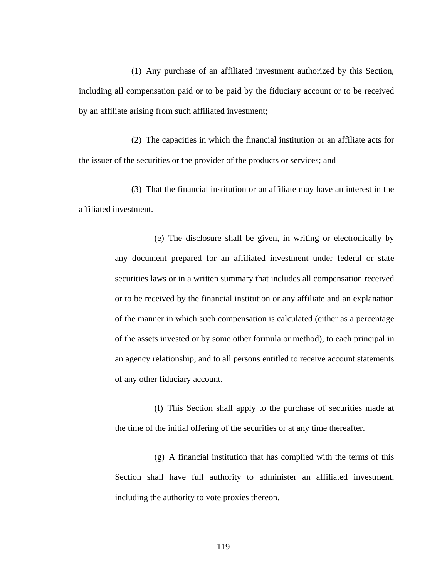(1) Any purchase of an affiliated investment authorized by this Section, including all compensation paid or to be paid by the fiduciary account or to be received by an affiliate arising from such affiliated investment;

(2) The capacities in which the financial institution or an affiliate acts for the issuer of the securities or the provider of the products or services; and

(3) That the financial institution or an affiliate may have an interest in the affiliated investment.

> (e) The disclosure shall be given, in writing or electronically by any document prepared for an affiliated investment under federal or state securities laws or in a written summary that includes all compensation received or to be received by the financial institution or any affiliate and an explanation of the manner in which such compensation is calculated (either as a percentage of the assets invested or by some other formula or method), to each principal in an agency relationship, and to all persons entitled to receive account statements of any other fiduciary account.

> (f) This Section shall apply to the purchase of securities made at the time of the initial offering of the securities or at any time thereafter.

> (g) A financial institution that has complied with the terms of this Section shall have full authority to administer an affiliated investment, including the authority to vote proxies thereon.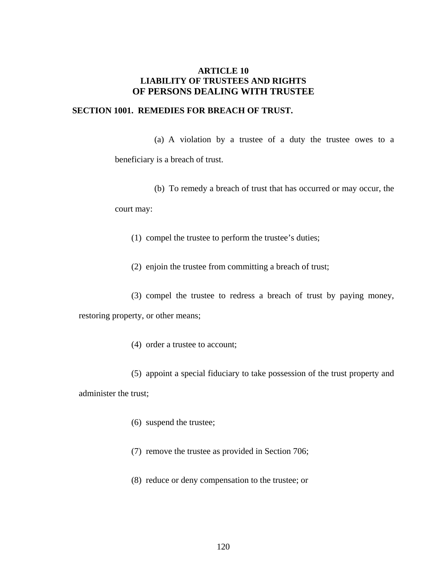#### **ARTICLE 10 LIABILITY OF TRUSTEES AND RIGHTS OF PERSONS DEALING WITH TRUSTEE**

#### **SECTION 1001. REMEDIES FOR BREACH OF TRUST.**

(a) A violation by a trustee of a duty the trustee owes to a

beneficiary is a breach of trust.

(b) To remedy a breach of trust that has occurred or may occur, the

court may:

(1) compel the trustee to perform the trustee's duties;

(2) enjoin the trustee from committing a breach of trust;

(3) compel the trustee to redress a breach of trust by paying money,

restoring property, or other means;

(4) order a trustee to account;

(5) appoint a special fiduciary to take possession of the trust property and administer the trust;

- (6) suspend the trustee;
- (7) remove the trustee as provided in Section 706;
- (8) reduce or deny compensation to the trustee; or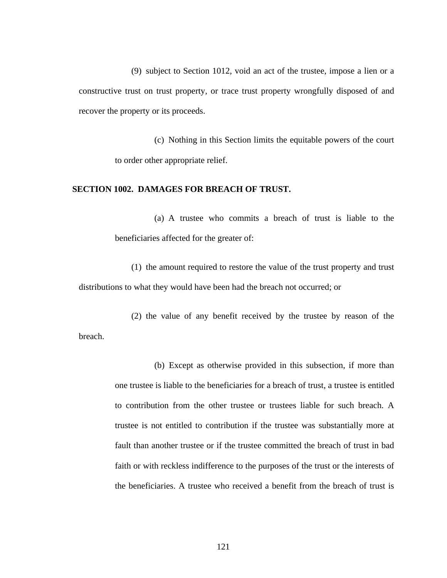(9) subject to Section 1012, void an act of the trustee, impose a lien or a constructive trust on trust property, or trace trust property wrongfully disposed of and recover the property or its proceeds.

(c) Nothing in this Section limits the equitable powers of the court to order other appropriate relief.

#### **SECTION 1002. DAMAGES FOR BREACH OF TRUST.**

(a) A trustee who commits a breach of trust is liable to the beneficiaries affected for the greater of:

(1) the amount required to restore the value of the trust property and trust distributions to what they would have been had the breach not occurred; or

(2) the value of any benefit received by the trustee by reason of the breach.

> (b) Except as otherwise provided in this subsection, if more than one trustee is liable to the beneficiaries for a breach of trust, a trustee is entitled to contribution from the other trustee or trustees liable for such breach. A trustee is not entitled to contribution if the trustee was substantially more at fault than another trustee or if the trustee committed the breach of trust in bad faith or with reckless indifference to the purposes of the trust or the interests of the beneficiaries. A trustee who received a benefit from the breach of trust is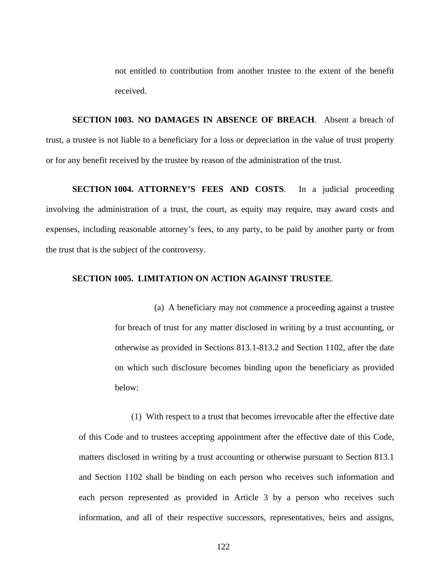not entitled to contribution from another trustee to the extent of the benefit received.

**SECTION 1003. NO DAMAGES IN ABSENCE OF BREACH**. Absent a breach of trust, a trustee is not liable to a beneficiary for a loss or depreciation in the value of trust property or for any benefit received by the trustee by reason of the administration of the trust.

**SECTION 1004. ATTORNEY'S FEES AND COSTS**. In a judicial proceeding involving the administration of a trust, the court, as equity may require, may award costs and expenses, including reasonable attorney's fees, to any party, to be paid by another party or from the trust that is the subject of the controversy.

#### **SECTION 1005. LIMITATION ON ACTION AGAINST TRUSTEE**.

(a) A beneficiary may not commence a proceeding against a trustee for breach of trust for any matter disclosed in writing by a trust accounting, or otherwise as provided in Sections 813.1-813.2 and Section 1102, after the date on which such disclosure becomes binding upon the beneficiary as provided below:

(1) With respect to a trust that becomes irrevocable after the effective date of this Code and to trustees accepting appointment after the effective date of this Code, matters disclosed in writing by a trust accounting or otherwise pursuant to Section 813.1 and Section 1102 shall be binding on each person who receives such information and each person represented as provided in Article 3 by a person who receives such information, and all of their respective successors, representatives, heirs and assigns,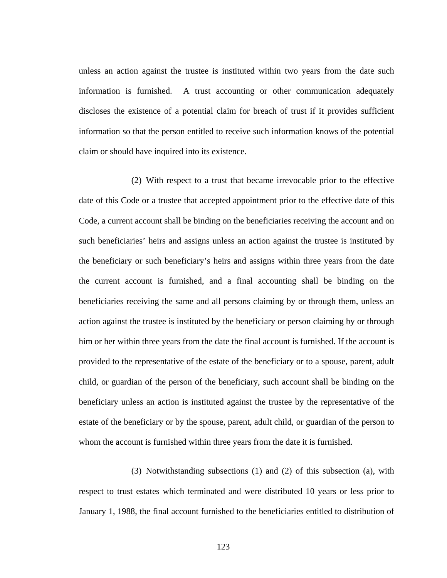unless an action against the trustee is instituted within two years from the date such information is furnished. A trust accounting or other communication adequately discloses the existence of a potential claim for breach of trust if it provides sufficient information so that the person entitled to receive such information knows of the potential claim or should have inquired into its existence.

(2) With respect to a trust that became irrevocable prior to the effective date of this Code or a trustee that accepted appointment prior to the effective date of this Code, a current account shall be binding on the beneficiaries receiving the account and on such beneficiaries' heirs and assigns unless an action against the trustee is instituted by the beneficiary or such beneficiary's heirs and assigns within three years from the date the current account is furnished, and a final accounting shall be binding on the beneficiaries receiving the same and all persons claiming by or through them, unless an action against the trustee is instituted by the beneficiary or person claiming by or through him or her within three years from the date the final account is furnished. If the account is provided to the representative of the estate of the beneficiary or to a spouse, parent, adult child, or guardian of the person of the beneficiary, such account shall be binding on the beneficiary unless an action is instituted against the trustee by the representative of the estate of the beneficiary or by the spouse, parent, adult child, or guardian of the person to whom the account is furnished within three years from the date it is furnished.

(3) Notwithstanding subsections (1) and (2) of this subsection (a), with respect to trust estates which terminated and were distributed 10 years or less prior to January 1, 1988, the final account furnished to the beneficiaries entitled to distribution of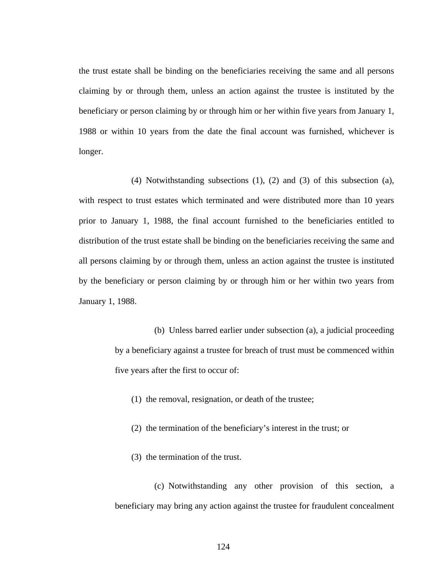the trust estate shall be binding on the beneficiaries receiving the same and all persons claiming by or through them, unless an action against the trustee is instituted by the beneficiary or person claiming by or through him or her within five years from January 1, 1988 or within 10 years from the date the final account was furnished, whichever is longer.

(4) Notwithstanding subsections (1), (2) and (3) of this subsection (a), with respect to trust estates which terminated and were distributed more than 10 years prior to January 1, 1988, the final account furnished to the beneficiaries entitled to distribution of the trust estate shall be binding on the beneficiaries receiving the same and all persons claiming by or through them, unless an action against the trustee is instituted by the beneficiary or person claiming by or through him or her within two years from January 1, 1988.

> (b) Unless barred earlier under subsection (a), a judicial proceeding by a beneficiary against a trustee for breach of trust must be commenced within five years after the first to occur of:

- (1) the removal, resignation, or death of the trustee;
- (2) the termination of the beneficiary's interest in the trust; or
- (3) the termination of the trust.

(c) Notwithstanding any other provision of this section, a beneficiary may bring any action against the trustee for fraudulent concealment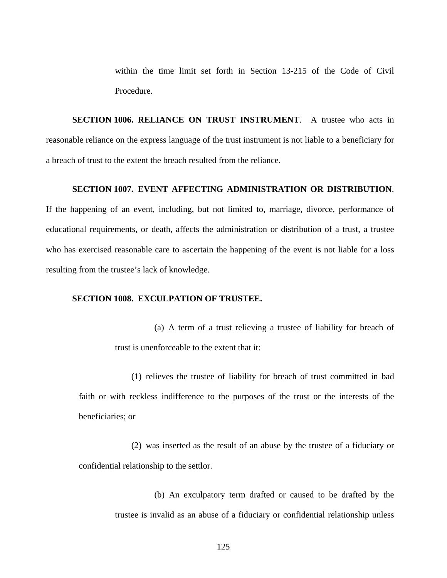within the time limit set forth in Section 13-215 of the Code of Civil Procedure.

**SECTION 1006. RELIANCE ON TRUST INSTRUMENT**. A trustee who acts in reasonable reliance on the express language of the trust instrument is not liable to a beneficiary for a breach of trust to the extent the breach resulted from the reliance.

#### **SECTION 1007. EVENT AFFECTING ADMINISTRATION OR DISTRIBUTION**.

If the happening of an event, including, but not limited to, marriage, divorce, performance of educational requirements, or death, affects the administration or distribution of a trust, a trustee who has exercised reasonable care to ascertain the happening of the event is not liable for a loss resulting from the trustee's lack of knowledge.

#### **SECTION 1008. EXCULPATION OF TRUSTEE.**

(a) A term of a trust relieving a trustee of liability for breach of trust is unenforceable to the extent that it:

(1) relieves the trustee of liability for breach of trust committed in bad faith or with reckless indifference to the purposes of the trust or the interests of the beneficiaries; or

(2) was inserted as the result of an abuse by the trustee of a fiduciary or confidential relationship to the settlor.

> (b) An exculpatory term drafted or caused to be drafted by the trustee is invalid as an abuse of a fiduciary or confidential relationship unless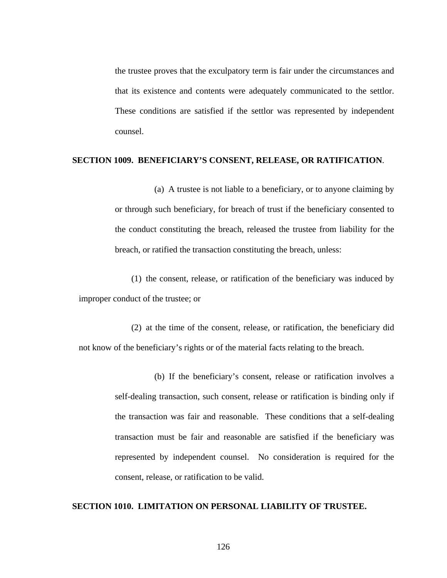the trustee proves that the exculpatory term is fair under the circumstances and that its existence and contents were adequately communicated to the settlor. These conditions are satisfied if the settlor was represented by independent counsel.

#### **SECTION 1009. BENEFICIARY'S CONSENT, RELEASE, OR RATIFICATION**.

(a) A trustee is not liable to a beneficiary, or to anyone claiming by or through such beneficiary, for breach of trust if the beneficiary consented to the conduct constituting the breach, released the trustee from liability for the breach, or ratified the transaction constituting the breach, unless:

(1) the consent, release, or ratification of the beneficiary was induced by improper conduct of the trustee; or

(2) at the time of the consent, release, or ratification, the beneficiary did not know of the beneficiary's rights or of the material facts relating to the breach.

> (b) If the beneficiary's consent, release or ratification involves a self-dealing transaction, such consent, release or ratification is binding only if the transaction was fair and reasonable. These conditions that a self-dealing transaction must be fair and reasonable are satisfied if the beneficiary was represented by independent counsel. No consideration is required for the consent, release, or ratification to be valid.

#### **SECTION 1010. LIMITATION ON PERSONAL LIABILITY OF TRUSTEE.**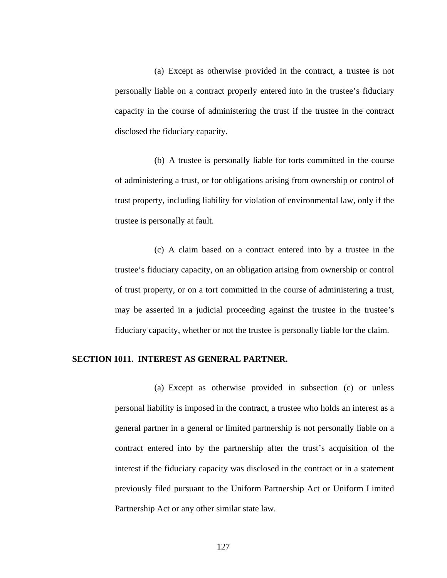(a) Except as otherwise provided in the contract, a trustee is not personally liable on a contract properly entered into in the trustee's fiduciary capacity in the course of administering the trust if the trustee in the contract disclosed the fiduciary capacity.

(b) A trustee is personally liable for torts committed in the course of administering a trust, or for obligations arising from ownership or control of trust property, including liability for violation of environmental law, only if the trustee is personally at fault.

(c) A claim based on a contract entered into by a trustee in the trustee's fiduciary capacity, on an obligation arising from ownership or control of trust property, or on a tort committed in the course of administering a trust, may be asserted in a judicial proceeding against the trustee in the trustee's fiduciary capacity, whether or not the trustee is personally liable for the claim.

#### **SECTION 1011. INTEREST AS GENERAL PARTNER.**

(a) Except as otherwise provided in subsection (c) or unless personal liability is imposed in the contract, a trustee who holds an interest as a general partner in a general or limited partnership is not personally liable on a contract entered into by the partnership after the trust's acquisition of the interest if the fiduciary capacity was disclosed in the contract or in a statement previously filed pursuant to the Uniform Partnership Act or Uniform Limited Partnership Act or any other similar state law.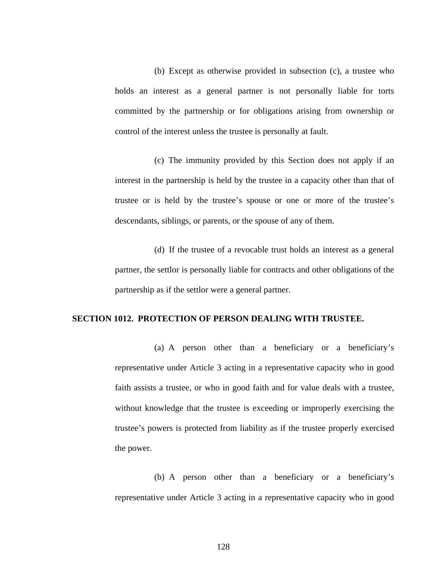(b) Except as otherwise provided in subsection (c), a trustee who holds an interest as a general partner is not personally liable for torts committed by the partnership or for obligations arising from ownership or control of the interest unless the trustee is personally at fault.

(c) The immunity provided by this Section does not apply if an interest in the partnership is held by the trustee in a capacity other than that of trustee or is held by the trustee's spouse or one or more of the trustee's descendants, siblings, or parents, or the spouse of any of them.

(d) If the trustee of a revocable trust holds an interest as a general partner, the settlor is personally liable for contracts and other obligations of the partnership as if the settlor were a general partner.

#### **SECTION 1012. PROTECTION OF PERSON DEALING WITH TRUSTEE.**

(a) A person other than a beneficiary or a beneficiary's representative under Article 3 acting in a representative capacity who in good faith assists a trustee, or who in good faith and for value deals with a trustee, without knowledge that the trustee is exceeding or improperly exercising the trustee's powers is protected from liability as if the trustee properly exercised the power.

(b) A person other than a beneficiary or a beneficiary's representative under Article 3 acting in a representative capacity who in good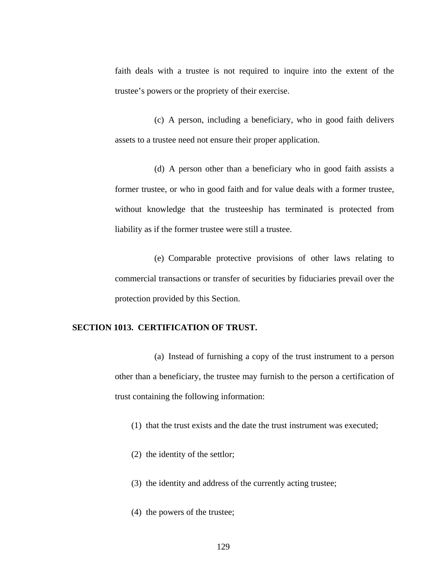faith deals with a trustee is not required to inquire into the extent of the trustee's powers or the propriety of their exercise.

(c) A person, including a beneficiary, who in good faith delivers assets to a trustee need not ensure their proper application.

(d) A person other than a beneficiary who in good faith assists a former trustee, or who in good faith and for value deals with a former trustee, without knowledge that the trusteeship has terminated is protected from liability as if the former trustee were still a trustee.

(e) Comparable protective provisions of other laws relating to commercial transactions or transfer of securities by fiduciaries prevail over the protection provided by this Section.

#### **SECTION 1013. CERTIFICATION OF TRUST.**

(a) Instead of furnishing a copy of the trust instrument to a person other than a beneficiary, the trustee may furnish to the person a certification of trust containing the following information:

(1) that the trust exists and the date the trust instrument was executed;

- (2) the identity of the settlor;
- (3) the identity and address of the currently acting trustee;
- (4) the powers of the trustee;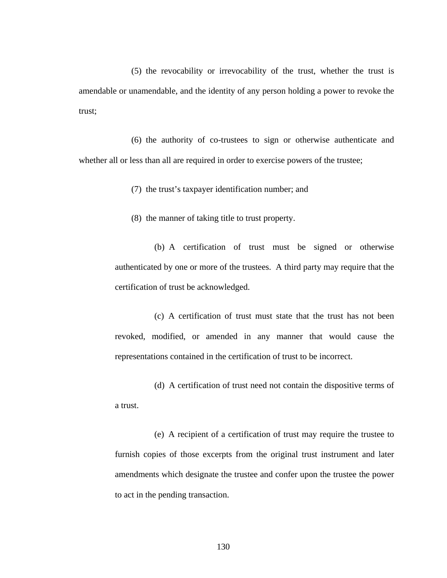(5) the revocability or irrevocability of the trust, whether the trust is amendable or unamendable, and the identity of any person holding a power to revoke the trust;

(6) the authority of co-trustees to sign or otherwise authenticate and whether all or less than all are required in order to exercise powers of the trustee;

(7) the trust's taxpayer identification number; and

(8) the manner of taking title to trust property.

(b) A certification of trust must be signed or otherwise authenticated by one or more of the trustees. A third party may require that the certification of trust be acknowledged.

(c) A certification of trust must state that the trust has not been revoked, modified, or amended in any manner that would cause the representations contained in the certification of trust to be incorrect.

(d) A certification of trust need not contain the dispositive terms of a trust.

(e) A recipient of a certification of trust may require the trustee to furnish copies of those excerpts from the original trust instrument and later amendments which designate the trustee and confer upon the trustee the power to act in the pending transaction.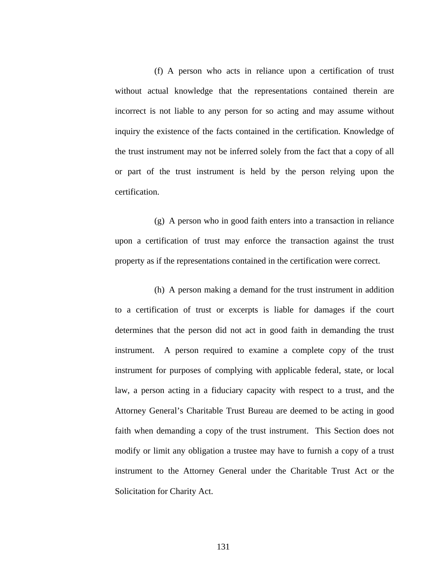(f) A person who acts in reliance upon a certification of trust without actual knowledge that the representations contained therein are incorrect is not liable to any person for so acting and may assume without inquiry the existence of the facts contained in the certification. Knowledge of the trust instrument may not be inferred solely from the fact that a copy of all or part of the trust instrument is held by the person relying upon the certification.

(g) A person who in good faith enters into a transaction in reliance upon a certification of trust may enforce the transaction against the trust property as if the representations contained in the certification were correct.

(h) A person making a demand for the trust instrument in addition to a certification of trust or excerpts is liable for damages if the court determines that the person did not act in good faith in demanding the trust instrument. A person required to examine a complete copy of the trust instrument for purposes of complying with applicable federal, state, or local law, a person acting in a fiduciary capacity with respect to a trust, and the Attorney General's Charitable Trust Bureau are deemed to be acting in good faith when demanding a copy of the trust instrument. This Section does not modify or limit any obligation a trustee may have to furnish a copy of a trust instrument to the Attorney General under the Charitable Trust Act or the Solicitation for Charity Act.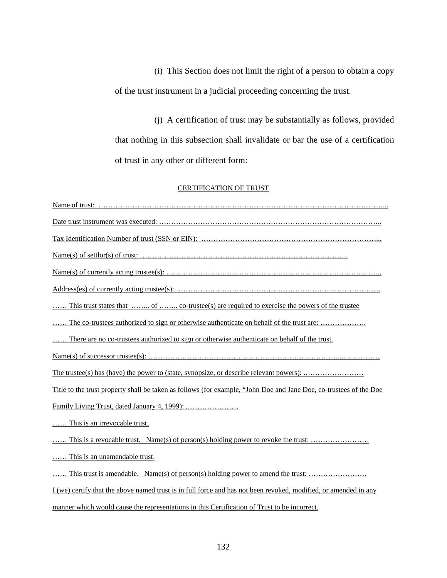(i) This Section does not limit the right of a person to obtain a copy of the trust instrument in a judicial proceeding concerning the trust.

(j) A certification of trust may be substantially as follows, provided that nothing in this subsection shall invalidate or bar the use of a certification of trust in any other or different form:

#### CERTIFICATION OF TRUST

| This trust states that  of  co-trustee(s) are required to exercise the powers of the trustee                       |
|--------------------------------------------------------------------------------------------------------------------|
| The co-trustees authorized to sign or otherwise authoriticate on behalf of the trust are:                          |
| There are no co-trustees authorized to sign or otherwise authenticate on behalf of the trust.                      |
|                                                                                                                    |
|                                                                                                                    |
| Title to the trust property shall be taken as follows (for example, "John Doe and Jane Doe, co-trustees of the Doe |
|                                                                                                                    |
| This is an irrevocable trust.                                                                                      |
|                                                                                                                    |
| This is an unamendable trust.                                                                                      |
| This trust is amendable. Name(s) of person(s) holding power to amend the trust:                                    |
| I (we) certify that the above named trust is in full force and has not been revoked, modified, or amended in any   |
| manner which would cause the representations in this Certification of Trust to be incorrect.                       |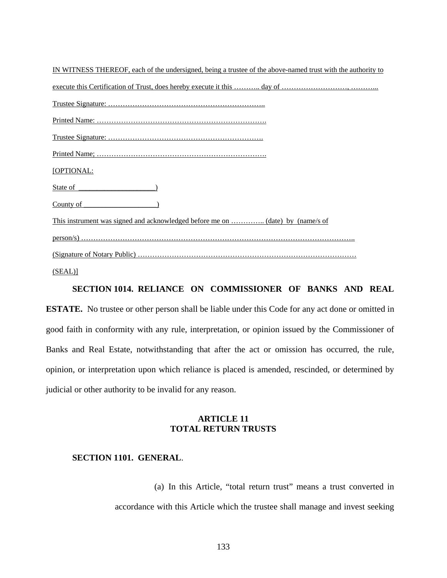| IN WITNESS THEREOF, each of the undersigned, being a trustee of the above-named trust with the authority to |
|-------------------------------------------------------------------------------------------------------------|
|                                                                                                             |
|                                                                                                             |
|                                                                                                             |
|                                                                                                             |
|                                                                                                             |
| [OPTIONAL:                                                                                                  |
| State of                                                                                                    |
| County of                                                                                                   |
| This instrument was signed and acknowledged before me on  (date) by (name/s of                              |
|                                                                                                             |
|                                                                                                             |
| (SEAL)                                                                                                      |

#### **SECTION 1014. RELIANCE ON COMMISSIONER OF BANKS AND REAL**

**ESTATE.** No trustee or other person shall be liable under this Code for any act done or omitted in good faith in conformity with any rule, interpretation, or opinion issued by the Commissioner of Banks and Real Estate, notwithstanding that after the act or omission has occurred, the rule, opinion, or interpretation upon which reliance is placed is amended, rescinded, or determined by judicial or other authority to be invalid for any reason.

#### **ARTICLE 11 TOTAL RETURN TRUSTS**

#### **SECTION 1101. GENERAL**.

(a) In this Article, "total return trust" means a trust converted in accordance with this Article which the trustee shall manage and invest seeking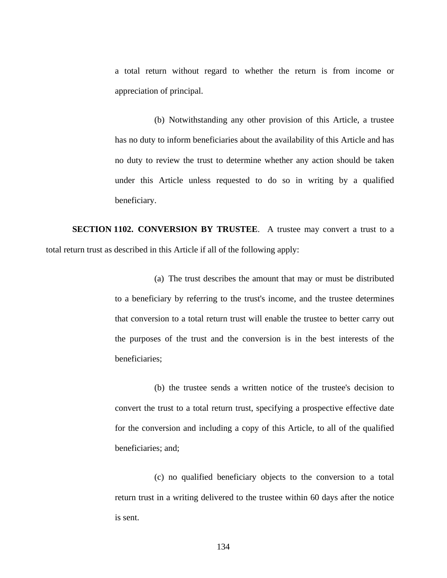a total return without regard to whether the return is from income or appreciation of principal.

(b) Notwithstanding any other provision of this Article, a trustee has no duty to inform beneficiaries about the availability of this Article and has no duty to review the trust to determine whether any action should be taken under this Article unless requested to do so in writing by a qualified beneficiary.

**SECTION 1102. CONVERSION BY TRUSTEE**.A trustee may convert a trust to a total return trust as described in this Article if all of the following apply:

> (a) The trust describes the amount that may or must be distributed to a beneficiary by referring to the trust's income, and the trustee determines that conversion to a total return trust will enable the trustee to better carry out the purposes of the trust and the conversion is in the best interests of the beneficiaries;

> (b) the trustee sends a written notice of the trustee's decision to convert the trust to a total return trust, specifying a prospective effective date for the conversion and including a copy of this Article, to all of the qualified beneficiaries; and;

> (c) no qualified beneficiary objects to the conversion to a total return trust in a writing delivered to the trustee within 60 days after the notice is sent.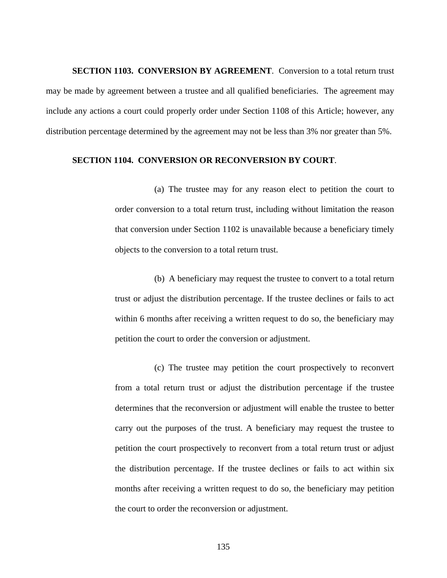**SECTION 1103. CONVERSION BY AGREEMENT**. Conversion to a total return trust may be made by agreement between a trustee and all qualified beneficiaries. The agreement may include any actions a court could properly order under Section 1108 of this Article; however, any distribution percentage determined by the agreement may not be less than 3% nor greater than 5%.

#### **SECTION 1104. CONVERSION OR RECONVERSION BY COURT**.

(a) The trustee may for any reason elect to petition the court to order conversion to a total return trust, including without limitation the reason that conversion under Section 1102 is unavailable because a beneficiary timely objects to the conversion to a total return trust.

(b) A beneficiary may request the trustee to convert to a total return trust or adjust the distribution percentage. If the trustee declines or fails to act within 6 months after receiving a written request to do so, the beneficiary may petition the court to order the conversion or adjustment.

(c) The trustee may petition the court prospectively to reconvert from a total return trust or adjust the distribution percentage if the trustee determines that the reconversion or adjustment will enable the trustee to better carry out the purposes of the trust. A beneficiary may request the trustee to petition the court prospectively to reconvert from a total return trust or adjust the distribution percentage. If the trustee declines or fails to act within six months after receiving a written request to do so, the beneficiary may petition the court to order the reconversion or adjustment.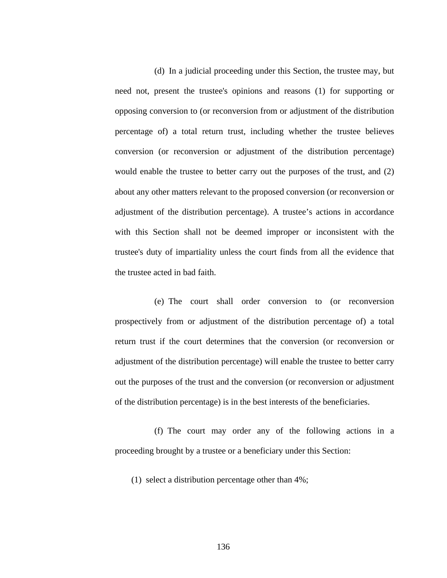(d) In a judicial proceeding under this Section, the trustee may, but need not, present the trustee's opinions and reasons (1) for supporting or opposing conversion to (or reconversion from or adjustment of the distribution percentage of) a total return trust, including whether the trustee believes conversion (or reconversion or adjustment of the distribution percentage) would enable the trustee to better carry out the purposes of the trust, and (2) about any other matters relevant to the proposed conversion (or reconversion or adjustment of the distribution percentage). A trustee's actions in accordance with this Section shall not be deemed improper or inconsistent with the trustee's duty of impartiality unless the court finds from all the evidence that the trustee acted in bad faith.

(e) The court shall order conversion to (or reconversion prospectively from or adjustment of the distribution percentage of) a total return trust if the court determines that the conversion (or reconversion or adjustment of the distribution percentage) will enable the trustee to better carry out the purposes of the trust and the conversion (or reconversion or adjustment of the distribution percentage) is in the best interests of the beneficiaries.

(f) The court may order any of the following actions in a proceeding brought by a trustee or a beneficiary under this Section:

(1) select a distribution percentage other than 4%;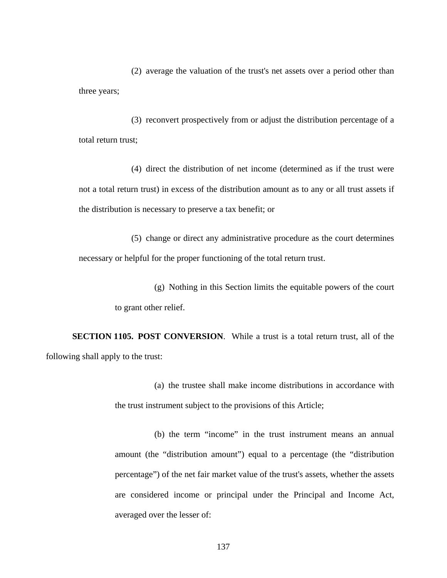(2) average the valuation of the trust's net assets over a period other than three years;

(3) reconvert prospectively from or adjust the distribution percentage of a total return trust;

(4) direct the distribution of net income (determined as if the trust were not a total return trust) in excess of the distribution amount as to any or all trust assets if the distribution is necessary to preserve a tax benefit; or

(5) change or direct any administrative procedure as the court determines necessary or helpful for the proper functioning of the total return trust.

> (g) Nothing in this Section limits the equitable powers of the court to grant other relief.

**SECTION 1105. POST CONVERSION**.While a trust is a total return trust, all of the following shall apply to the trust:

> (a) the trustee shall make income distributions in accordance with the trust instrument subject to the provisions of this Article;

> (b) the term "income" in the trust instrument means an annual amount (the "distribution amount") equal to a percentage (the "distribution percentage") of the net fair market value of the trust's assets, whether the assets are considered income or principal under the Principal and Income Act, averaged over the lesser of: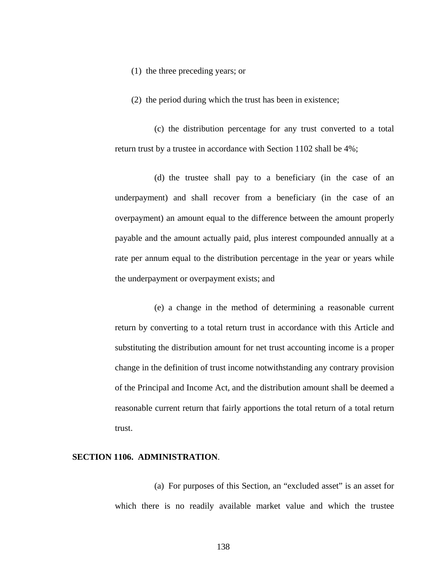(1) the three preceding years; or

(2) the period during which the trust has been in existence;

(c) the distribution percentage for any trust converted to a total return trust by a trustee in accordance with Section 1102 shall be 4%;

(d) the trustee shall pay to a beneficiary (in the case of an underpayment) and shall recover from a beneficiary (in the case of an overpayment) an amount equal to the difference between the amount properly payable and the amount actually paid, plus interest compounded annually at a rate per annum equal to the distribution percentage in the year or years while the underpayment or overpayment exists; and

(e) a change in the method of determining a reasonable current return by converting to a total return trust in accordance with this Article and substituting the distribution amount for net trust accounting income is a proper change in the definition of trust income notwithstanding any contrary provision of the Principal and Income Act, and the distribution amount shall be deemed a reasonable current return that fairly apportions the total return of a total return trust.

### **SECTION 1106. ADMINISTRATION**.

(a) For purposes of this Section, an "excluded asset" is an asset for which there is no readily available market value and which the trustee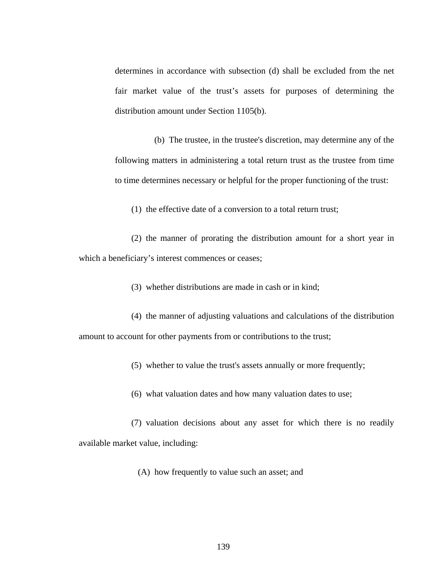determines in accordance with subsection (d) shall be excluded from the net fair market value of the trust's assets for purposes of determining the distribution amount under Section 1105(b).

(b) The trustee, in the trustee's discretion, may determine any of the following matters in administering a total return trust as the trustee from time to time determines necessary or helpful for the proper functioning of the trust:

(1) the effective date of a conversion to a total return trust;

(2) the manner of prorating the distribution amount for a short year in which a beneficiary's interest commences or ceases;

(3) whether distributions are made in cash or in kind;

(4) the manner of adjusting valuations and calculations of the distribution amount to account for other payments from or contributions to the trust;

(5) whether to value the trust's assets annually or more frequently;

(6) what valuation dates and how many valuation dates to use;

(7) valuation decisions about any asset for which there is no readily available market value, including:

(A) how frequently to value such an asset; and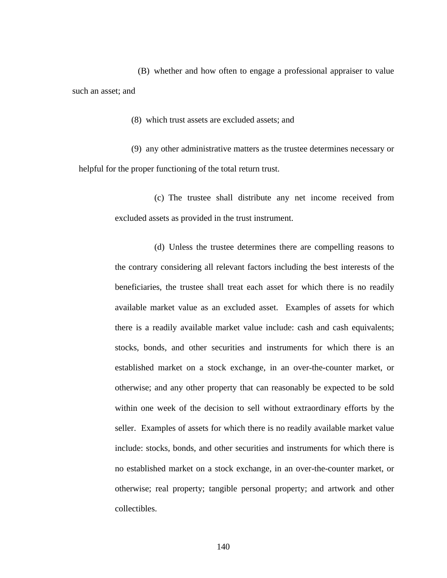(B) whether and how often to engage a professional appraiser to value such an asset; and

(8) which trust assets are excluded assets; and

(9) any other administrative matters as the trustee determines necessary or helpful for the proper functioning of the total return trust.

> (c) The trustee shall distribute any net income received from excluded assets as provided in the trust instrument.

> (d) Unless the trustee determines there are compelling reasons to the contrary considering all relevant factors including the best interests of the beneficiaries, the trustee shall treat each asset for which there is no readily available market value as an excluded asset. Examples of assets for which there is a readily available market value include: cash and cash equivalents; stocks, bonds, and other securities and instruments for which there is an established market on a stock exchange, in an over-the-counter market, or otherwise; and any other property that can reasonably be expected to be sold within one week of the decision to sell without extraordinary efforts by the seller. Examples of assets for which there is no readily available market value include: stocks, bonds, and other securities and instruments for which there is no established market on a stock exchange, in an over-the-counter market, or otherwise; real property; tangible personal property; and artwork and other collectibles.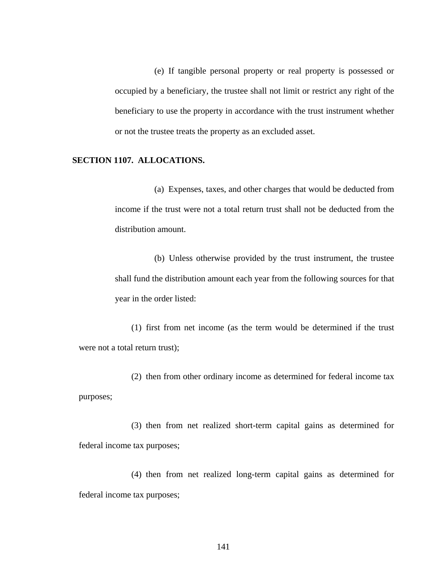(e) If tangible personal property or real property is possessed or occupied by a beneficiary, the trustee shall not limit or restrict any right of the beneficiary to use the property in accordance with the trust instrument whether or not the trustee treats the property as an excluded asset.

#### **SECTION 1107. ALLOCATIONS.**

(a) Expenses, taxes, and other charges that would be deducted from income if the trust were not a total return trust shall not be deducted from the distribution amount.

(b) Unless otherwise provided by the trust instrument, the trustee shall fund the distribution amount each year from the following sources for that year in the order listed:

(1) first from net income (as the term would be determined if the trust were not a total return trust);

(2) then from other ordinary income as determined for federal income tax purposes;

(3) then from net realized short-term capital gains as determined for federal income tax purposes;

(4) then from net realized long-term capital gains as determined for federal income tax purposes;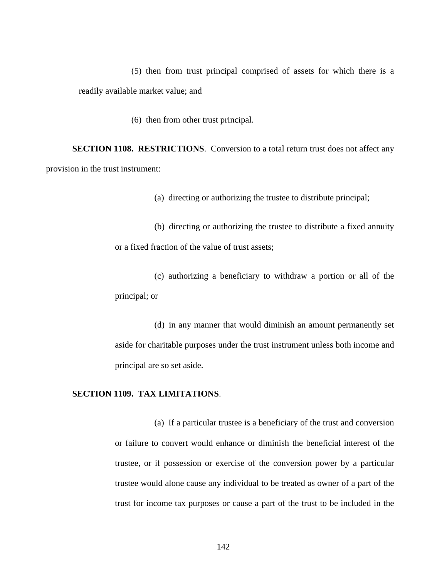(5) then from trust principal comprised of assets for which there is a readily available market value; and

(6) then from other trust principal.

**SECTION 1108. RESTRICTIONS**. Conversion to a total return trust does not affect any provision in the trust instrument:

(a) directing or authorizing the trustee to distribute principal;

(b) directing or authorizing the trustee to distribute a fixed annuity or a fixed fraction of the value of trust assets;

(c) authorizing a beneficiary to withdraw a portion or all of the principal; or

(d) in any manner that would diminish an amount permanently set aside for charitable purposes under the trust instrument unless both income and principal are so set aside.

### **SECTION 1109. TAX LIMITATIONS**.

(a) If a particular trustee is a beneficiary of the trust and conversion or failure to convert would enhance or diminish the beneficial interest of the trustee, or if possession or exercise of the conversion power by a particular trustee would alone cause any individual to be treated as owner of a part of the trust for income tax purposes or cause a part of the trust to be included in the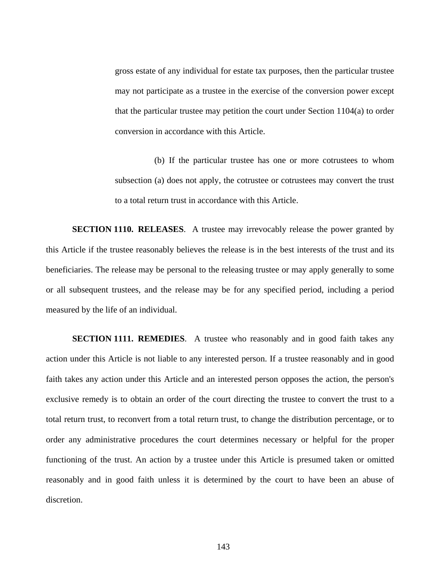gross estate of any individual for estate tax purposes, then the particular trustee may not participate as a trustee in the exercise of the conversion power except that the particular trustee may petition the court under Section 1104(a) to order conversion in accordance with this Article.

(b) If the particular trustee has one or more cotrustees to whom subsection (a) does not apply, the cotrustee or cotrustees may convert the trust to a total return trust in accordance with this Article.

**SECTION 1110. RELEASES**.A trustee may irrevocably release the power granted by this Article if the trustee reasonably believes the release is in the best interests of the trust and its beneficiaries. The release may be personal to the releasing trustee or may apply generally to some or all subsequent trustees, and the release may be for any specified period, including a period measured by the life of an individual.

**SECTION 1111. REMEDIES.** A trustee who reasonably and in good faith takes any action under this Article is not liable to any interested person. If a trustee reasonably and in good faith takes any action under this Article and an interested person opposes the action, the person's exclusive remedy is to obtain an order of the court directing the trustee to convert the trust to a total return trust, to reconvert from a total return trust, to change the distribution percentage, or to order any administrative procedures the court determines necessary or helpful for the proper functioning of the trust. An action by a trustee under this Article is presumed taken or omitted reasonably and in good faith unless it is determined by the court to have been an abuse of discretion.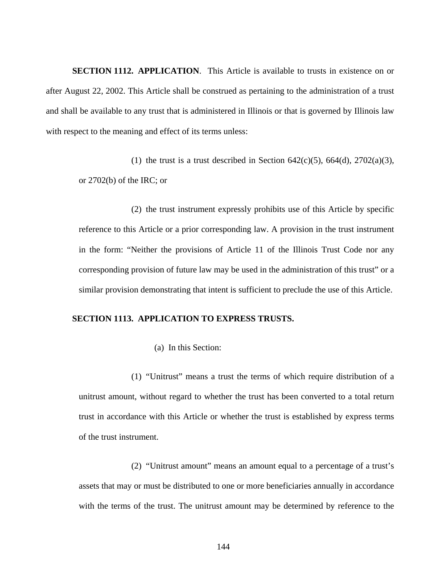**SECTION 1112. APPLICATION**. This Article is available to trusts in existence on or after August 22, 2002. This Article shall be construed as pertaining to the administration of a trust and shall be available to any trust that is administered in Illinois or that is governed by Illinois law with respect to the meaning and effect of its terms unless:

(1) the trust is a trust described in Section  $642(c)(5)$ ,  $664(d)$ ,  $2702(a)(3)$ , or 2702(b) of the IRC; or

(2) the trust instrument expressly prohibits use of this Article by specific reference to this Article or a prior corresponding law. A provision in the trust instrument in the form: "Neither the provisions of Article 11 of the Illinois Trust Code nor any corresponding provision of future law may be used in the administration of this trust" or a similar provision demonstrating that intent is sufficient to preclude the use of this Article.

# **SECTION 1113. APPLICATION TO EXPRESS TRUSTS.**

(a) In this Section:

(1) "Unitrust" means a trust the terms of which require distribution of a unitrust amount, without regard to whether the trust has been converted to a total return trust in accordance with this Article or whether the trust is established by express terms of the trust instrument.

(2) "Unitrust amount" means an amount equal to a percentage of a trust's assets that may or must be distributed to one or more beneficiaries annually in accordance with the terms of the trust. The unitrust amount may be determined by reference to the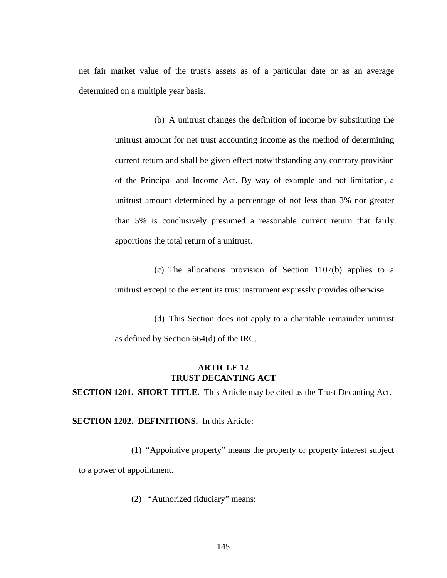net fair market value of the trust's assets as of a particular date or as an average determined on a multiple year basis.

> (b) A unitrust changes the definition of income by substituting the unitrust amount for net trust accounting income as the method of determining current return and shall be given effect notwithstanding any contrary provision of the Principal and Income Act. By way of example and not limitation, a unitrust amount determined by a percentage of not less than 3% nor greater than 5% is conclusively presumed a reasonable current return that fairly apportions the total return of a unitrust.

> (c) The allocations provision of Section 1107(b) applies to a unitrust except to the extent its trust instrument expressly provides otherwise.

> (d) This Section does not apply to a charitable remainder unitrust as defined by Section 664(d) of the IRC.

# **ARTICLE 12 TRUST DECANTING ACT**

**SECTION 1201. SHORT TITLE.** This Article may be cited as the Trust Decanting Act.

**SECTION 1202. DEFINITIONS.** In this Article:

(1) "Appointive property" means the property or property interest subject to a power of appointment.

(2) "Authorized fiduciary" means: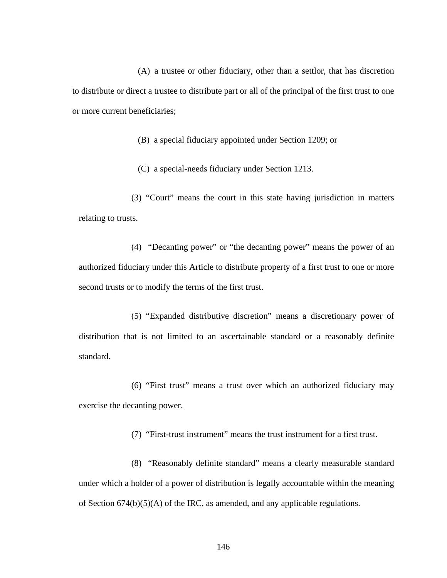(A) a trustee or other fiduciary, other than a settlor, that has discretion to distribute or direct a trustee to distribute part or all of the principal of the first trust to one or more current beneficiaries;

(B) a special fiduciary appointed under Section 1209; or

(C) a special-needs fiduciary under Section 1213.

(3) "Court" means the court in this state having jurisdiction in matters relating to trusts.

(4) "Decanting power" or "the decanting power" means the power of an authorized fiduciary under this Article to distribute property of a first trust to one or more second trusts or to modify the terms of the first trust.

(5) "Expanded distributive discretion" means a discretionary power of distribution that is not limited to an ascertainable standard or a reasonably definite standard.

(6) "First trust" means a trust over which an authorized fiduciary may exercise the decanting power.

(7) "First-trust instrument" means the trust instrument for a first trust.

(8) "Reasonably definite standard" means a clearly measurable standard under which a holder of a power of distribution is legally accountable within the meaning of Section 674(b)(5)(A) of the IRC, as amended, and any applicable regulations.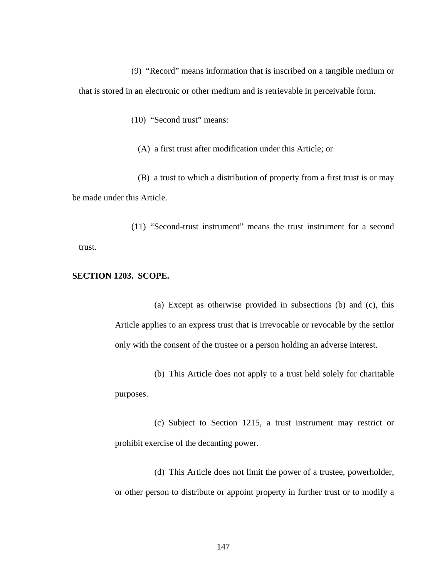(9) "Record" means information that is inscribed on a tangible medium or that is stored in an electronic or other medium and is retrievable in perceivable form.

(10) "Second trust" means:

(A) a first trust after modification under this Article; or

(B) a trust to which a distribution of property from a first trust is or may be made under this Article.

(11) "Second-trust instrument" means the trust instrument for a second trust.

### **SECTION 1203. SCOPE.**

(a) Except as otherwise provided in subsections (b) and (c), this Article applies to an express trust that is irrevocable or revocable by the settlor only with the consent of the trustee or a person holding an adverse interest.

(b) This Article does not apply to a trust held solely for charitable purposes.

(c) Subject to Section 1215, a trust instrument may restrict or prohibit exercise of the decanting power.

(d) This Article does not limit the power of a trustee, powerholder, or other person to distribute or appoint property in further trust or to modify a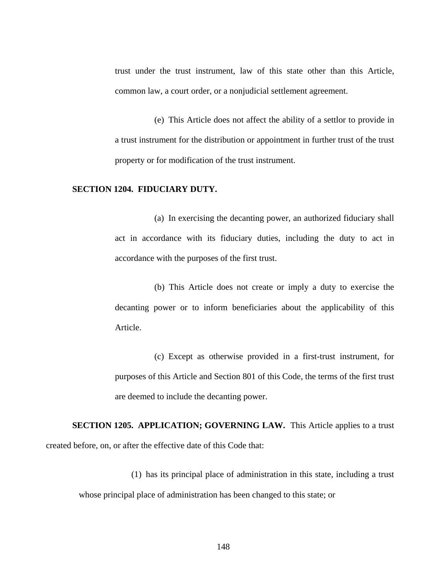trust under the trust instrument, law of this state other than this Article, common law, a court order, or a nonjudicial settlement agreement.

(e) This Article does not affect the ability of a settlor to provide in a trust instrument for the distribution or appointment in further trust of the trust property or for modification of the trust instrument.

### **SECTION 1204. FIDUCIARY DUTY.**

(a) In exercising the decanting power, an authorized fiduciary shall act in accordance with its fiduciary duties, including the duty to act in accordance with the purposes of the first trust.

(b) This Article does not create or imply a duty to exercise the decanting power or to inform beneficiaries about the applicability of this Article.

(c) Except as otherwise provided in a first-trust instrument, for purposes of this Article and Section 801 of this Code, the terms of the first trust are deemed to include the decanting power.

**SECTION 1205. APPLICATION; GOVERNING LAW.** This Article applies to a trust created before, on, or after the effective date of this Code that:

(1) has its principal place of administration in this state, including a trust whose principal place of administration has been changed to this state; or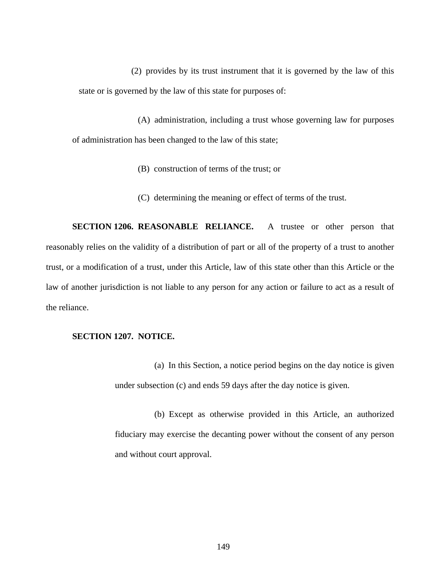(2) provides by its trust instrument that it is governed by the law of this state or is governed by the law of this state for purposes of:

(A) administration, including a trust whose governing law for purposes of administration has been changed to the law of this state;

- (B) construction of terms of the trust; or
- (C) determining the meaning or effect of terms of the trust.

**SECTION 1206. REASONABLE RELIANCE.** A trustee or other person that reasonably relies on the validity of a distribution of part or all of the property of a trust to another trust, or a modification of a trust, under this Article, law of this state other than this Article or the law of another jurisdiction is not liable to any person for any action or failure to act as a result of the reliance.

### **SECTION 1207. NOTICE.**

(a) In this Section, a notice period begins on the day notice is given under subsection (c) and ends 59 days after the day notice is given.

(b) Except as otherwise provided in this Article, an authorized fiduciary may exercise the decanting power without the consent of any person and without court approval.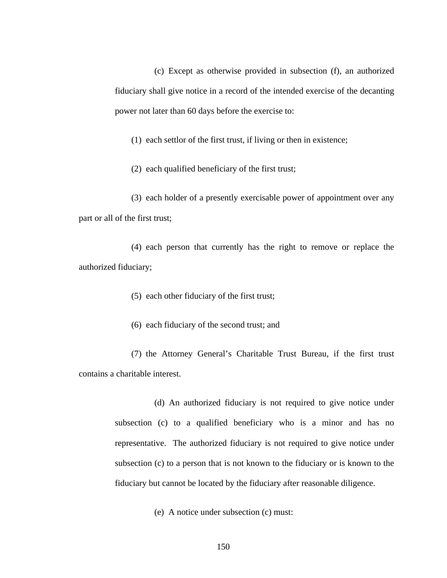(c) Except as otherwise provided in subsection (f), an authorized fiduciary shall give notice in a record of the intended exercise of the decanting power not later than 60 days before the exercise to:

(1) each settlor of the first trust, if living or then in existence;

(2) each qualified beneficiary of the first trust;

(3) each holder of a presently exercisable power of appointment over any part or all of the first trust;

(4) each person that currently has the right to remove or replace the authorized fiduciary;

(5) each other fiduciary of the first trust;

(6) each fiduciary of the second trust; and

(7) the Attorney General's Charitable Trust Bureau, if the first trust contains a charitable interest.

> (d) An authorized fiduciary is not required to give notice under subsection (c) to a qualified beneficiary who is a minor and has no representative. The authorized fiduciary is not required to give notice under subsection (c) to a person that is not known to the fiduciary or is known to the fiduciary but cannot be located by the fiduciary after reasonable diligence.

> > (e) A notice under subsection (c) must: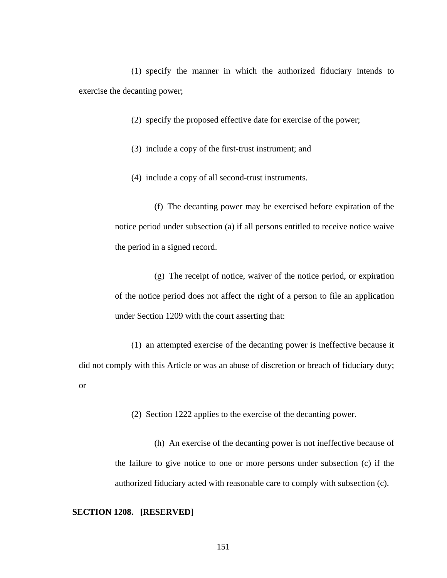(1) specify the manner in which the authorized fiduciary intends to exercise the decanting power;

(2) specify the proposed effective date for exercise of the power;

(3) include a copy of the first-trust instrument; and

(4) include a copy of all second-trust instruments.

(f) The decanting power may be exercised before expiration of the notice period under subsection (a) if all persons entitled to receive notice waive the period in a signed record.

(g) The receipt of notice, waiver of the notice period, or expiration of the notice period does not affect the right of a person to file an application under Section 1209 with the court asserting that:

(1) an attempted exercise of the decanting power is ineffective because it did not comply with this Article or was an abuse of discretion or breach of fiduciary duty; or

(2) Section 1222 applies to the exercise of the decanting power.

(h) An exercise of the decanting power is not ineffective because of the failure to give notice to one or more persons under subsection (c) if the authorized fiduciary acted with reasonable care to comply with subsection (c).

#### **SECTION 1208. [RESERVED]**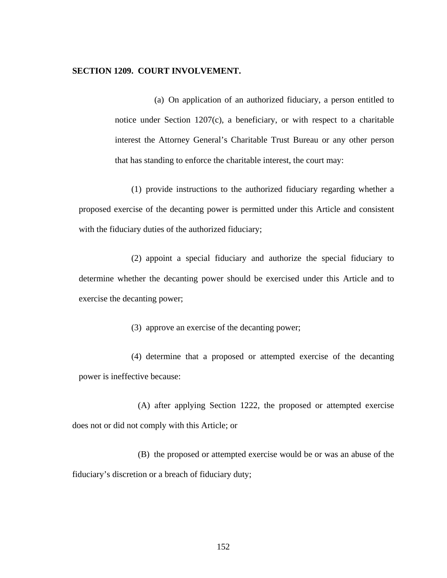#### **SECTION 1209. COURT INVOLVEMENT.**

(a) On application of an authorized fiduciary, a person entitled to notice under Section 1207(c), a beneficiary, or with respect to a charitable interest the Attorney General's Charitable Trust Bureau or any other person that has standing to enforce the charitable interest, the court may:

(1) provide instructions to the authorized fiduciary regarding whether a proposed exercise of the decanting power is permitted under this Article and consistent with the fiduciary duties of the authorized fiduciary;

(2) appoint a special fiduciary and authorize the special fiduciary to determine whether the decanting power should be exercised under this Article and to exercise the decanting power;

(3) approve an exercise of the decanting power;

(4) determine that a proposed or attempted exercise of the decanting power is ineffective because:

(A) after applying Section 1222, the proposed or attempted exercise does not or did not comply with this Article; or

(B) the proposed or attempted exercise would be or was an abuse of the fiduciary's discretion or a breach of fiduciary duty;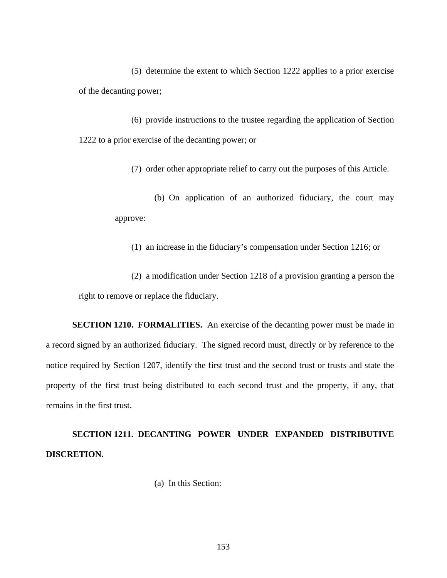(5) determine the extent to which Section 1222 applies to a prior exercise of the decanting power;

(6) provide instructions to the trustee regarding the application of Section 1222 to a prior exercise of the decanting power; or

(7) order other appropriate relief to carry out the purposes of this Article.

(b) On application of an authorized fiduciary, the court may approve:

(1) an increase in the fiduciary's compensation under Section 1216; or

(2) a modification under Section 1218 of a provision granting a person the right to remove or replace the fiduciary.

**SECTION 1210. FORMALITIES.** An exercise of the decanting power must be made in a record signed by an authorized fiduciary. The signed record must, directly or by reference to the notice required by Section 1207, identify the first trust and the second trust or trusts and state the property of the first trust being distributed to each second trust and the property, if any, that remains in the first trust.

**SECTION 1211. DECANTING POWER UNDER EXPANDED DISTRIBUTIVE DISCRETION.** 

(a) In this Section: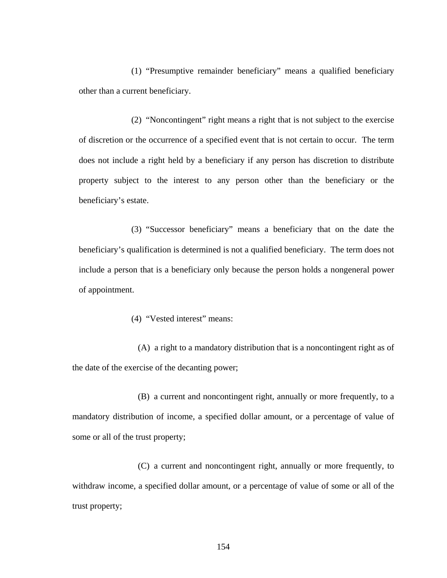(1) "Presumptive remainder beneficiary" means a qualified beneficiary other than a current beneficiary.

(2) "Noncontingent" right means a right that is not subject to the exercise of discretion or the occurrence of a specified event that is not certain to occur. The term does not include a right held by a beneficiary if any person has discretion to distribute property subject to the interest to any person other than the beneficiary or the beneficiary's estate.

(3) "Successor beneficiary" means a beneficiary that on the date the beneficiary's qualification is determined is not a qualified beneficiary. The term does not include a person that is a beneficiary only because the person holds a nongeneral power of appointment.

# (4) "Vested interest" means:

(A) a right to a mandatory distribution that is a noncontingent right as of the date of the exercise of the decanting power;

(B) a current and noncontingent right, annually or more frequently, to a mandatory distribution of income, a specified dollar amount, or a percentage of value of some or all of the trust property;

(C) a current and noncontingent right, annually or more frequently, to withdraw income, a specified dollar amount, or a percentage of value of some or all of the trust property;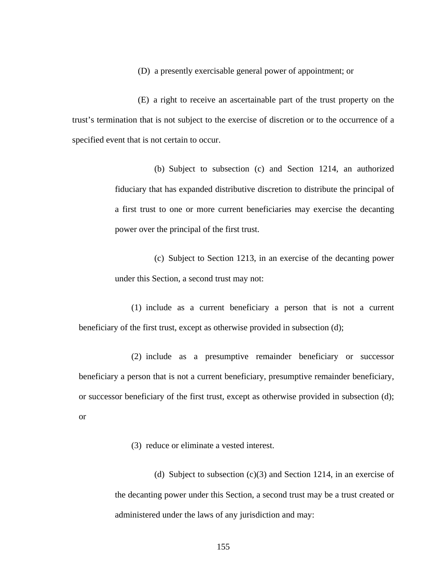(D) a presently exercisable general power of appointment; or

(E) a right to receive an ascertainable part of the trust property on the trust's termination that is not subject to the exercise of discretion or to the occurrence of a specified event that is not certain to occur.

> (b) Subject to subsection (c) and Section 1214, an authorized fiduciary that has expanded distributive discretion to distribute the principal of a first trust to one or more current beneficiaries may exercise the decanting power over the principal of the first trust.

> (c) Subject to Section 1213, in an exercise of the decanting power under this Section, a second trust may not:

(1) include as a current beneficiary a person that is not a current beneficiary of the first trust, except as otherwise provided in subsection (d);

(2) include as a presumptive remainder beneficiary or successor beneficiary a person that is not a current beneficiary, presumptive remainder beneficiary, or successor beneficiary of the first trust, except as otherwise provided in subsection (d); or

(3) reduce or eliminate a vested interest.

(d) Subject to subsection  $(c)(3)$  and Section 1214, in an exercise of the decanting power under this Section, a second trust may be a trust created or administered under the laws of any jurisdiction and may: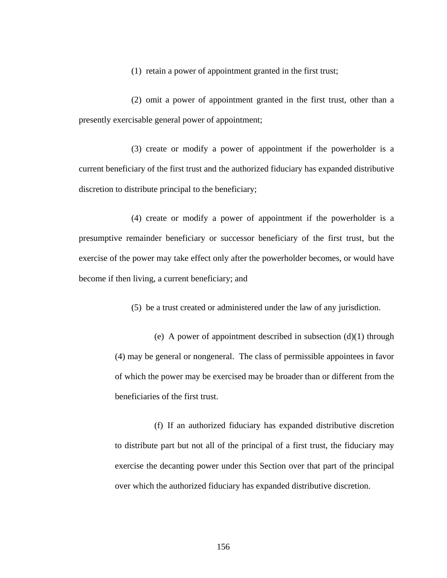(1) retain a power of appointment granted in the first trust;

(2) omit a power of appointment granted in the first trust, other than a presently exercisable general power of appointment;

(3) create or modify a power of appointment if the powerholder is a current beneficiary of the first trust and the authorized fiduciary has expanded distributive discretion to distribute principal to the beneficiary;

(4) create or modify a power of appointment if the powerholder is a presumptive remainder beneficiary or successor beneficiary of the first trust, but the exercise of the power may take effect only after the powerholder becomes, or would have become if then living, a current beneficiary; and

(5) be a trust created or administered under the law of any jurisdiction.

(e) A power of appointment described in subsection (d)(1) through (4) may be general or nongeneral. The class of permissible appointees in favor of which the power may be exercised may be broader than or different from the beneficiaries of the first trust.

(f) If an authorized fiduciary has expanded distributive discretion to distribute part but not all of the principal of a first trust, the fiduciary may exercise the decanting power under this Section over that part of the principal over which the authorized fiduciary has expanded distributive discretion.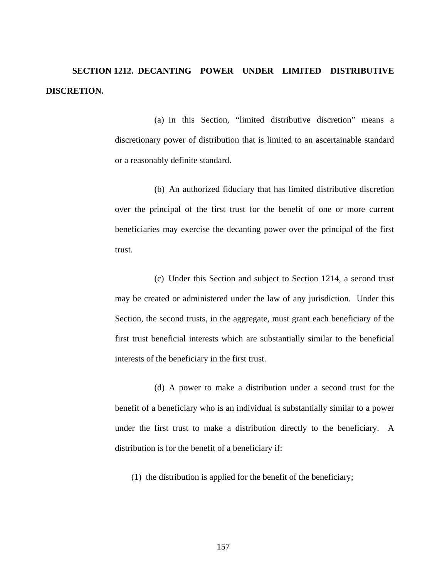**SECTION 1212. DECANTING POWER UNDER LIMITED DISTRIBUTIVE DISCRETION.** 

> (a) In this Section, "limited distributive discretion" means a discretionary power of distribution that is limited to an ascertainable standard or a reasonably definite standard.

> (b) An authorized fiduciary that has limited distributive discretion over the principal of the first trust for the benefit of one or more current beneficiaries may exercise the decanting power over the principal of the first trust.

> (c) Under this Section and subject to Section 1214, a second trust may be created or administered under the law of any jurisdiction. Under this Section, the second trusts, in the aggregate, must grant each beneficiary of the first trust beneficial interests which are substantially similar to the beneficial interests of the beneficiary in the first trust.

> (d) A power to make a distribution under a second trust for the benefit of a beneficiary who is an individual is substantially similar to a power under the first trust to make a distribution directly to the beneficiary. A distribution is for the benefit of a beneficiary if:

(1) the distribution is applied for the benefit of the beneficiary;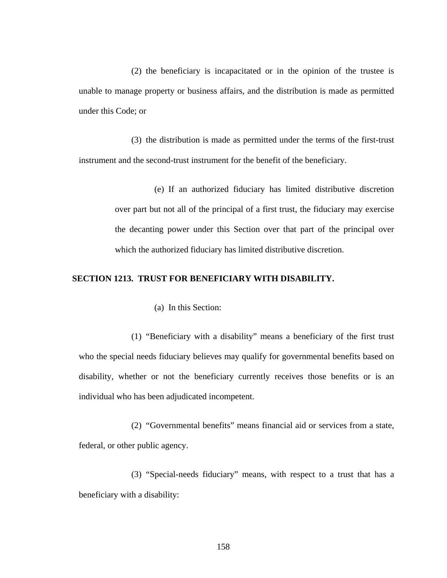(2) the beneficiary is incapacitated or in the opinion of the trustee is unable to manage property or business affairs, and the distribution is made as permitted under this Code; or

(3) the distribution is made as permitted under the terms of the first-trust instrument and the second-trust instrument for the benefit of the beneficiary.

> (e) If an authorized fiduciary has limited distributive discretion over part but not all of the principal of a first trust, the fiduciary may exercise the decanting power under this Section over that part of the principal over which the authorized fiduciary has limited distributive discretion.

# **SECTION 1213. TRUST FOR BENEFICIARY WITH DISABILITY.**

(a) In this Section:

(1) "Beneficiary with a disability" means a beneficiary of the first trust who the special needs fiduciary believes may qualify for governmental benefits based on disability, whether or not the beneficiary currently receives those benefits or is an individual who has been adjudicated incompetent.

(2) "Governmental benefits" means financial aid or services from a state, federal, or other public agency.

(3) "Special-needs fiduciary" means, with respect to a trust that has a beneficiary with a disability: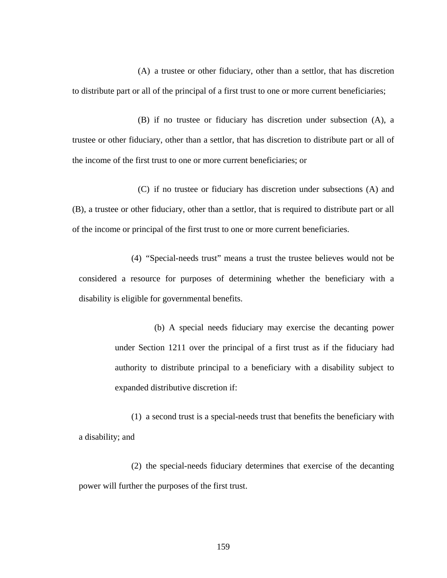(A) a trustee or other fiduciary, other than a settlor, that has discretion to distribute part or all of the principal of a first trust to one or more current beneficiaries;

(B) if no trustee or fiduciary has discretion under subsection (A), a trustee or other fiduciary, other than a settlor, that has discretion to distribute part or all of the income of the first trust to one or more current beneficiaries; or

(C) if no trustee or fiduciary has discretion under subsections (A) and (B), a trustee or other fiduciary, other than a settlor, that is required to distribute part or all of the income or principal of the first trust to one or more current beneficiaries.

(4) "Special-needs trust" means a trust the trustee believes would not be considered a resource for purposes of determining whether the beneficiary with a disability is eligible for governmental benefits.

> (b) A special needs fiduciary may exercise the decanting power under Section 1211 over the principal of a first trust as if the fiduciary had authority to distribute principal to a beneficiary with a disability subject to expanded distributive discretion if:

(1) a second trust is a special-needs trust that benefits the beneficiary with a disability; and

(2) the special-needs fiduciary determines that exercise of the decanting power will further the purposes of the first trust.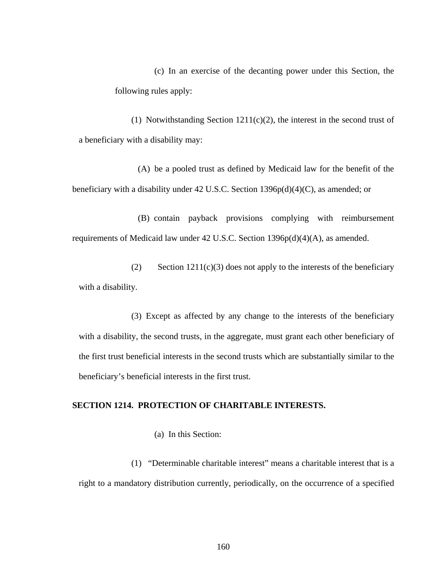(c) In an exercise of the decanting power under this Section, the following rules apply:

(1) Notwithstanding Section  $1211(c)(2)$ , the interest in the second trust of a beneficiary with a disability may:

(A) be a pooled trust as defined by Medicaid law for the benefit of the beneficiary with a disability under 42 U.S.C. Section 1396p(d)(4)(C), as amended; or

(B) contain payback provisions complying with reimbursement requirements of Medicaid law under 42 U.S.C. Section 1396p(d)(4)(A), as amended.

(2) Section  $1211(c)(3)$  does not apply to the interests of the beneficiary with a disability.

(3) Except as affected by any change to the interests of the beneficiary with a disability, the second trusts, in the aggregate, must grant each other beneficiary of the first trust beneficial interests in the second trusts which are substantially similar to the beneficiary's beneficial interests in the first trust.

### **SECTION 1214. PROTECTION OF CHARITABLE INTERESTS.**

(a) In this Section:

(1) "Determinable charitable interest" means a charitable interest that is a right to a mandatory distribution currently, periodically, on the occurrence of a specified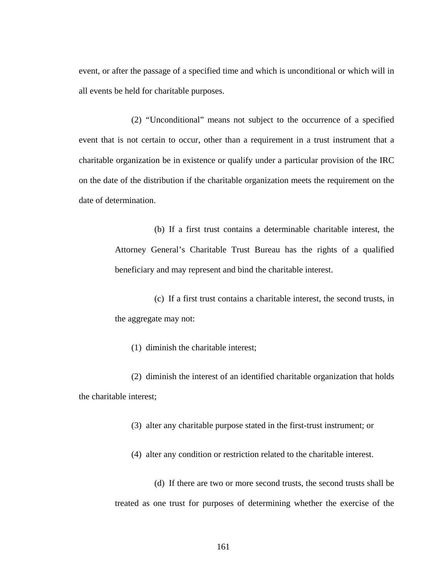event, or after the passage of a specified time and which is unconditional or which will in all events be held for charitable purposes.

(2) "Unconditional" means not subject to the occurrence of a specified event that is not certain to occur, other than a requirement in a trust instrument that a charitable organization be in existence or qualify under a particular provision of the IRC on the date of the distribution if the charitable organization meets the requirement on the date of determination.

> (b) If a first trust contains a determinable charitable interest, the Attorney General's Charitable Trust Bureau has the rights of a qualified beneficiary and may represent and bind the charitable interest.

> (c) If a first trust contains a charitable interest, the second trusts, in the aggregate may not:

(1) diminish the charitable interest;

(2) diminish the interest of an identified charitable organization that holds the charitable interest;

(3) alter any charitable purpose stated in the first-trust instrument; or

(4) alter any condition or restriction related to the charitable interest.

(d) If there are two or more second trusts, the second trusts shall be treated as one trust for purposes of determining whether the exercise of the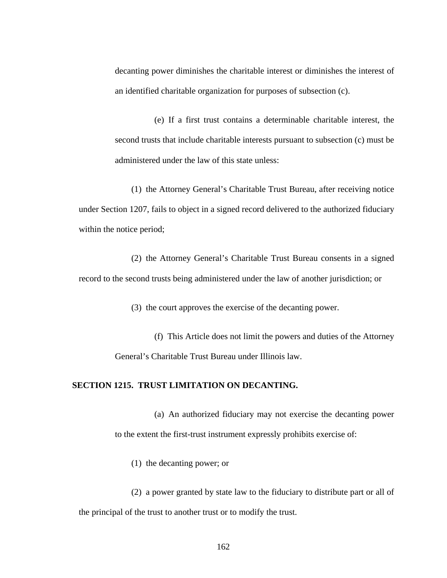decanting power diminishes the charitable interest or diminishes the interest of an identified charitable organization for purposes of subsection (c).

(e) If a first trust contains a determinable charitable interest, the second trusts that include charitable interests pursuant to subsection (c) must be administered under the law of this state unless:

(1) the Attorney General's Charitable Trust Bureau, after receiving notice under Section 1207, fails to object in a signed record delivered to the authorized fiduciary within the notice period;

(2) the Attorney General's Charitable Trust Bureau consents in a signed record to the second trusts being administered under the law of another jurisdiction; or

(3) the court approves the exercise of the decanting power.

(f) This Article does not limit the powers and duties of the Attorney General's Charitable Trust Bureau under Illinois law.

### **SECTION 1215. TRUST LIMITATION ON DECANTING.**

(a) An authorized fiduciary may not exercise the decanting power to the extent the first-trust instrument expressly prohibits exercise of:

(1) the decanting power; or

(2) a power granted by state law to the fiduciary to distribute part or all of the principal of the trust to another trust or to modify the trust.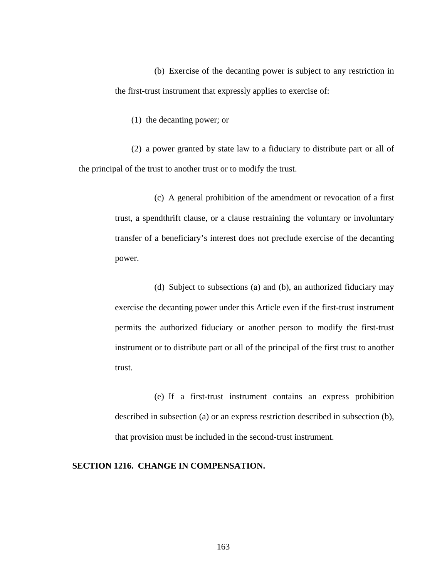(b) Exercise of the decanting power is subject to any restriction in the first-trust instrument that expressly applies to exercise of:

(1) the decanting power; or

(2) a power granted by state law to a fiduciary to distribute part or all of the principal of the trust to another trust or to modify the trust.

> (c) A general prohibition of the amendment or revocation of a first trust, a spendthrift clause, or a clause restraining the voluntary or involuntary transfer of a beneficiary's interest does not preclude exercise of the decanting power.

> (d) Subject to subsections (a) and (b), an authorized fiduciary may exercise the decanting power under this Article even if the first-trust instrument permits the authorized fiduciary or another person to modify the first-trust instrument or to distribute part or all of the principal of the first trust to another trust.

> (e) If a first-trust instrument contains an express prohibition described in subsection (a) or an express restriction described in subsection (b), that provision must be included in the second-trust instrument.

# **SECTION 1216. CHANGE IN COMPENSATION.**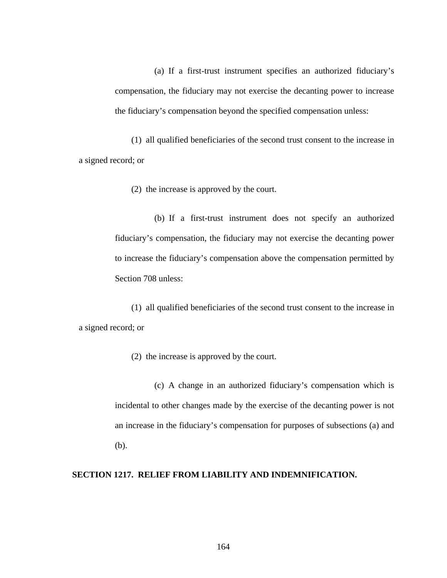(a) If a first-trust instrument specifies an authorized fiduciary's compensation, the fiduciary may not exercise the decanting power to increase the fiduciary's compensation beyond the specified compensation unless:

(1) all qualified beneficiaries of the second trust consent to the increase in a signed record; or

(2) the increase is approved by the court.

(b) If a first-trust instrument does not specify an authorized fiduciary's compensation, the fiduciary may not exercise the decanting power to increase the fiduciary's compensation above the compensation permitted by Section 708 unless:

(1) all qualified beneficiaries of the second trust consent to the increase in a signed record; or

(2) the increase is approved by the court.

(c) A change in an authorized fiduciary's compensation which is incidental to other changes made by the exercise of the decanting power is not an increase in the fiduciary's compensation for purposes of subsections (a) and (b).

# **SECTION 1217. RELIEF FROM LIABILITY AND INDEMNIFICATION.**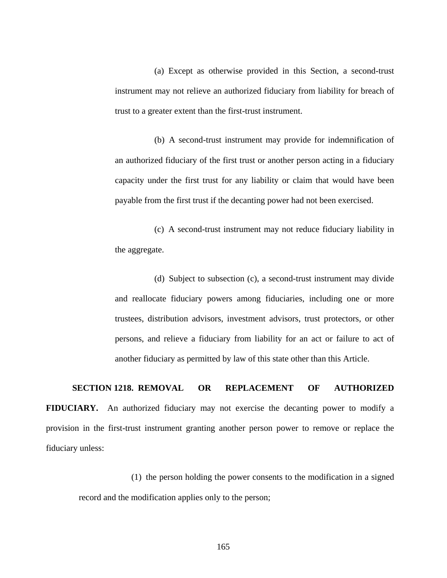(a) Except as otherwise provided in this Section, a second-trust instrument may not relieve an authorized fiduciary from liability for breach of trust to a greater extent than the first-trust instrument.

(b) A second-trust instrument may provide for indemnification of an authorized fiduciary of the first trust or another person acting in a fiduciary capacity under the first trust for any liability or claim that would have been payable from the first trust if the decanting power had not been exercised.

(c) A second-trust instrument may not reduce fiduciary liability in the aggregate.

(d) Subject to subsection (c), a second-trust instrument may divide and reallocate fiduciary powers among fiduciaries, including one or more trustees, distribution advisors, investment advisors, trust protectors, or other persons, and relieve a fiduciary from liability for an act or failure to act of another fiduciary as permitted by law of this state other than this Article.

# **SECTION 1218. REMOVAL OR REPLACEMENT OF AUTHORIZED**

**FIDUCIARY.** An authorized fiduciary may not exercise the decanting power to modify a provision in the first-trust instrument granting another person power to remove or replace the fiduciary unless:

(1) the person holding the power consents to the modification in a signed record and the modification applies only to the person;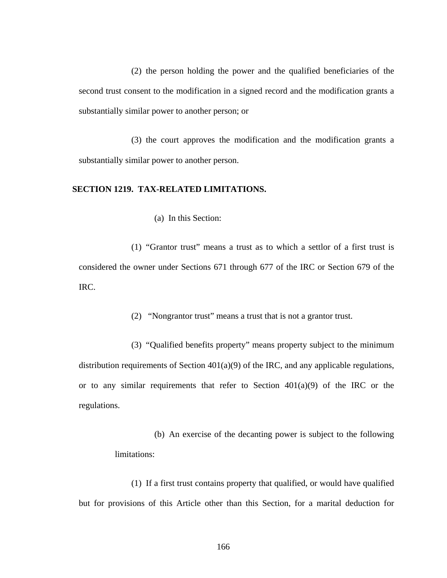(2) the person holding the power and the qualified beneficiaries of the second trust consent to the modification in a signed record and the modification grants a substantially similar power to another person; or

(3) the court approves the modification and the modification grants a substantially similar power to another person.

### **SECTION 1219. TAX-RELATED LIMITATIONS.**

(a) In this Section:

(1) "Grantor trust" means a trust as to which a settlor of a first trust is considered the owner under Sections 671 through 677 of the IRC or Section 679 of the IRC.

(2) "Nongrantor trust" means a trust that is not a grantor trust.

(3) "Qualified benefits property" means property subject to the minimum distribution requirements of Section 401(a)(9) of the IRC, and any applicable regulations, or to any similar requirements that refer to Section  $401(a)(9)$  of the IRC or the regulations.

> (b) An exercise of the decanting power is subject to the following limitations:

(1) If a first trust contains property that qualified, or would have qualified but for provisions of this Article other than this Section, for a marital deduction for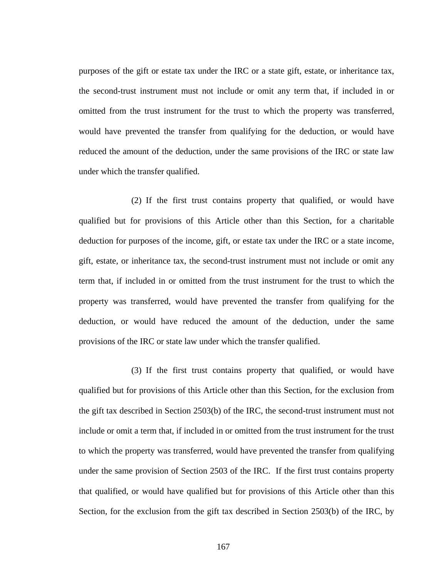purposes of the gift or estate tax under the IRC or a state gift, estate, or inheritance tax, the second-trust instrument must not include or omit any term that, if included in or omitted from the trust instrument for the trust to which the property was transferred, would have prevented the transfer from qualifying for the deduction, or would have reduced the amount of the deduction, under the same provisions of the IRC or state law under which the transfer qualified.

(2) If the first trust contains property that qualified, or would have qualified but for provisions of this Article other than this Section, for a charitable deduction for purposes of the income, gift, or estate tax under the IRC or a state income, gift, estate, or inheritance tax, the second-trust instrument must not include or omit any term that, if included in or omitted from the trust instrument for the trust to which the property was transferred, would have prevented the transfer from qualifying for the deduction, or would have reduced the amount of the deduction, under the same provisions of the IRC or state law under which the transfer qualified.

(3) If the first trust contains property that qualified, or would have qualified but for provisions of this Article other than this Section, for the exclusion from the gift tax described in Section 2503(b) of the IRC, the second-trust instrument must not include or omit a term that, if included in or omitted from the trust instrument for the trust to which the property was transferred, would have prevented the transfer from qualifying under the same provision of Section 2503 of the IRC. If the first trust contains property that qualified, or would have qualified but for provisions of this Article other than this Section, for the exclusion from the gift tax described in Section 2503(b) of the IRC, by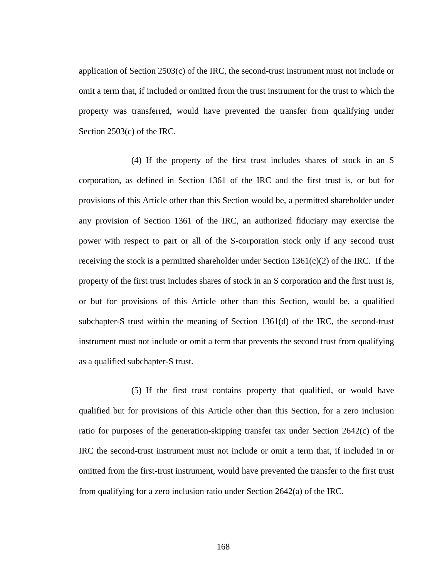application of Section 2503(c) of the IRC, the second-trust instrument must not include or omit a term that, if included or omitted from the trust instrument for the trust to which the property was transferred, would have prevented the transfer from qualifying under Section 2503(c) of the IRC.

(4) If the property of the first trust includes shares of stock in an S corporation, as defined in Section 1361 of the IRC and the first trust is, or but for provisions of this Article other than this Section would be, a permitted shareholder under any provision of Section 1361 of the IRC, an authorized fiduciary may exercise the power with respect to part or all of the S-corporation stock only if any second trust receiving the stock is a permitted shareholder under Section  $1361(c)(2)$  of the IRC. If the property of the first trust includes shares of stock in an S corporation and the first trust is, or but for provisions of this Article other than this Section, would be, a qualified subchapter-S trust within the meaning of Section 1361(d) of the IRC, the second-trust instrument must not include or omit a term that prevents the second trust from qualifying as a qualified subchapter-S trust.

(5) If the first trust contains property that qualified, or would have qualified but for provisions of this Article other than this Section, for a zero inclusion ratio for purposes of the generation-skipping transfer tax under Section 2642(c) of the IRC the second-trust instrument must not include or omit a term that, if included in or omitted from the first-trust instrument, would have prevented the transfer to the first trust from qualifying for a zero inclusion ratio under Section 2642(a) of the IRC.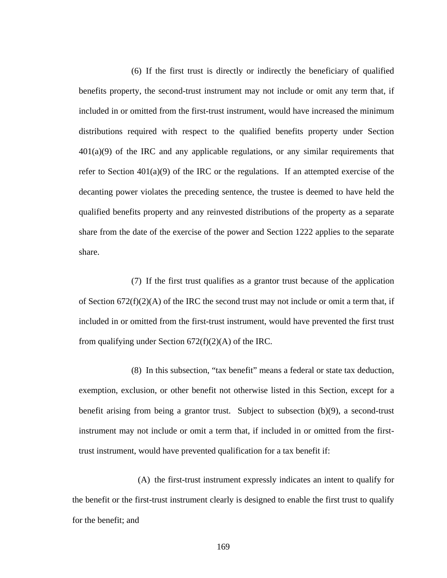(6) If the first trust is directly or indirectly the beneficiary of qualified benefits property, the second-trust instrument may not include or omit any term that, if included in or omitted from the first-trust instrument, would have increased the minimum distributions required with respect to the qualified benefits property under Section  $401(a)(9)$  of the IRC and any applicable regulations, or any similar requirements that refer to Section  $401(a)(9)$  of the IRC or the regulations. If an attempted exercise of the decanting power violates the preceding sentence, the trustee is deemed to have held the qualified benefits property and any reinvested distributions of the property as a separate share from the date of the exercise of the power and Section 1222 applies to the separate share.

(7) If the first trust qualifies as a grantor trust because of the application of Section  $672(f)(2)(A)$  of the IRC the second trust may not include or omit a term that, if included in or omitted from the first-trust instrument, would have prevented the first trust from qualifying under Section  $672(f)(2)(A)$  of the IRC.

(8) In this subsection, "tax benefit" means a federal or state tax deduction, exemption, exclusion, or other benefit not otherwise listed in this Section, except for a benefit arising from being a grantor trust. Subject to subsection (b)(9), a second-trust instrument may not include or omit a term that, if included in or omitted from the firsttrust instrument, would have prevented qualification for a tax benefit if:

(A) the first-trust instrument expressly indicates an intent to qualify for the benefit or the first-trust instrument clearly is designed to enable the first trust to qualify for the benefit; and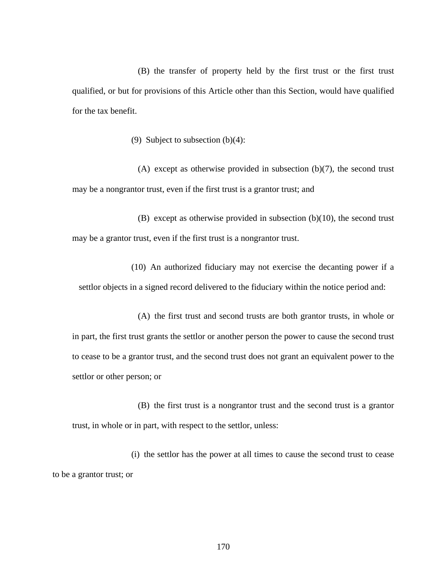(B) the transfer of property held by the first trust or the first trust qualified, or but for provisions of this Article other than this Section, would have qualified for the tax benefit.

(9) Subject to subsection (b)(4):

(A) except as otherwise provided in subsection  $(b)(7)$ , the second trust may be a nongrantor trust, even if the first trust is a grantor trust; and

(B) except as otherwise provided in subsection  $(b)(10)$ , the second trust may be a grantor trust, even if the first trust is a nongrantor trust.

(10) An authorized fiduciary may not exercise the decanting power if a settlor objects in a signed record delivered to the fiduciary within the notice period and:

(A) the first trust and second trusts are both grantor trusts, in whole or in part, the first trust grants the settlor or another person the power to cause the second trust to cease to be a grantor trust, and the second trust does not grant an equivalent power to the settlor or other person; or

(B) the first trust is a nongrantor trust and the second trust is a grantor trust, in whole or in part, with respect to the settlor, unless:

(i) the settlor has the power at all times to cause the second trust to cease to be a grantor trust; or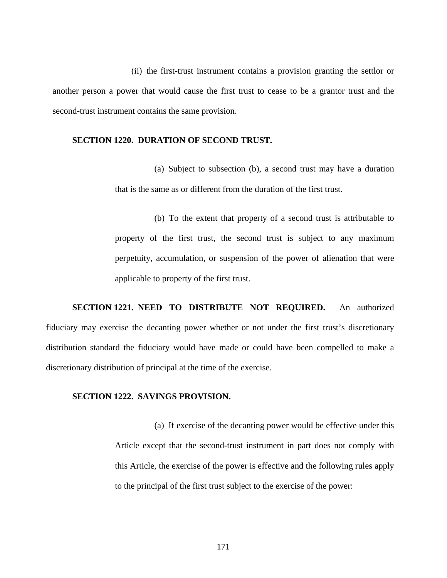(ii) the first-trust instrument contains a provision granting the settlor or another person a power that would cause the first trust to cease to be a grantor trust and the second-trust instrument contains the same provision.

#### **SECTION 1220. DURATION OF SECOND TRUST.**

(a) Subject to subsection (b), a second trust may have a duration that is the same as or different from the duration of the first trust.

(b) To the extent that property of a second trust is attributable to property of the first trust, the second trust is subject to any maximum perpetuity, accumulation, or suspension of the power of alienation that were applicable to property of the first trust.

**SECTION 1221. NEED TO DISTRIBUTE NOT REQUIRED.** An authorized fiduciary may exercise the decanting power whether or not under the first trust's discretionary distribution standard the fiduciary would have made or could have been compelled to make a discretionary distribution of principal at the time of the exercise.

#### **SECTION 1222. SAVINGS PROVISION.**

(a) If exercise of the decanting power would be effective under this Article except that the second-trust instrument in part does not comply with this Article, the exercise of the power is effective and the following rules apply to the principal of the first trust subject to the exercise of the power:

171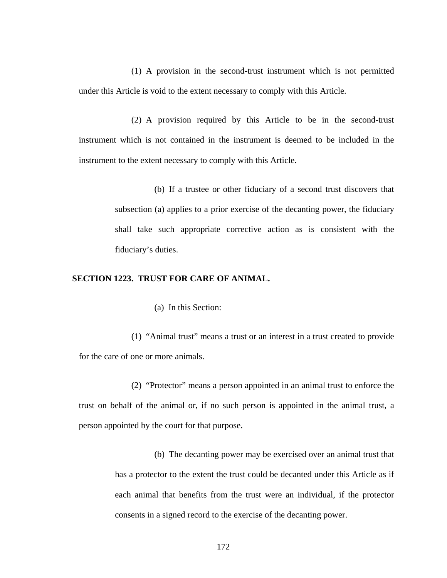(1) A provision in the second-trust instrument which is not permitted under this Article is void to the extent necessary to comply with this Article.

(2) A provision required by this Article to be in the second-trust instrument which is not contained in the instrument is deemed to be included in the instrument to the extent necessary to comply with this Article.

> (b) If a trustee or other fiduciary of a second trust discovers that subsection (a) applies to a prior exercise of the decanting power, the fiduciary shall take such appropriate corrective action as is consistent with the fiduciary's duties.

#### **SECTION 1223. TRUST FOR CARE OF ANIMAL.**

(a) In this Section:

(1) "Animal trust" means a trust or an interest in a trust created to provide for the care of one or more animals.

(2) "Protector" means a person appointed in an animal trust to enforce the trust on behalf of the animal or, if no such person is appointed in the animal trust, a person appointed by the court for that purpose.

> (b) The decanting power may be exercised over an animal trust that has a protector to the extent the trust could be decanted under this Article as if each animal that benefits from the trust were an individual, if the protector consents in a signed record to the exercise of the decanting power.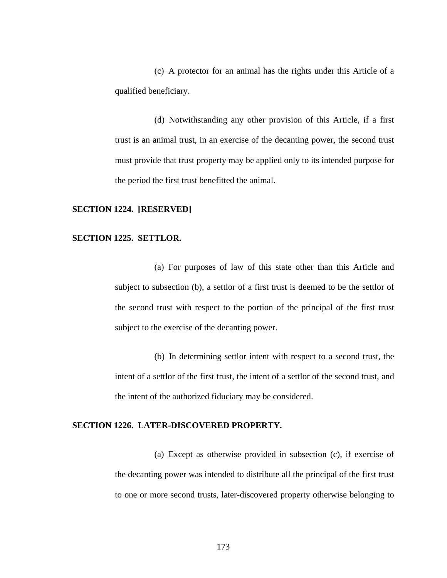(c) A protector for an animal has the rights under this Article of a qualified beneficiary.

(d) Notwithstanding any other provision of this Article, if a first trust is an animal trust, in an exercise of the decanting power, the second trust must provide that trust property may be applied only to its intended purpose for the period the first trust benefitted the animal.

#### **SECTION 1224. [RESERVED]**

#### **SECTION 1225. SETTLOR.**

(a) For purposes of law of this state other than this Article and subject to subsection (b), a settlor of a first trust is deemed to be the settlor of the second trust with respect to the portion of the principal of the first trust subject to the exercise of the decanting power.

(b) In determining settlor intent with respect to a second trust, the intent of a settlor of the first trust, the intent of a settlor of the second trust, and the intent of the authorized fiduciary may be considered.

#### **SECTION 1226. LATER-DISCOVERED PROPERTY.**

(a) Except as otherwise provided in subsection (c), if exercise of the decanting power was intended to distribute all the principal of the first trust to one or more second trusts, later-discovered property otherwise belonging to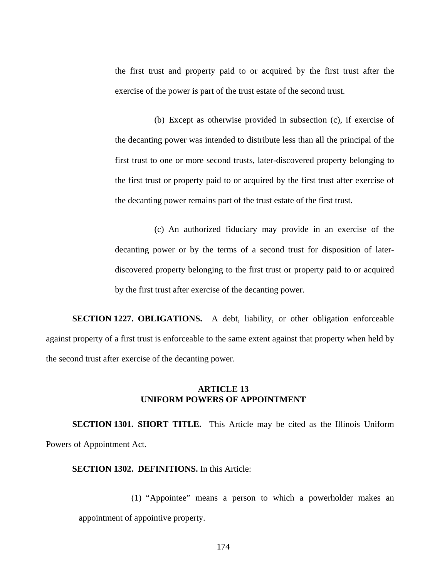the first trust and property paid to or acquired by the first trust after the exercise of the power is part of the trust estate of the second trust.

(b) Except as otherwise provided in subsection (c), if exercise of the decanting power was intended to distribute less than all the principal of the first trust to one or more second trusts, later-discovered property belonging to the first trust or property paid to or acquired by the first trust after exercise of the decanting power remains part of the trust estate of the first trust.

(c) An authorized fiduciary may provide in an exercise of the decanting power or by the terms of a second trust for disposition of laterdiscovered property belonging to the first trust or property paid to or acquired by the first trust after exercise of the decanting power.

**SECTION 1227. OBLIGATIONS.** A debt, liability, or other obligation enforceable against property of a first trust is enforceable to the same extent against that property when held by the second trust after exercise of the decanting power.

#### **ARTICLE 13 UNIFORM POWERS OF APPOINTMENT**

**SECTION 1301. SHORT TITLE.** This Article may be cited as the Illinois Uniform Powers of Appointment Act.

#### **SECTION 1302. DEFINITIONS.** In this Article:

(1) "Appointee" means a person to which a powerholder makes an appointment of appointive property.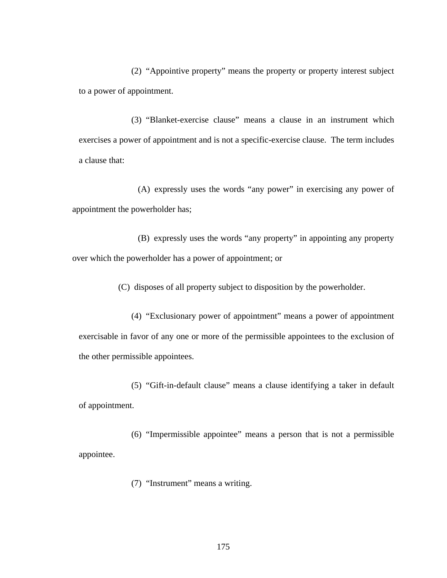(2) "Appointive property" means the property or property interest subject to a power of appointment.

(3) "Blanket-exercise clause" means a clause in an instrument which exercises a power of appointment and is not a specific-exercise clause. The term includes a clause that:

(A) expressly uses the words "any power" in exercising any power of appointment the powerholder has;

(B) expressly uses the words "any property" in appointing any property over which the powerholder has a power of appointment; or

(C) disposes of all property subject to disposition by the powerholder.

(4) "Exclusionary power of appointment" means a power of appointment exercisable in favor of any one or more of the permissible appointees to the exclusion of the other permissible appointees.

(5) "Gift-in-default clause" means a clause identifying a taker in default of appointment.

(6) "Impermissible appointee" means a person that is not a permissible appointee.

(7) "Instrument" means a writing.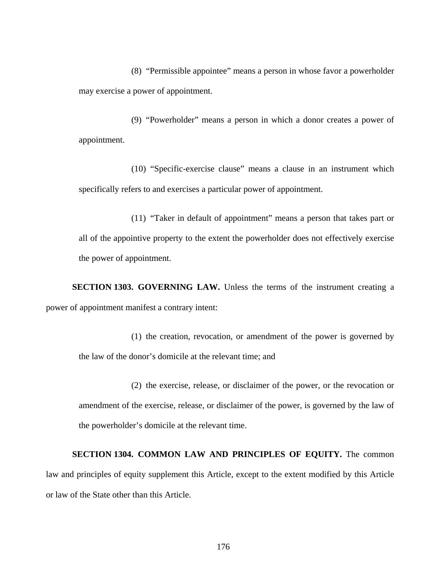(8) "Permissible appointee" means a person in whose favor a powerholder may exercise a power of appointment.

(9) "Powerholder" means a person in which a donor creates a power of appointment.

(10) "Specific-exercise clause" means a clause in an instrument which specifically refers to and exercises a particular power of appointment.

(11) "Taker in default of appointment" means a person that takes part or all of the appointive property to the extent the powerholder does not effectively exercise the power of appointment.

**SECTION 1303. GOVERNING LAW.** Unless the terms of the instrument creating a power of appointment manifest a contrary intent:

(1) the creation, revocation, or amendment of the power is governed by the law of the donor's domicile at the relevant time; and

(2) the exercise, release, or disclaimer of the power, or the revocation or amendment of the exercise, release, or disclaimer of the power, is governed by the law of the powerholder's domicile at the relevant time.

**SECTION 1304. COMMON LAW AND PRINCIPLES OF EQUITY.** The common law and principles of equity supplement this Article, except to the extent modified by this Article or law of the State other than this Article.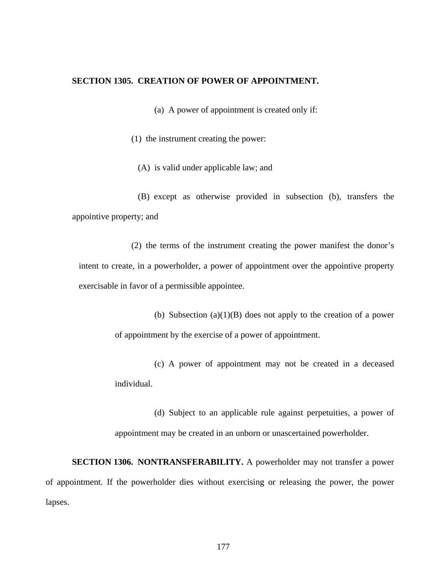#### **SECTION 1305. CREATION OF POWER OF APPOINTMENT.**

(a) A power of appointment is created only if:

(1) the instrument creating the power:

(A) is valid under applicable law; and

(B) except as otherwise provided in subsection (b), transfers the appointive property; and

(2) the terms of the instrument creating the power manifest the donor's intent to create, in a powerholder, a power of appointment over the appointive property exercisable in favor of a permissible appointee.

> (b) Subsection (a)(1)(B) does not apply to the creation of a power of appointment by the exercise of a power of appointment.

> (c) A power of appointment may not be created in a deceased individual.

> (d) Subject to an applicable rule against perpetuities, a power of appointment may be created in an unborn or unascertained powerholder.

**SECTION 1306. NONTRANSFERABILITY.** A powerholder may not transfer a power of appointment. If the powerholder dies without exercising or releasing the power, the power lapses.

177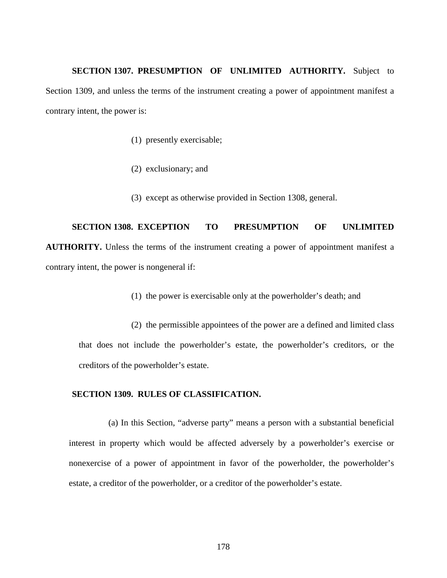**SECTION 1307. PRESUMPTION OF UNLIMITED AUTHORITY.** Subject to Section 1309, and unless the terms of the instrument creating a power of appointment manifest a contrary intent, the power is:

- (1) presently exercisable;
- (2) exclusionary; and
- (3) except as otherwise provided in Section 1308, general.

**SECTION 1308. EXCEPTION TO PRESUMPTION OF UNLIMITED AUTHORITY.** Unless the terms of the instrument creating a power of appointment manifest a contrary intent, the power is nongeneral if:

(1) the power is exercisable only at the powerholder's death; and

(2) the permissible appointees of the power are a defined and limited class that does not include the powerholder's estate, the powerholder's creditors, or the creditors of the powerholder's estate.

#### **SECTION 1309. RULES OF CLASSIFICATION.**

(a) In this Section, "adverse party" means a person with a substantial beneficial interest in property which would be affected adversely by a powerholder's exercise or nonexercise of a power of appointment in favor of the powerholder, the powerholder's estate, a creditor of the powerholder, or a creditor of the powerholder's estate.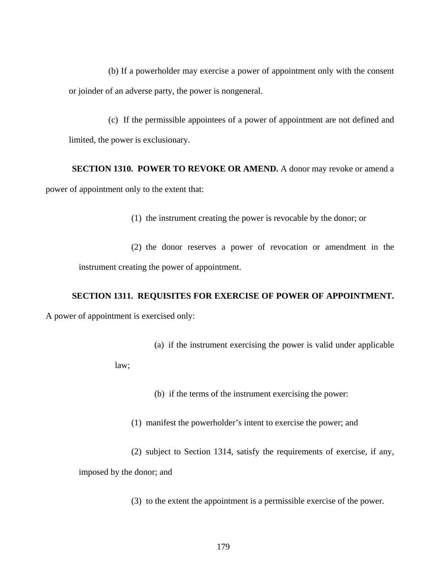(b) If a powerholder may exercise a power of appointment only with the consent or joinder of an adverse party, the power is nongeneral.

(c) If the permissible appointees of a power of appointment are not defined and limited, the power is exclusionary.

## **SECTION 1310. POWER TO REVOKE OR AMEND.** A donor may revoke or amend a power of appointment only to the extent that:

(1) the instrument creating the power is revocable by the donor; or

(2) the donor reserves a power of revocation or amendment in the instrument creating the power of appointment.

#### **SECTION 1311. REQUISITES FOR EXERCISE OF POWER OF APPOINTMENT.**

A power of appointment is exercised only:

(a) if the instrument exercising the power is valid under applicable

law;

(b) if the terms of the instrument exercising the power:

(1) manifest the powerholder's intent to exercise the power; and

(2) subject to Section 1314, satisfy the requirements of exercise, if any, imposed by the donor; and

(3) to the extent the appointment is a permissible exercise of the power.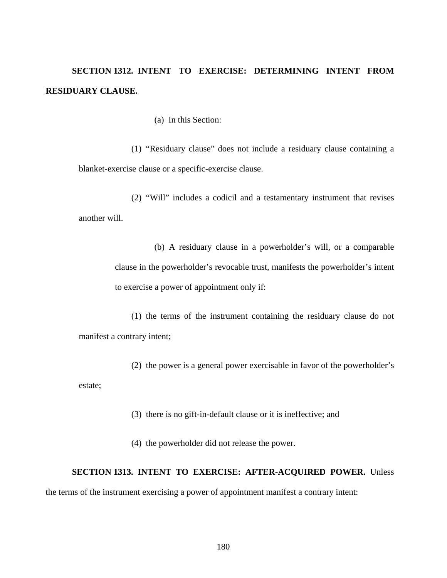## **SECTION 1312. INTENT TO EXERCISE: DETERMINING INTENT FROM RESIDUARY CLAUSE.**

(a) In this Section:

(1) "Residuary clause" does not include a residuary clause containing a blanket-exercise clause or a specific-exercise clause.

(2) "Will" includes a codicil and a testamentary instrument that revises another will.

> (b) A residuary clause in a powerholder's will, or a comparable clause in the powerholder's revocable trust, manifests the powerholder's intent to exercise a power of appointment only if:

(1) the terms of the instrument containing the residuary clause do not manifest a contrary intent;

(2) the power is a general power exercisable in favor of the powerholder's estate;

(3) there is no gift-in-default clause or it is ineffective; and

(4) the powerholder did not release the power.

#### **SECTION 1313. INTENT TO EXERCISE: AFTER-ACQUIRED POWER.** Unless

the terms of the instrument exercising a power of appointment manifest a contrary intent: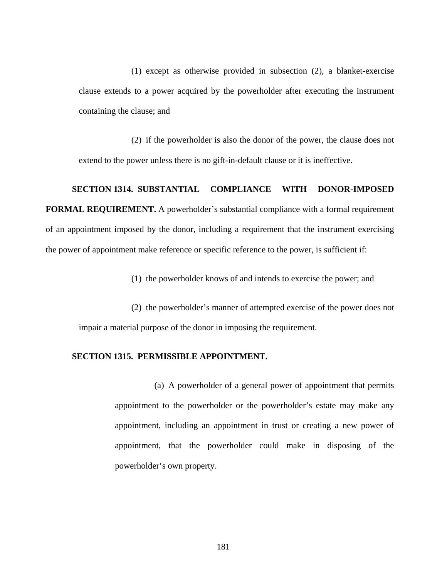(1) except as otherwise provided in subsection (2), a blanket-exercise clause extends to a power acquired by the powerholder after executing the instrument containing the clause; and

(2) if the powerholder is also the donor of the power, the clause does not extend to the power unless there is no gift-in-default clause or it is ineffective.

#### **SECTION 1314. SUBSTANTIAL COMPLIANCE WITH DONOR-IMPOSED**

**FORMAL REQUIREMENT.** A powerholder's substantial compliance with a formal requirement of an appointment imposed by the donor, including a requirement that the instrument exercising the power of appointment make reference or specific reference to the power, is sufficient if:

(1) the powerholder knows of and intends to exercise the power; and

(2) the powerholder's manner of attempted exercise of the power does not impair a material purpose of the donor in imposing the requirement.

#### **SECTION 1315. PERMISSIBLE APPOINTMENT.**

(a) A powerholder of a general power of appointment that permits appointment to the powerholder or the powerholder's estate may make any appointment, including an appointment in trust or creating a new power of appointment, that the powerholder could make in disposing of the powerholder's own property.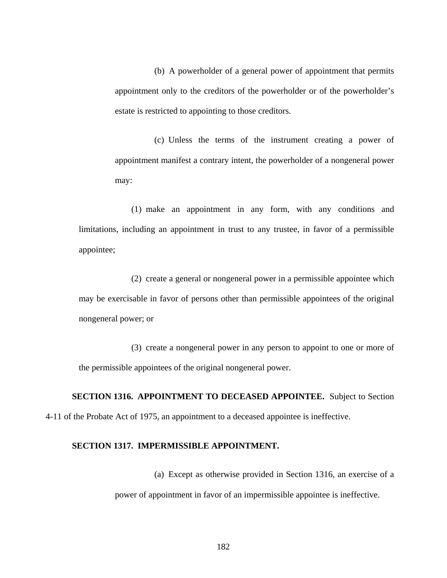(b) A powerholder of a general power of appointment that permits appointment only to the creditors of the powerholder or of the powerholder's estate is restricted to appointing to those creditors.

(c) Unless the terms of the instrument creating a power of appointment manifest a contrary intent, the powerholder of a nongeneral power may:

(1) make an appointment in any form, with any conditions and limitations, including an appointment in trust to any trustee, in favor of a permissible appointee;

(2) create a general or nongeneral power in a permissible appointee which may be exercisable in favor of persons other than permissible appointees of the original nongeneral power; or

(3) create a nongeneral power in any person to appoint to one or more of the permissible appointees of the original nongeneral power.

**SECTION 1316. APPOINTMENT TO DECEASED APPOINTEE.** Subject to Section 4-11 of the Probate Act of 1975, an appointment to a deceased appointee is ineffective.

#### **SECTION 1317. IMPERMISSIBLE APPOINTMENT.**

(a) Except as otherwise provided in Section 1316, an exercise of a power of appointment in favor of an impermissible appointee is ineffective.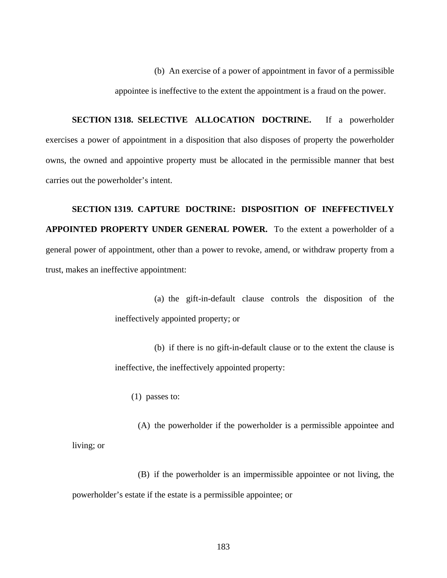(b) An exercise of a power of appointment in favor of a permissible appointee is ineffective to the extent the appointment is a fraud on the power.

**SECTION 1318. SELECTIVE ALLOCATION DOCTRINE.** If a powerholder exercises a power of appointment in a disposition that also disposes of property the powerholder owns, the owned and appointive property must be allocated in the permissible manner that best carries out the powerholder's intent.

**SECTION 1319. CAPTURE DOCTRINE: DISPOSITION OF INEFFECTIVELY APPOINTED PROPERTY UNDER GENERAL POWER.** To the extent a powerholder of a general power of appointment, other than a power to revoke, amend, or withdraw property from a trust, makes an ineffective appointment:

> (a) the gift-in-default clause controls the disposition of the ineffectively appointed property; or

> (b) if there is no gift-in-default clause or to the extent the clause is ineffective, the ineffectively appointed property:

(1) passes to:

(A) the powerholder if the powerholder is a permissible appointee and living; or

(B) if the powerholder is an impermissible appointee or not living, the powerholder's estate if the estate is a permissible appointee; or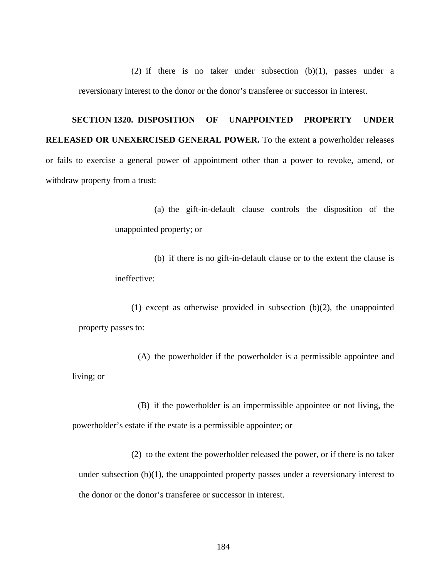(2) if there is no taker under subsection  $(b)(1)$ , passes under a reversionary interest to the donor or the donor's transferee or successor in interest.

# **SECTION 1320. DISPOSITION OF UNAPPOINTED PROPERTY UNDER RELEASED OR UNEXERCISED GENERAL POWER.** To the extent a powerholder releases or fails to exercise a general power of appointment other than a power to revoke, amend, or withdraw property from a trust:

(a) the gift-in-default clause controls the disposition of the unappointed property; or

(b) if there is no gift-in-default clause or to the extent the clause is ineffective:

(1) except as otherwise provided in subsection  $(b)(2)$ , the unappointed property passes to:

(A) the powerholder if the powerholder is a permissible appointee and living; or

(B) if the powerholder is an impermissible appointee or not living, the powerholder's estate if the estate is a permissible appointee; or

(2) to the extent the powerholder released the power, or if there is no taker under subsection  $(b)(1)$ , the unappointed property passes under a reversionary interest to the donor or the donor's transferee or successor in interest.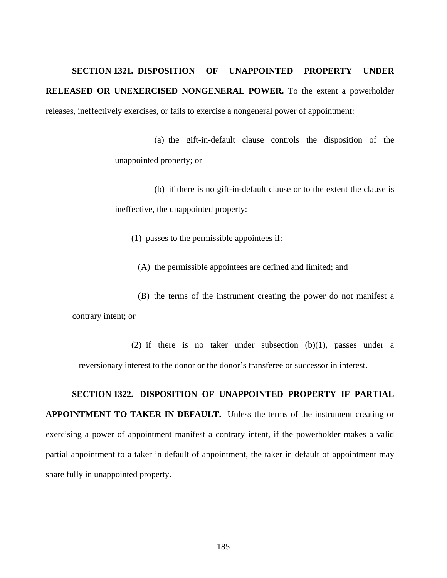## **SECTION 1321. DISPOSITION OF UNAPPOINTED PROPERTY UNDER RELEASED OR UNEXERCISED NONGENERAL POWER.** To the extent a powerholder releases, ineffectively exercises, or fails to exercise a nongeneral power of appointment:

(a) the gift-in-default clause controls the disposition of the unappointed property; or

(b) if there is no gift-in-default clause or to the extent the clause is ineffective, the unappointed property:

(1) passes to the permissible appointees if:

(A) the permissible appointees are defined and limited; and

(B) the terms of the instrument creating the power do not manifest a contrary intent; or

(2) if there is no taker under subsection  $(b)(1)$ , passes under a reversionary interest to the donor or the donor's transferee or successor in interest.

#### **SECTION 1322. DISPOSITION OF UNAPPOINTED PROPERTY IF PARTIAL**

**APPOINTMENT TO TAKER IN DEFAULT.** Unless the terms of the instrument creating or exercising a power of appointment manifest a contrary intent, if the powerholder makes a valid partial appointment to a taker in default of appointment, the taker in default of appointment may share fully in unappointed property.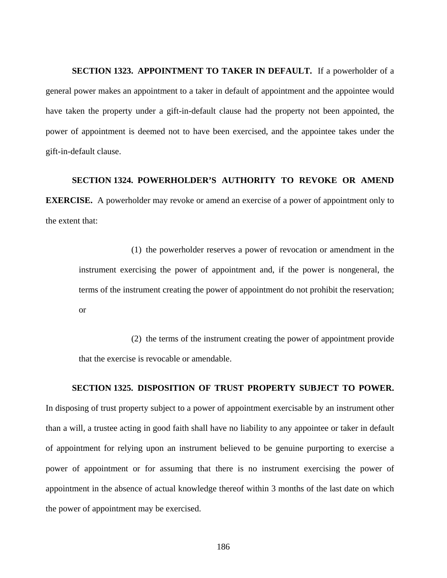**SECTION 1323. APPOINTMENT TO TAKER IN DEFAULT.** If a powerholder of a general power makes an appointment to a taker in default of appointment and the appointee would have taken the property under a gift-in-default clause had the property not been appointed, the power of appointment is deemed not to have been exercised, and the appointee takes under the gift-in-default clause.

#### **SECTION 1324. POWERHOLDER'S AUTHORITY TO REVOKE OR AMEND**

**EXERCISE.** A powerholder may revoke or amend an exercise of a power of appointment only to the extent that:

(1) the powerholder reserves a power of revocation or amendment in the instrument exercising the power of appointment and, if the power is nongeneral, the terms of the instrument creating the power of appointment do not prohibit the reservation; or

(2) the terms of the instrument creating the power of appointment provide that the exercise is revocable or amendable.

#### **SECTION 1325. DISPOSITION OF TRUST PROPERTY SUBJECT TO POWER.**

In disposing of trust property subject to a power of appointment exercisable by an instrument other than a will, a trustee acting in good faith shall have no liability to any appointee or taker in default of appointment for relying upon an instrument believed to be genuine purporting to exercise a power of appointment or for assuming that there is no instrument exercising the power of appointment in the absence of actual knowledge thereof within 3 months of the last date on which the power of appointment may be exercised.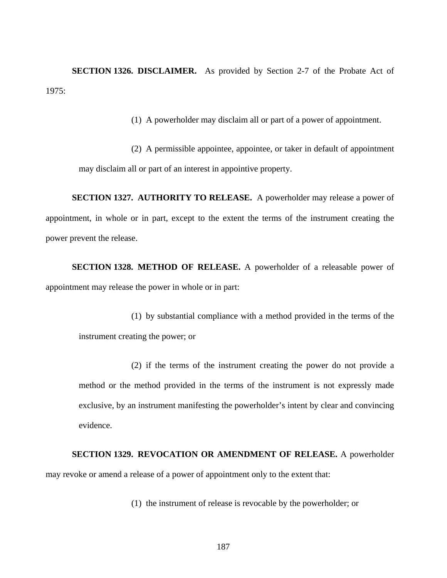**SECTION 1326. DISCLAIMER.** As provided by Section 2-7 of the Probate Act of 1975:

(1) A powerholder may disclaim all or part of a power of appointment.

(2) A permissible appointee, appointee, or taker in default of appointment may disclaim all or part of an interest in appointive property.

**SECTION 1327. AUTHORITY TO RELEASE.** A powerholder may release a power of appointment, in whole or in part, except to the extent the terms of the instrument creating the power prevent the release.

**SECTION 1328. METHOD OF RELEASE.** A powerholder of a releasable power of appointment may release the power in whole or in part:

(1) by substantial compliance with a method provided in the terms of the instrument creating the power; or

(2) if the terms of the instrument creating the power do not provide a method or the method provided in the terms of the instrument is not expressly made exclusive, by an instrument manifesting the powerholder's intent by clear and convincing evidence.

**SECTION 1329. REVOCATION OR AMENDMENT OF RELEASE.** A powerholder may revoke or amend a release of a power of appointment only to the extent that:

(1) the instrument of release is revocable by the powerholder; or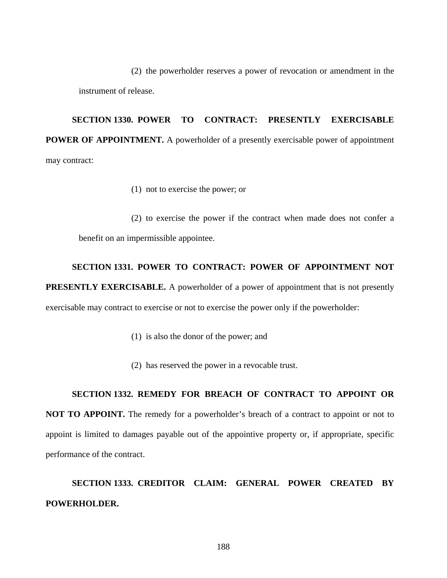(2) the powerholder reserves a power of revocation or amendment in the instrument of release.

**SECTION 1330. POWER TO CONTRACT: PRESENTLY EXERCISABLE POWER OF APPOINTMENT.** A powerholder of a presently exercisable power of appointment may contract:

(1) not to exercise the power; or

(2) to exercise the power if the contract when made does not confer a benefit on an impermissible appointee.

#### **SECTION 1331. POWER TO CONTRACT: POWER OF APPOINTMENT NOT**

**PRESENTLY EXERCISABLE.** A powerholder of a power of appointment that is not presently exercisable may contract to exercise or not to exercise the power only if the powerholder:

- (1) is also the donor of the power; and
- (2) has reserved the power in a revocable trust.

#### **SECTION 1332. REMEDY FOR BREACH OF CONTRACT TO APPOINT OR**

**NOT TO APPOINT.** The remedy for a powerholder's breach of a contract to appoint or not to appoint is limited to damages payable out of the appointive property or, if appropriate, specific performance of the contract.

## **SECTION 1333. CREDITOR CLAIM: GENERAL POWER CREATED BY POWERHOLDER.**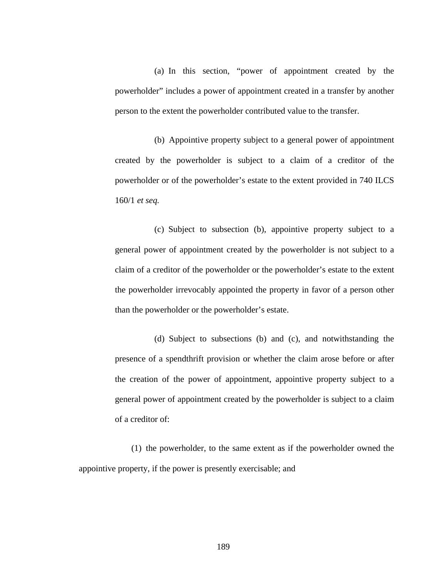(a) In this section, "power of appointment created by the powerholder" includes a power of appointment created in a transfer by another person to the extent the powerholder contributed value to the transfer.

(b) Appointive property subject to a general power of appointment created by the powerholder is subject to a claim of a creditor of the powerholder or of the powerholder's estate to the extent provided in 740 ILCS 160/1 *et seq.* 

(c) Subject to subsection (b), appointive property subject to a general power of appointment created by the powerholder is not subject to a claim of a creditor of the powerholder or the powerholder's estate to the extent the powerholder irrevocably appointed the property in favor of a person other than the powerholder or the powerholder's estate.

(d) Subject to subsections (b) and (c), and notwithstanding the presence of a spendthrift provision or whether the claim arose before or after the creation of the power of appointment, appointive property subject to a general power of appointment created by the powerholder is subject to a claim of a creditor of:

(1) the powerholder, to the same extent as if the powerholder owned the appointive property, if the power is presently exercisable; and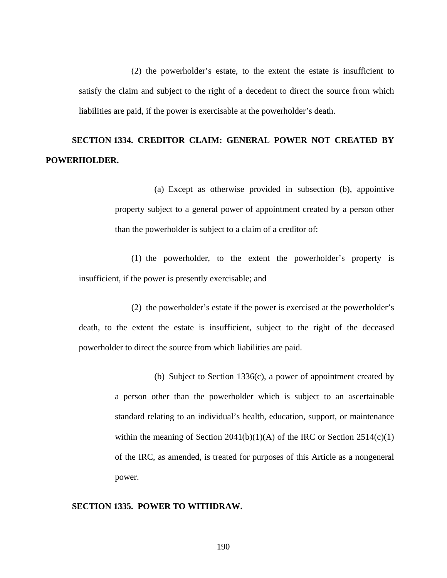(2) the powerholder's estate, to the extent the estate is insufficient to satisfy the claim and subject to the right of a decedent to direct the source from which liabilities are paid, if the power is exercisable at the powerholder's death.

## **SECTION 1334. CREDITOR CLAIM: GENERAL POWER NOT CREATED BY POWERHOLDER.**

(a) Except as otherwise provided in subsection (b), appointive property subject to a general power of appointment created by a person other than the powerholder is subject to a claim of a creditor of:

(1) the powerholder, to the extent the powerholder's property is insufficient, if the power is presently exercisable; and

(2) the powerholder's estate if the power is exercised at the powerholder's death, to the extent the estate is insufficient, subject to the right of the deceased powerholder to direct the source from which liabilities are paid.

> (b) Subject to Section 1336(c), a power of appointment created by a person other than the powerholder which is subject to an ascertainable standard relating to an individual's health, education, support, or maintenance within the meaning of Section 2041(b)(1)(A) of the IRC or Section 2514(c)(1) of the IRC, as amended, is treated for purposes of this Article as a nongeneral power.

#### **SECTION 1335. POWER TO WITHDRAW.**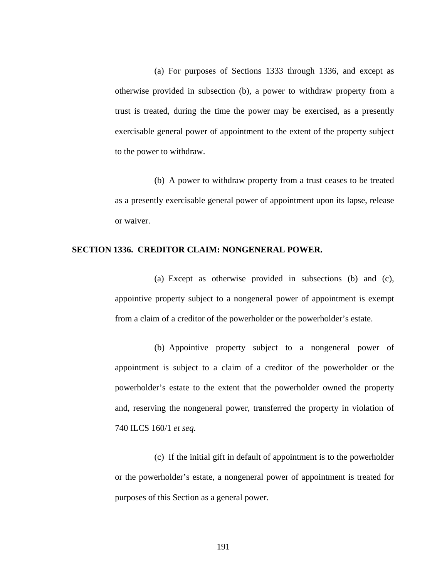(a) For purposes of Sections 1333 through 1336, and except as otherwise provided in subsection (b), a power to withdraw property from a trust is treated, during the time the power may be exercised, as a presently exercisable general power of appointment to the extent of the property subject to the power to withdraw.

(b) A power to withdraw property from a trust ceases to be treated as a presently exercisable general power of appointment upon its lapse, release or waiver.

#### **SECTION 1336. CREDITOR CLAIM: NONGENERAL POWER.**

(a) Except as otherwise provided in subsections (b) and (c), appointive property subject to a nongeneral power of appointment is exempt from a claim of a creditor of the powerholder or the powerholder's estate.

(b) Appointive property subject to a nongeneral power of appointment is subject to a claim of a creditor of the powerholder or the powerholder's estate to the extent that the powerholder owned the property and, reserving the nongeneral power, transferred the property in violation of 740 ILCS 160/1 *et seq.*

(c) If the initial gift in default of appointment is to the powerholder or the powerholder's estate, a nongeneral power of appointment is treated for purposes of this Section as a general power.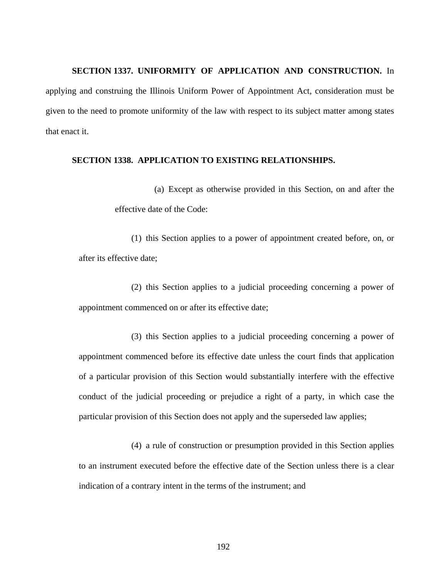#### **SECTION 1337. UNIFORMITY OF APPLICATION AND CONSTRUCTION.** In

applying and construing the Illinois Uniform Power of Appointment Act, consideration must be given to the need to promote uniformity of the law with respect to its subject matter among states that enact it.

#### **SECTION 1338. APPLICATION TO EXISTING RELATIONSHIPS.**

(a) Except as otherwise provided in this Section, on and after the effective date of the Code:

(1) this Section applies to a power of appointment created before, on, or after its effective date;

(2) this Section applies to a judicial proceeding concerning a power of appointment commenced on or after its effective date;

(3) this Section applies to a judicial proceeding concerning a power of appointment commenced before its effective date unless the court finds that application of a particular provision of this Section would substantially interfere with the effective conduct of the judicial proceeding or prejudice a right of a party, in which case the particular provision of this Section does not apply and the superseded law applies;

(4) a rule of construction or presumption provided in this Section applies to an instrument executed before the effective date of the Section unless there is a clear indication of a contrary intent in the terms of the instrument; and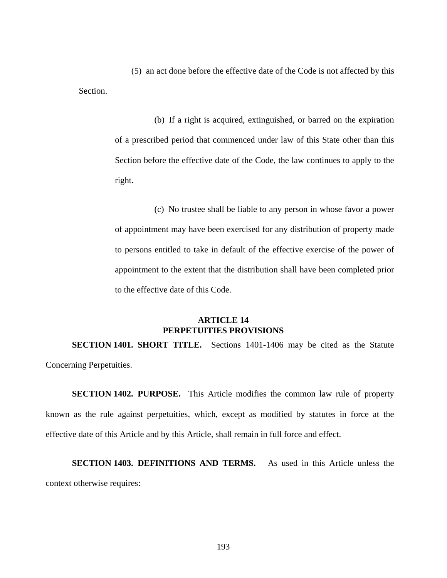(5) an act done before the effective date of the Code is not affected by this Section.

> (b) If a right is acquired, extinguished, or barred on the expiration of a prescribed period that commenced under law of this State other than this Section before the effective date of the Code, the law continues to apply to the right.

> (c) No trustee shall be liable to any person in whose favor a power of appointment may have been exercised for any distribution of property made to persons entitled to take in default of the effective exercise of the power of appointment to the extent that the distribution shall have been completed prior to the effective date of this Code.

#### **ARTICLE 14 PERPETUITIES PROVISIONS**

**SECTION 1401. SHORT TITLE.** Sections 1401-1406 may be cited as the Statute Concerning Perpetuities.

**SECTION 1402. PURPOSE.** This Article modifies the common law rule of property known as the rule against perpetuities, which, except as modified by statutes in force at the effective date of this Article and by this Article, shall remain in full force and effect.

**SECTION 1403. DEFINITIONS AND TERMS.** As used in this Article unless the context otherwise requires: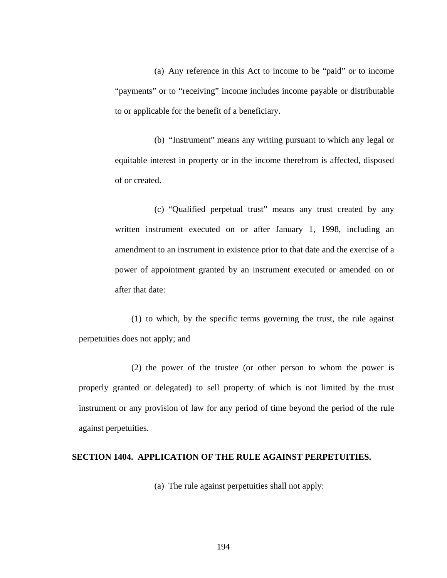(a) Any reference in this Act to income to be "paid" or to income "payments" or to "receiving" income includes income payable or distributable to or applicable for the benefit of a beneficiary.

(b) "Instrument" means any writing pursuant to which any legal or equitable interest in property or in the income therefrom is affected, disposed of or created.

(c) "Qualified perpetual trust" means any trust created by any written instrument executed on or after January 1, 1998, including an amendment to an instrument in existence prior to that date and the exercise of a power of appointment granted by an instrument executed or amended on or after that date:

(1) to which, by the specific terms governing the trust, the rule against perpetuities does not apply; and

(2) the power of the trustee (or other person to whom the power is properly granted or delegated) to sell property of which is not limited by the trust instrument or any provision of law for any period of time beyond the period of the rule against perpetuities.

#### **SECTION 1404. APPLICATION OF THE RULE AGAINST PERPETUITIES.**

(a) The rule against perpetuities shall not apply: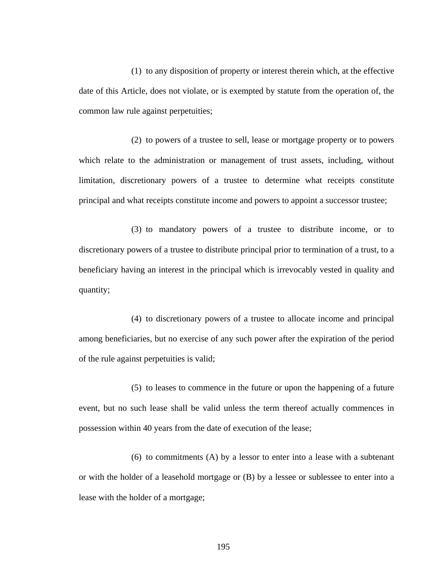(1) to any disposition of property or interest therein which, at the effective date of this Article, does not violate, or is exempted by statute from the operation of, the common law rule against perpetuities;

(2) to powers of a trustee to sell, lease or mortgage property or to powers which relate to the administration or management of trust assets, including, without limitation, discretionary powers of a trustee to determine what receipts constitute principal and what receipts constitute income and powers to appoint a successor trustee;

(3) to mandatory powers of a trustee to distribute income, or to discretionary powers of a trustee to distribute principal prior to termination of a trust, to a beneficiary having an interest in the principal which is irrevocably vested in quality and quantity;

(4) to discretionary powers of a trustee to allocate income and principal among beneficiaries, but no exercise of any such power after the expiration of the period of the rule against perpetuities is valid;

(5) to leases to commence in the future or upon the happening of a future event, but no such lease shall be valid unless the term thereof actually commences in possession within 40 years from the date of execution of the lease;

(6) to commitments (A) by a lessor to enter into a lease with a subtenant or with the holder of a leasehold mortgage or (B) by a lessee or sublessee to enter into a lease with the holder of a mortgage;

195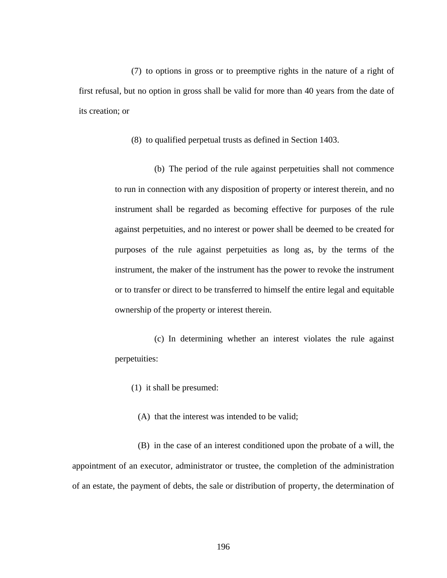(7) to options in gross or to preemptive rights in the nature of a right of first refusal, but no option in gross shall be valid for more than 40 years from the date of its creation; or

(8) to qualified perpetual trusts as defined in Section 1403.

(b) The period of the rule against perpetuities shall not commence to run in connection with any disposition of property or interest therein, and no instrument shall be regarded as becoming effective for purposes of the rule against perpetuities, and no interest or power shall be deemed to be created for purposes of the rule against perpetuities as long as, by the terms of the instrument, the maker of the instrument has the power to revoke the instrument or to transfer or direct to be transferred to himself the entire legal and equitable ownership of the property or interest therein.

(c) In determining whether an interest violates the rule against perpetuities:

(1) it shall be presumed:

(A) that the interest was intended to be valid;

(B) in the case of an interest conditioned upon the probate of a will, the appointment of an executor, administrator or trustee, the completion of the administration of an estate, the payment of debts, the sale or distribution of property, the determination of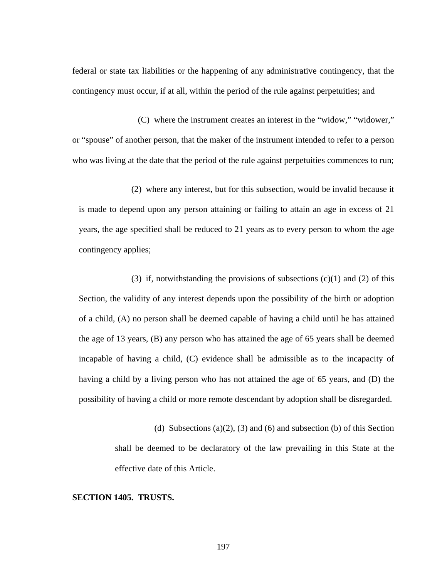federal or state tax liabilities or the happening of any administrative contingency, that the contingency must occur, if at all, within the period of the rule against perpetuities; and

(C) where the instrument creates an interest in the "widow," "widower," or "spouse" of another person, that the maker of the instrument intended to refer to a person who was living at the date that the period of the rule against perpetuities commences to run;

(2) where any interest, but for this subsection, would be invalid because it is made to depend upon any person attaining or failing to attain an age in excess of 21 years, the age specified shall be reduced to 21 years as to every person to whom the age contingency applies;

(3) if, notwithstanding the provisions of subsections  $(c)(1)$  and  $(2)$  of this Section, the validity of any interest depends upon the possibility of the birth or adoption of a child, (A) no person shall be deemed capable of having a child until he has attained the age of 13 years, (B) any person who has attained the age of 65 years shall be deemed incapable of having a child, (C) evidence shall be admissible as to the incapacity of having a child by a living person who has not attained the age of 65 years, and (D) the possibility of having a child or more remote descendant by adoption shall be disregarded.

(d) Subsections (a)(2), (3) and (6) and subsection (b) of this Section shall be deemed to be declaratory of the law prevailing in this State at the effective date of this Article.

#### **SECTION 1405. TRUSTS.**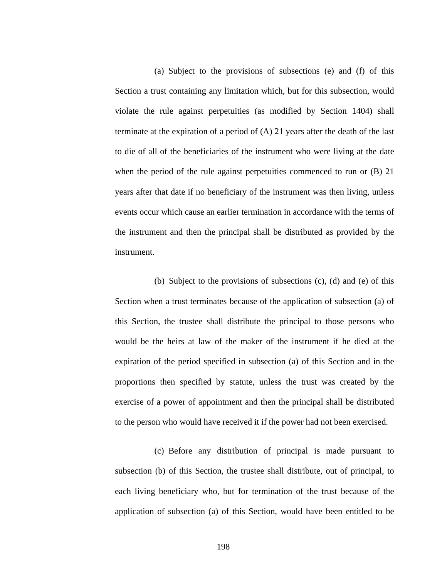(a) Subject to the provisions of subsections (e) and (f) of this Section a trust containing any limitation which, but for this subsection, would violate the rule against perpetuities (as modified by Section 1404) shall terminate at the expiration of a period of (A) 21 years after the death of the last to die of all of the beneficiaries of the instrument who were living at the date when the period of the rule against perpetuities commenced to run or (B) 21 years after that date if no beneficiary of the instrument was then living, unless events occur which cause an earlier termination in accordance with the terms of the instrument and then the principal shall be distributed as provided by the instrument.

(b) Subject to the provisions of subsections (c), (d) and (e) of this Section when a trust terminates because of the application of subsection (a) of this Section, the trustee shall distribute the principal to those persons who would be the heirs at law of the maker of the instrument if he died at the expiration of the period specified in subsection (a) of this Section and in the proportions then specified by statute, unless the trust was created by the exercise of a power of appointment and then the principal shall be distributed to the person who would have received it if the power had not been exercised.

(c) Before any distribution of principal is made pursuant to subsection (b) of this Section, the trustee shall distribute, out of principal, to each living beneficiary who, but for termination of the trust because of the application of subsection (a) of this Section, would have been entitled to be

198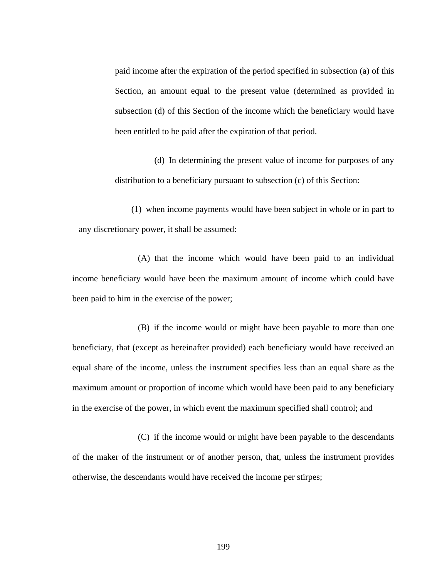paid income after the expiration of the period specified in subsection (a) of this Section, an amount equal to the present value (determined as provided in subsection (d) of this Section of the income which the beneficiary would have been entitled to be paid after the expiration of that period.

(d) In determining the present value of income for purposes of any distribution to a beneficiary pursuant to subsection (c) of this Section:

(1) when income payments would have been subject in whole or in part to any discretionary power, it shall be assumed:

(A) that the income which would have been paid to an individual income beneficiary would have been the maximum amount of income which could have been paid to him in the exercise of the power;

(B) if the income would or might have been payable to more than one beneficiary, that (except as hereinafter provided) each beneficiary would have received an equal share of the income, unless the instrument specifies less than an equal share as the maximum amount or proportion of income which would have been paid to any beneficiary in the exercise of the power, in which event the maximum specified shall control; and

(C) if the income would or might have been payable to the descendants of the maker of the instrument or of another person, that, unless the instrument provides otherwise, the descendants would have received the income per stirpes;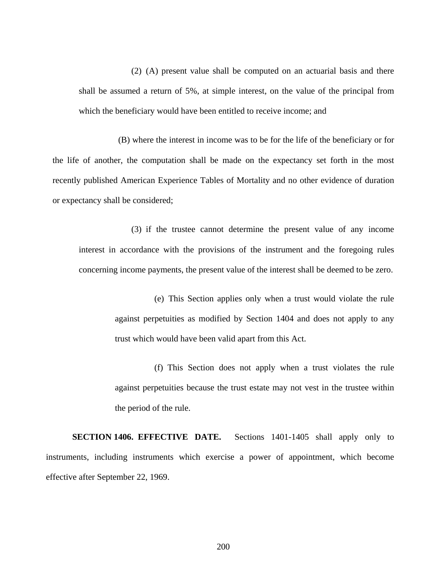(2) (A) present value shall be computed on an actuarial basis and there shall be assumed a return of 5%, at simple interest, on the value of the principal from which the beneficiary would have been entitled to receive income; and

(B) where the interest in income was to be for the life of the beneficiary or for the life of another, the computation shall be made on the expectancy set forth in the most recently published American Experience Tables of Mortality and no other evidence of duration or expectancy shall be considered;

(3) if the trustee cannot determine the present value of any income interest in accordance with the provisions of the instrument and the foregoing rules concerning income payments, the present value of the interest shall be deemed to be zero.

> (e) This Section applies only when a trust would violate the rule against perpetuities as modified by Section 1404 and does not apply to any trust which would have been valid apart from this Act.

> (f) This Section does not apply when a trust violates the rule against perpetuities because the trust estate may not vest in the trustee within the period of the rule.

**SECTION 1406. EFFECTIVE DATE.** Sections 1401-1405 shall apply only to instruments, including instruments which exercise a power of appointment, which become effective after September 22, 1969.

200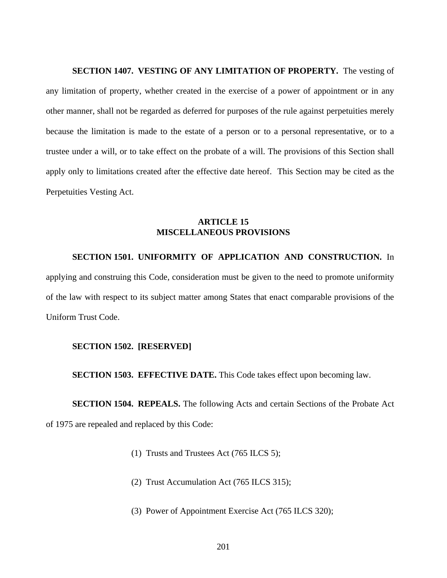**SECTION 1407. VESTING OF ANY LIMITATION OF PROPERTY.** The vesting of any limitation of property, whether created in the exercise of a power of appointment or in any other manner, shall not be regarded as deferred for purposes of the rule against perpetuities merely because the limitation is made to the estate of a person or to a personal representative, or to a trustee under a will, or to take effect on the probate of a will. The provisions of this Section shall apply only to limitations created after the effective date hereof. This Section may be cited as the Perpetuities Vesting Act.

#### **ARTICLE 15 MISCELLANEOUS PROVISIONS**

#### **SECTION 1501. UNIFORMITY OF APPLICATION AND CONSTRUCTION.** In

applying and construing this Code, consideration must be given to the need to promote uniformity of the law with respect to its subject matter among States that enact comparable provisions of the Uniform Trust Code.

#### **SECTION 1502. [RESERVED]**

**SECTION 1503. EFFECTIVE DATE.** This Code takes effect upon becoming law.

**SECTION 1504. REPEALS.** The following Acts and certain Sections of the Probate Act of 1975 are repealed and replaced by this Code:

- (1) Trusts and Trustees Act (765 ILCS 5);
- (2) Trust Accumulation Act (765 ILCS 315);
- (3) Power of Appointment Exercise Act (765 ILCS 320);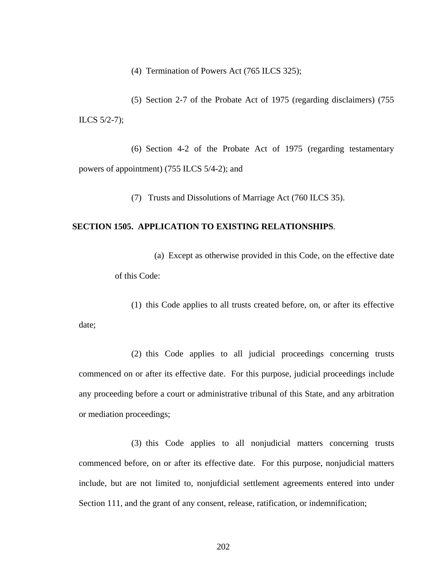(4) Termination of Powers Act (765 ILCS 325);

(5) Section 2-7 of the Probate Act of 1975 (regarding disclaimers) (755 ILCS 5/2-7);

(6) Section 4-2 of the Probate Act of 1975 (regarding testamentary powers of appointment) (755 ILCS 5/4-2); and

(7) Trusts and Dissolutions of Marriage Act (760 ILCS 35).

#### **SECTION 1505. APPLICATION TO EXISTING RELATIONSHIPS**.

(a) Except as otherwise provided in this Code, on the effective date of this Code:

(1) this Code applies to all trusts created before, on, or after its effective date;

(2) this Code applies to all judicial proceedings concerning trusts commenced on or after its effective date. For this purpose, judicial proceedings include any proceeding before a court or administrative tribunal of this State, and any arbitration or mediation proceedings;

(3) this Code applies to all nonjudicial matters concerning trusts commenced before, on or after its effective date. For this purpose, nonjudicial matters include, but are not limited to, nonjufdicial settlement agreements entered into under Section 111, and the grant of any consent, release, ratification, or indemnification;